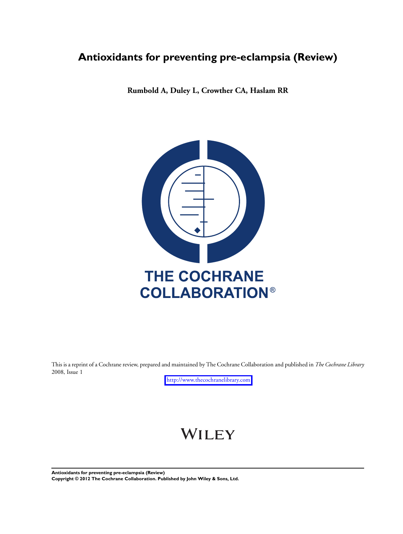# **Antioxidants for preventing pre-eclampsia (Review)**

**Rumbold A, Duley L, Crowther CA, Haslam RR**



This is a reprint of a Cochrane review, prepared and maintained by The Cochrane Collaboration and published in *The Cochrane Library* 2008, Issue 1

<http://www.thecochranelibrary.com>

# WILEY

**Antioxidants for preventing pre-eclampsia (Review) Copyright © 2012 The Cochrane Collaboration. Published by John Wiley & Sons, Ltd.**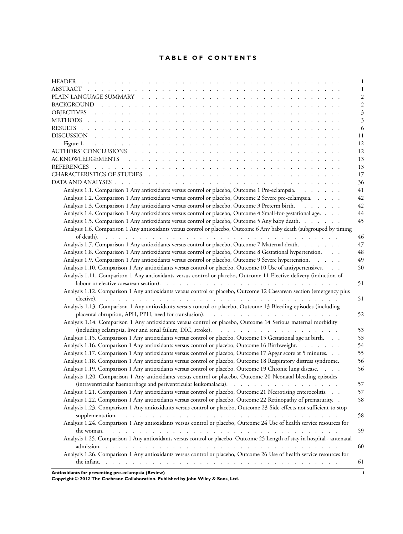# **TABLE OF CONTENTS**

| HEADER                                                                                                                    | 1              |
|---------------------------------------------------------------------------------------------------------------------------|----------------|
|                                                                                                                           | $\mathbf{1}$   |
|                                                                                                                           | $\mathfrak{2}$ |
|                                                                                                                           | $\mathfrak{2}$ |
|                                                                                                                           | 3              |
|                                                                                                                           | 3              |
|                                                                                                                           | 6              |
|                                                                                                                           | 11             |
|                                                                                                                           | 12             |
|                                                                                                                           | 12             |
|                                                                                                                           | 13             |
|                                                                                                                           | 13             |
|                                                                                                                           | 17             |
|                                                                                                                           | 36             |
| Analysis 1.1. Comparison 1 Any antioxidants versus control or placebo, Outcome 1 Pre-eclampsia.                           | 41             |
| Analysis 1.2. Comparison 1 Any antioxidants versus control or placebo, Outcome 2 Severe pre-eclampsia.                    | 42             |
| Analysis 1.3. Comparison 1 Any antioxidants versus control or placebo, Outcome 3 Preterm birth.                           | 42             |
| Analysis 1.4. Comparison 1 Any antioxidants versus control or placebo, Outcome 4 Small-for-gestational age.               | 44             |
| Analysis 1.5. Comparison 1 Any antioxidants versus control or placebo, Outcome 5 Any baby death.                          | 45             |
| Analysis 1.6. Comparison 1 Any antioxidants versus control or placebo, Outcome 6 Any baby death (subgrouped by timing     |                |
|                                                                                                                           | 46             |
| Analysis 1.7. Comparison 1 Any antioxidants versus control or placebo, Outcome 7 Maternal death.                          | 47             |
| Analysis 1.8. Comparison 1 Any antioxidants versus control or placebo, Outcome 8 Gestational hypertension.                | 48             |
| Analysis 1.9. Comparison 1 Any antioxidants versus control or placebo, Outcome 9 Severe hypertension.                     | 49             |
| Analysis 1.10. Comparison 1 Any antioxidants versus control or placebo, Outcome 10 Use of antiypertensives.               | 50             |
| Analysis 1.11. Comparison 1 Any antioxidants versus control or placebo, Outcome 11 Elective delivery (induction of        |                |
|                                                                                                                           | 51             |
| Analysis 1.12. Comparison 1 Any antioxidants versus control or placebo, Outcome 12 Caesarean section (emergency plus      |                |
|                                                                                                                           | 51             |
| Analysis 1.13. Comparison 1 Any antioxidants versus control or placebo, Outcome 13 Bleeding episodes (including           |                |
|                                                                                                                           | 52             |
| Analysis 1.14. Comparison 1 Any antioxidants versus control or placebo, Outcome 14 Serious maternal morbidity             |                |
|                                                                                                                           | 53             |
| Analysis 1.15. Comparison 1 Any antioxidants versus control or placebo, Outcome 15 Gestational age at birth.              | 53             |
| Analysis 1.16. Comparison 1 Any antioxidants versus control or placebo, Outcome 16 Birthweight.                           | 54             |
| Analysis 1.17. Comparison 1 Any antioxidants versus control or placebo, Outcome 17 Apgar score at 5 minutes.              | 55             |
| Analysis 1.18. Comparison 1 Any antioxidants versus control or placebo, Outcome 18 Respiratory distress syndrome.         | 56             |
| Analysis 1.19. Comparison 1 Any antioxidants versus control or placebo, Outcome 19 Chronic lung disease.                  | 56             |
| Analysis 1.20. Comparison 1 Any antioxidants versus control or placebo, Outcome 20 Neonatal bleeding episodes             |                |
|                                                                                                                           | 57             |
| Analysis 1.21. Comparison 1 Any antioxidants versus control or placebo, Outcome 21 Necrotising enterocolitis.             | 57             |
| Analysis 1.22. Comparison 1 Any antioxidants versus control or placebo, Outcome 22 Retinopathy of prematurity.            | 58             |
| Analysis 1.23. Comparison 1 Any antioxidants versus control or placebo, Outcome 23 Side-effects not sufficient to stop    |                |
|                                                                                                                           | 58             |
| Analysis 1.24. Comparison 1 Any antioxidants versus control or placebo, Outcome 24 Use of health service resources for    |                |
|                                                                                                                           | 59             |
| Analysis 1.25. Comparison 1 Any antioxidants versus control or placebo, Outcome 25 Length of stay in hospital - antenatal |                |
|                                                                                                                           | 60             |
| Analysis 1.26. Comparison 1 Any antioxidants versus control or placebo, Outcome 26 Use of health service resources for    |                |
|                                                                                                                           | 61             |
|                                                                                                                           |                |

**Antioxidants for preventing pre-eclampsia (Review) i**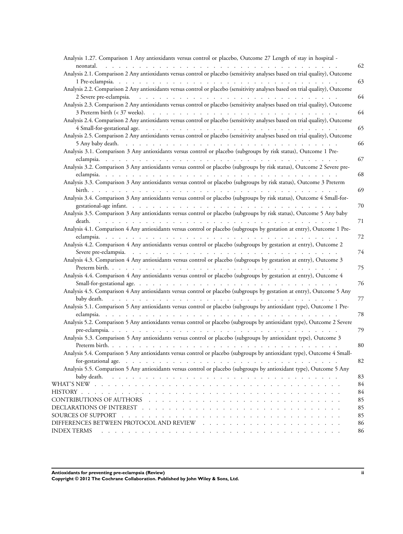| Analysis 1.27. Comparison 1 Any antioxidants versus control or placebo, Outcome 27 Length of stay in hospital -                          |    |
|------------------------------------------------------------------------------------------------------------------------------------------|----|
|                                                                                                                                          | 62 |
| Analysis 2.1. Comparison 2 Any antioxidants versus control or placebo (sensitivity analyses based on trial quality), Outcome             |    |
|                                                                                                                                          | 63 |
| Analysis 2.2. Comparison 2 Any antioxidants versus control or placebo (sensitivity analyses based on trial quality), Outcome             |    |
|                                                                                                                                          | 64 |
| Analysis 2.3. Comparison 2 Any antioxidants versus control or placebo (sensitivity analyses based on trial quality), Outcome             |    |
|                                                                                                                                          | 64 |
| Analysis 2.4. Comparison 2 Any antioxidants versus control or placebo (sensitivity analyses based on trial quality), Outcome             |    |
|                                                                                                                                          | 65 |
| Analysis 2.5. Comparison 2 Any antioxidants versus control or placebo (sensitivity analyses based on trial quality), Outcome             |    |
|                                                                                                                                          | 66 |
| Analysis 3.1. Comparison 3 Any antioxidants versus control or placebo (subgroups by risk status), Outcome 1 Pre-                         |    |
|                                                                                                                                          | 67 |
| Analysis 3.2. Comparison 3 Any antioxidants versus control or placebo (subgroups by risk status), Outcome 2 Severe pre-                  |    |
|                                                                                                                                          | 68 |
|                                                                                                                                          |    |
| Analysis 3.3. Comparison 3 Any antioxidants versus control or placebo (subgroups by risk status), Outcome 3 Preterm                      |    |
|                                                                                                                                          | 69 |
| Analysis 3.4. Comparison 3 Any antioxidants versus control or placebo (subgroups by risk status), Outcome 4 Small-for-                   |    |
|                                                                                                                                          | 70 |
| Analysis 3.5. Comparison 3 Any antioxidants versus control or placebo (subgroups by risk status), Outcome 5 Any baby                     |    |
|                                                                                                                                          | 71 |
| Analysis 4.1. Comparison 4 Any antioxidants versus control or placebo (subgroups by gestation at entry), Outcome 1 Pre-                  |    |
|                                                                                                                                          | 72 |
| Analysis 4.2. Comparison 4 Any antioxidants versus control or placebo (subgroups by gestation at entry), Outcome 2                       |    |
|                                                                                                                                          | 74 |
| Analysis 4.3. Comparison 4 Any antioxidants versus control or placebo (subgroups by gestation at entry), Outcome 3                       |    |
|                                                                                                                                          | 75 |
| Analysis 4.4. Comparison 4 Any antioxidants versus control or placebo (subgroups by gestation at entry), Outcome 4                       |    |
|                                                                                                                                          | 76 |
| Analysis 4.5. Comparison 4 Any antioxidants versus control or placebo (subgroups by gestation at entry), Outcome 5 Any                   |    |
|                                                                                                                                          | 77 |
| Analysis 5.1. Comparison 5 Any antioxidants versus control or placebo (subgroups by antioxidant type), Outcome 1 Pre-                    |    |
|                                                                                                                                          | 78 |
| Analysis 5.2. Comparison 5 Any antioxidants versus control or placebo (subgroups by antioxidant type), Outcome 2 Severe                  |    |
|                                                                                                                                          | 79 |
| Analysis 5.3. Comparison 5 Any antioxidants versus control or placebo (subgroups by antioxidant type), Outcome 3                         |    |
|                                                                                                                                          | 80 |
| Analysis 5.4. Comparison 5 Any antioxidants versus control or placebo (subgroups by antioxidant type), Outcome 4 Small-                  |    |
|                                                                                                                                          | 82 |
|                                                                                                                                          |    |
| Analysis 5.5. Comparison 5 Any antioxidants versus control or placebo (subgroups by antioxidant type), Outcome 5 Any                     |    |
|                                                                                                                                          | 83 |
|                                                                                                                                          | 84 |
|                                                                                                                                          | 84 |
|                                                                                                                                          | 85 |
|                                                                                                                                          | 85 |
|                                                                                                                                          | 85 |
|                                                                                                                                          | 86 |
| <b>INDEX TERMS</b><br>فالمتمام والمتمام والمتمام والمتمالية والمتمالية والمتمالية والمتمالية والمتمالية والمتمالية والمتمالية والمتمالية | 86 |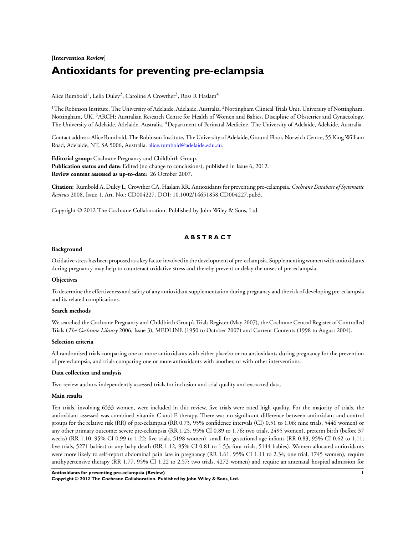# **[Intervention Review] Antioxidants for preventing pre-eclampsia**

Alice Rumbold<sup>1</sup>, Lelia Duley<sup>2</sup>, Caroline A Crowther<sup>3</sup>, Ross R Haslam<sup>4</sup>

<sup>1</sup>The Robinson Institute, The University of Adelaide, Adelaide, Australia. <sup>2</sup>Nottingham Clinical Trials Unit, University of Nottingham, Nottingham, UK. <sup>3</sup>ARCH: Australian Research Centre for Health of Women and Babies, Discipline of Obstetrics and Gynaecology, The University of Adelaide, Adelaide, Australia. <sup>4</sup>Department of Perinatal Medicine, The University of Adelaide, Adelaide, Australia

Contact address: Alice Rumbold, The Robinson Institute, The University of Adelaide, Ground Floor, Norwich Centre, 55 King William Road, Adelaide, NT, SA 5006, Australia. [alice.rumbold@adelaide.edu.au](mailto:alice.rumbold@adelaide.edu.au).

**Editorial group:** Cochrane Pregnancy and Childbirth Group. **Publication status and date:** Edited (no change to conclusions), published in Issue 6, 2012. **Review content assessed as up-to-date:** 26 October 2007.

**Citation:** Rumbold A, Duley L, Crowther CA, Haslam RR. Antioxidants for preventing pre-eclampsia. *Cochrane Database of Systematic Reviews* 2008, Issue 1. Art. No.: CD004227. DOI: 10.1002/14651858.CD004227.pub3.

Copyright © 2012 The Cochrane Collaboration. Published by John Wiley & Sons, Ltd.

# **A B S T R A C T**

#### **Background**

Oxidative stress has been proposed as a key factor involved in the development of pre-eclampsia. Supplementing women with antioxidants during pregnancy may help to counteract oxidative stress and thereby prevent or delay the onset of pre-eclampsia.

#### **Objectives**

To determine the effectiveness and safety of any antioxidant supplementation during pregnancy and the risk of developing pre-eclampsia and its related complications.

#### **Search methods**

We searched the Cochrane Pregnancy and Childbirth Group's Trials Register (May 2007), the Cochrane Central Register of Controlled Trials (*The Cochrane Library* 2006, Issue 3), MEDLINE (1950 to October 2007) and Current Contents (1998 to August 2004).

#### **Selection criteria**

All randomised trials comparing one or more antioxidants with either placebo or no antioxidants during pregnancy for the prevention of pre-eclampsia, and trials comparing one or more antioxidants with another, or with other interventions.

#### **Data collection and analysis**

Two review authors independently assessed trials for inclusion and trial quality and extracted data.

#### **Main results**

Ten trials, involving 6533 women, were included in this review, five trials were rated high quality. For the majority of trials, the antioxidant assessed was combined vitamin C and E therapy. There was no significant difference between antioxidant and control groups for the relative risk (RR) of pre-eclampsia (RR 0.73, 95% confidence intervals (CI) 0.51 to 1.06; nine trials, 5446 women) or any other primary outcome: severe pre-eclampsia (RR 1.25, 95% CI 0.89 to 1.76; two trials, 2495 women), preterm birth (before 37 weeks) (RR 1.10, 95% CI 0.99 to 1.22; five trials, 5198 women), small-for-gestational-age infants (RR 0.83, 95% CI 0.62 to 1.11; five trials, 5271 babies) or any baby death (RR 1.12, 95% CI 0.81 to 1.53; four trials, 5144 babies). Women allocated antioxidants were more likely to self-report abdominal pain late in pregnancy (RR 1.61, 95% CI 1.11 to 2.34; one trial, 1745 women), require antihypertensive therapy (RR 1.77, 95% CI 1.22 to 2.57; two trials, 4272 women) and require an antenatal hospital admission for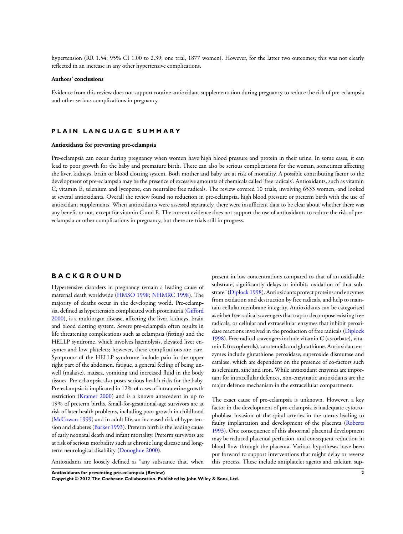hypertension (RR 1.54, 95% CI 1.00 to 2.39; one trial, 1877 women). However, for the latter two outcomes, this was not clearly reflected in an increase in any other hypertensive complications.

#### **Authors' conclusions**

Evidence from this review does not support routine antioxidant supplementation during pregnancy to reduce the risk of pre-eclampsia and other serious complications in pregnancy.

#### **P L A I N L A N G U A G E S U M M A R Y**

#### **Antioxidants for preventing pre-eclampsia**

Pre-eclampsia can occur during pregnancy when women have high blood pressure and protein in their urine. In some cases, it can lead to poor growth for the baby and premature birth. There can also be serious complications for the woman, sometimes affecting the liver, kidneys, brain or blood clotting system. Both mother and baby are at risk of mortality. A possible contributing factor to the development of pre-eclampsia may be the presence of excessive amounts of chemicals called 'free radicals'. Antioxidants, such as vitamin C, vitamin E, selenium and lycopene, can neutralize free radicals. The review covered 10 trials, involving 6533 women, and looked at several antioxidants. Overall the review found no reduction in pre-eclampsia, high blood pressure or preterm birth with the use of antioxidant supplements. When antioxidants were assessed separately, there were insufficient data to be clear about whether there was any benefit or not, except for vitamin C and E. The current evidence does not support the use of antioxidants to reduce the risk of preeclampsia or other complications in pregnancy, but there are trials still in progress.

#### **B A C K G R O U N D**

Hypertensive disorders in pregnancy remain a leading cause of maternal death worldwide ([HMSO 1998](#page-15-0); [NHMRC 1998](#page-15-0)). The majority of deaths occur in the developing world. Pre-eclampsia, defined as hypertension complicated with proteinuria [\(Gifford](#page-15-0) [2000](#page-15-0)), is a multiorgan disease, affecting the liver, kidneys, brain and blood clotting system. Severe pre-eclampsia often results in life threatening complications such as eclampsia (fitting) and the HELLP syndrome, which involves haemolysis, elevated liver enzymes and low platelets; however, these complications are rare. Symptoms of the HELLP syndrome include pain in the upper right part of the abdomen, fatigue, a general feeling of being unwell (malaise), nausea, vomiting and increased fluid in the body tissues. Pre-eclampsia also poses serious health risks for the baby. Pre-eclampsia is implicated in 12% of cases of intrauterine growth restriction ([Kramer 2000](#page-15-0)) and is a known antecedent in up to 19% of preterm births. Small-for-gestational-age survivors are at risk of later health problems, including poor growth in childhood [\(McCowan 1999\)](#page-15-0) and in adult life, an increased risk of hypertension and diabetes [\(Barker 1993\)](#page-15-0). Preterm birth is the leading cause of early neonatal death and infant mortality. Preterm survivors are at risk of serious morbidity such as chronic lung disease and longterm neurological disability [\(Donoghue 2000\)](#page-15-0).

Antioxidants are loosely defined as "any substance that, when

present in low concentrations compared to that of an oxidisable substrate, significantly delays or inhibits oxidation of that substrate" [\(Diplock 1998](#page-15-0)). Antioxidants protect proteins and enzymes from oxidation and destruction by free radicals, and help to maintain cellular membrane integrity. Antioxidants can be categorised as either free radical scavengers that trap or decompose existing free radicals, or cellular and extracellular enzymes that inhibit peroxidase reactions involved in the production of free radicals ([Diplock](#page-15-0) [1998](#page-15-0)). Free radical scavengers include vitamin C (ascorbate), vitamin E (tocopherols), carotenoids and glutathione. Antioxidant enzymes include glutathione peroxidase, superoxide dismutase and catalase, which are dependent on the presence of co-factors such as selenium, zinc and iron. While antioxidant enzymes are important for intracellular defences, non-enzymatic antioxidants are the major defence mechanism in the extracellular compartment.

The exact cause of pre-eclampsia is unknown. However, a key factor in the development of pre-eclampsia is inadequate cytotrophoblast invasion of the spiral arteries in the uterus leading to faulty implantation and development of the placenta [\(Roberts](#page-15-0) [1993](#page-15-0)). One consequence of this abnormal placental development may be reduced placental perfusion, and consequent reduction in blood flow through the placenta. Various hypotheses have been put forward to support interventions that might delay or reverse this process. These include antiplatelet agents and calcium sup-

**Antioxidants for preventing pre-eclampsia (Review) 2**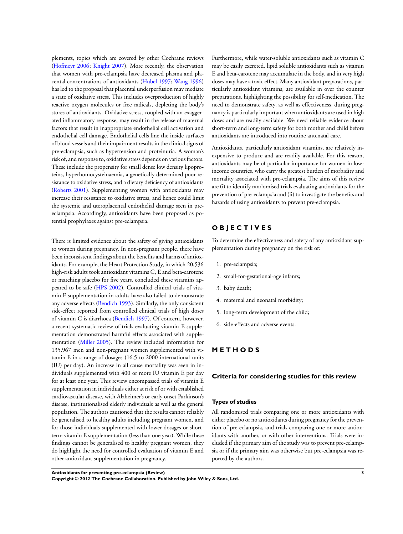plements, topics which are covered by other Cochrane reviews [\(Hofmeyr 2006](#page-15-0); [Knight 2007\)](#page-15-0). More recently, the observation that women with pre-eclampsia have decreased plasma and placental concentrations of antioxidants [\(Hubel 1997;](#page-15-0) [Wang 1996](#page-15-0)) has led to the proposal that placental underperfusion may mediate a state of oxidative stress. This includes overproduction of highly reactive oxygen molecules or free radicals, depleting the body's stores of antioxidants. Oxidative stress, coupled with an exaggerated inflammatory response, may result in the release of maternal factors that result in inappropriate endothelial cell activation and endothelial cell damage. Endothelial cells line the inside surfaces of blood vessels and their impairment results in the clinical signs of pre-eclampsia, such as hypertension and proteinuria. A woman's risk of, and response to, oxidative stress depends on various factors. These include the propensity for small dense low density lipoproteins, hyperhomocysteinaemia, a genetically determined poor resistance to oxidative stress, and a dietary deficiency of antioxidants [\(Roberts 2001](#page-15-0)). Supplementing women with antioxidants may increase their resistance to oxidative stress, and hence could limit the systemic and uteroplacental endothelial damage seen in preeclampsia. Accordingly, antioxidants have been proposed as potential prophylaxes against pre-eclampsia.

There is limited evidence about the safety of giving antioxidants to women during pregnancy. In non-pregnant people, there have been inconsistent findings about the benefits and harms of antioxidants. For example, the Heart Protection Study, in which 20,536 high-risk adults took antioxidant vitamins C, E and beta-carotene or matching placebo for five years, concluded these vitamins appeared to be safe ([HPS 2002](#page-15-0)). Controlled clinical trials of vitamin E supplementation in adults have also failed to demonstrate any adverse effects ([Bendich 1993\)](#page-15-0). Similarly, the only consistent side-effect reported from controlled clinical trials of high doses of vitamin C is diarrhoea [\(Bendich 1997\)](#page-15-0). Of concern, however, a recent systematic review of trials evaluating vitamin E supplementation demonstrated harmful effects associated with supplementation [\(Miller 2005](#page-15-0)). The review included information for 135,967 men and non-pregnant women supplemented with vitamin E in a range of dosages (16.5 to 2000 international units (IU) per day). An increase in all cause mortality was seen in individuals supplemented with 400 or more IU vitamin E per day for at least one year. This review encompassed trials of vitamin E supplementation in individuals either at risk of or with established cardiovascular disease, with Alzheimer's or early onset Parkinson's disease, institutionalised elderly individuals as well as the general population. The authors cautioned that the results cannot reliably be generalised to healthy adults including pregnant women, and for those individuals supplemented with lower dosages or shortterm vitamin E supplementation (less than one year). While these findings cannot be generalised to healthy pregnant women, they do highlight the need for controlled evaluation of vitamin E and other antioxidant supplementation in pregnancy.

Furthermore, while water-soluble antioxidants such as vitamin C may be easily excreted, lipid soluble antioxidants such as vitamin E and beta-carotene may accumulate in the body, and in very high doses may have a toxic effect. Many antioxidant preparations, particularly antioxidant vitamins, are available in over the counter preparations, highlighting the possibility for self-medication. The need to demonstrate safety, as well as effectiveness, during pregnancy is particularly important when antioxidants are used in high doses and are readily available. We need reliable evidence about short-term and long-term safety for both mother and child before antioxidants are introduced into routine antenatal care.

Antioxidants, particularly antioxidant vitamins, are relatively inexpensive to produce and are readily available. For this reason, antioxidants may be of particular importance for women in lowincome countries, who carry the greatest burden of morbidity and mortality associated with pre-eclampsia. The aims of this review are (i) to identify randomised trials evaluating antioxidants for the prevention of pre-eclampsia and (ii) to investigate the benefits and hazards of using antioxidants to prevent pre-eclampsia.

# **O B J E C T I V E S**

To determine the effectiveness and safety of any antioxidant supplementation during pregnancy on the risk of:

- 1. pre-eclampsia;
- 2. small-for-gestational-age infants;
- 3. baby death;
- 4. maternal and neonatal morbidity;
- 5. long-term development of the child;
- 6. side-effects and adverse events.

# **M E T H O D S**

# **Criteria for considering studies for this review**

#### **Types of studies**

All randomised trials comparing one or more antioxidants with either placebo or no antioxidants during pregnancy for the prevention of pre-eclampsia, and trials comparing one or more antioxidants with another, or with other interventions. Trials were included if the primary aim of the study was to prevent pre-eclampsia or if the primary aim was otherwise but pre-eclampsia was reported by the authors.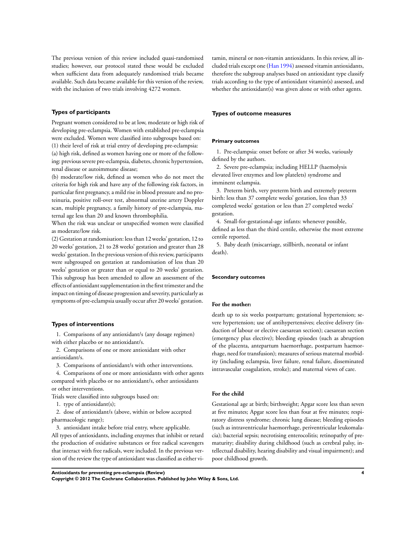The previous version of this review included quasi-randomised studies; however, our protocol stated these would be excluded when sufficient data from adequately randomised trials became available. Such data became available for this version of the review, with the inclusion of two trials involving 4272 women.

#### **Types of participants**

Pregnant women considered to be at low, moderate or high risk of developing pre-eclampsia. Women with established pre-eclampsia were excluded. Women were classified into subgroups based on: (1) their level of risk at trial entry of developing pre-eclampsia:

(a) high risk, defined as women having one or more of the following: previous severe pre-eclampsia, diabetes, chronic hypertension, renal disease or autoimmune disease;

(b) moderate/low risk, defined as women who do not meet the criteria for high risk and have any of the following risk factors, in particular first pregnancy, a mild rise in blood pressure and no proteinuria, positive roll-over test, abnormal uterine artery Doppler scan, multiple pregnancy, a family history of pre-eclampsia, maternal age less than 20 and known thrombophilia.

When the risk was unclear or unspecified women were classified as moderate/low risk.

(2) Gestation at randomisation: less than 12 weeks' gestation, 12 to 20 weeks' gestation, 21 to 28 weeks' gestation and greater than 28 weeks' gestation. In the previous version of this review, participants were subgrouped on gestation at randomisation of less than 20 weeks' gestation or greater than or equal to 20 weeks' gestation. This subgroup has been amended to allow an assessment of the effects of antioxidant supplementation in the first trimester and the impact on timing of disease progression and severity, particularly as symptoms of pre-eclampsia usually occur after 20 weeks' gestation.

# **Types of interventions**

1. Comparisons of any antioxidant/s (any dosage regimen)

with either placebo or no antioxidant/s.

2. Comparisons of one or more antioxidant with other antioxidant/s.

3. Comparisons of antioxidant/s with other interventions.

4. Comparisons of one or more antioxidants with other agents compared with placebo or no antioxidant/s, other antioxidants or other interventions.

Trials were classified into subgroups based on:

1. type of antioxidant(s);

2. dose of antioxidant/s (above, within or below accepted pharmacologic range);

3. antioxidant intake before trial entry, where applicable.

All types of antioxidants, including enzymes that inhibit or retard the production of oxidative substances or free radical scavengers that interact with free radicals, were included. In the previous version of the review the type of antioxidant was classified as either vitamin, mineral or non-vitamin antioxidants. In this review, all included trials except one ([Han 1994](#page-15-0)) assessed vitamin antioxidants, therefore the subgroup analyses based on antioxidant type classify trials according to the type of antioxidant vitamin(s) assessed, and whether the antioxidant(s) was given alone or with other agents.

#### **Types of outcome measures**

#### **Primary outcomes**

1. Pre-eclampsia: onset before or after 34 weeks, variously defined by the authors.

2. Severe pre-eclampsia; including HELLP (haemolysis elevated liver enzymes and low platelets) syndrome and imminent eclampsia.

3. Preterm birth, very preterm birth and extremely preterm birth: less than 37 complete weeks' gestation, less than 33 completed weeks' gestation or less than 27 completed weeks' gestation.

4. Small-for-gestational-age infants: whenever possible, defined as less than the third centile, otherwise the most extreme centile reported.

5. Baby death (miscarriage, stillbirth, neonatal or infant death).

#### **Secondary outcomes**

#### **For the mother:**

death up to six weeks postpartum; gestational hypertension; severe hypertension; use of antihypertensives; elective delivery (induction of labour or elective caesarean section); caesarean section (emergency plus elective); bleeding episodes (such as abruption of the placenta, antepartum haemorrhage, postpartum haemorrhage, need for transfusion); measures of serious maternal morbidity (including eclampsia, liver failure, renal failure, disseminated intravascular coagulation, stroke); and maternal views of care.

# **For the child**

Gestational age at birth; birthweight; Apgar score less than seven at five minutes; Apgar score less than four at five minutes; respiratory distress syndrome; chronic lung disease; bleeding episodes (such as intraventricular haemorrhage, periventricular leukomalacia); bacterial sepsis; necrotising enterocolitis; retinopathy of prematurity; disability during childhood (such as cerebral palsy, intellectual disability, hearing disability and visual impairment); and poor childhood growth.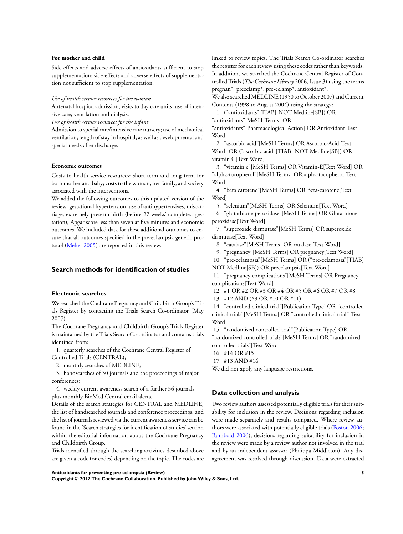#### **For mother and child**

Side-effects and adverse effects of antioxidants sufficient to stop supplementation; side-effects and adverse effects of supplementation not sufficient to stop supplementation.

*Use of health service resources for the woman*

Antenatal hospital admission; visits to day care units; use of intensive care; ventilation and dialysis.

*Use of health service resources for the infant*

Admission to special care/intensive care nursery; use of mechanical ventilation; length of stay in hospital; as well as developmental and special needs after discharge.

#### **Economic outcomes**

Costs to health service resources: short term and long term for both mother and baby; costs to the woman, her family, and society associated with the interventions.

We added the following outcomes to this updated version of the review: gestational hypertension, use of antihypertensives, miscarriage, extremely preterm birth (before 27 weeks' completed gestation), Apgar score less than seven at five minutes and economic outcomes. We included data for these additional outcomes to ensure that all outcomes specified in the pre-eclampsia generic protocol ([Meher 2005\)](#page-15-0) are reported in this review.

# **Search methods for identification of studies**

#### **Electronic searches**

We searched the Cochrane Pregnancy and Childbirth Group's Trials Register by contacting the Trials Search Co-ordinator (May 2007).

The Cochrane Pregnancy and Childbirth Group's Trials Register is maintained by the Trials Search Co-ordinator and contains trials identified from:

1. quarterly searches of the Cochrane Central Register of Controlled Trials (CENTRAL);

2. monthly searches of MEDLINE;

3. handsearches of 30 journals and the proceedings of major conferences;

4. weekly current awareness search of a further 36 journals plus monthly BioMed Central email alerts.

Details of the search strategies for CENTRAL and MEDLINE, the list of handsearched journals and conference proceedings, and the list of journals reviewed via the current awareness service can be found in the 'Search strategies for identification of studies' section within the editorial information about the Cochrane Pregnancy and Childbirth Group.

Trials identified through the searching activities described above are given a code (or codes) depending on the topic. The codes are linked to review topics. The Trials Search Co-ordinator searches the register for each review using these codes rather than keywords. In addition, we searched the Cochrane Central Register of Controlled Trials (*The Cochrane Library* 2006, Issue 3) using the terms pregnan\*, preeclamp\*, pre-eclamp\*, antioxidant\*.

We also searched MEDLINE (1950 to October 2007) and Current Contents (1998 to August 2004) using the strategy:

1. ("antioxidants"[TIAB] NOT Medline[SB]) OR

"antioxidants"[MeSH Terms] OR

"antioxidants"[Pharmacological Action] OR Antioxidant[Text Word]

2. "ascorbic acid"[MeSH Terms] OR Ascorbic-Acid[Text Word] OR ("ascorbic acid"[TIAB] NOT Medline[SB]) OR vitamin C[Text Word]

3. "vitamin e"[MeSH Terms] OR Vitamin-E[Text Word] OR "alpha-tocopherol"[MeSH Terms] OR alpha-tocopherol[Text Word]

4. "beta carotene"[MeSH Terms] OR Beta-carotene[Text Word]

5. "selenium"[MeSH Terms] OR Selenium[Text Word]

6. "glutathione peroxidase"[MeSH Terms] OR Glutathione peroxidase[Text Word]

7. "superoxide dismutase"[MeSH Terms] OR superoxide dismutase[Text Word]

8. "catalase"[MeSH Terms] OR catalase[Text Word]

9. "pregnancy"[MeSH Terms] OR pregnancy[Text Word]

10. "pre-eclampsia"[MeSH Terms] OR ("pre-eclampsia"[TIAB] NOT Medline[SB]) OR preeclampsia[Text Word]

11. "pregnancy complications"[MeSH Terms] OR Pregnancy complications[Text Word]

12. #1 OR #2 OR #3 OR #4 OR #5 OR #6 OR #7 OR #8

13. #12 AND (#9 OR #10 OR #11)

14. "controlled clinical trial"[Publication Type] OR "controlled clinical trials"[MeSH Terms] OR "controlled clinical trial"[Text Word]

15. "randomized controlled trial"[Publication Type] OR "randomized controlled trials"[MeSH Terms] OR "randomized

controlled trials"[Text Word]

16. #14 OR #15

17. #13 AND #16

We did not apply any language restrictions.

# **Data collection and analysis**

Two review authors assessed potentially eligible trials for their suitability for inclusion in the review. Decisions regarding inclusion were made separately and results compared. Where review authors were associated with potentially eligible trials [\(Poston 2006;](#page-15-0) [Rumbold 2006](#page-15-0)), decisions regarding suitability for inclusion in the review were made by a review author not involved in the trial and by an independent assessor (Philippa Middleton). Any disagreement was resolved through discussion. Data were extracted

**Antioxidants for preventing pre-eclampsia (Review) 5**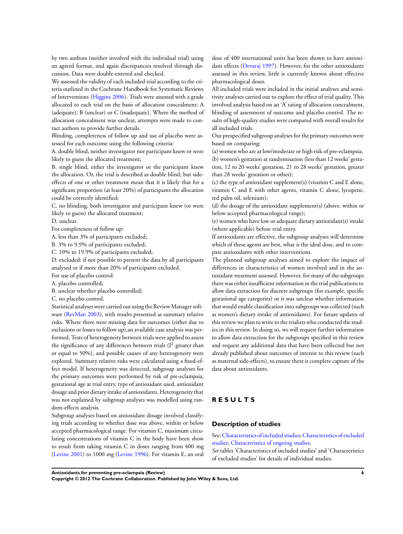by two authors (neither involved with the individual trial) using an agreed format, and again discrepancies resolved through discussion. Data were double-entered and checked.

We assessed the validity of each included trial according to the criteria outlined in the Cochrane Handbook for Systematic Reviews of Interventions ([Higgins 2006\)](#page-15-0). Trials were assessed with a grade allocated to each trial on the basis of allocation concealment: A (adequate), B (unclear) or C (inadequate). Where the method of allocation concealment was unclear, attempts were made to contact authors to provide further details.

Blinding, completeness of follow up and use of placebo were assessed for each outcome using the following criteria:

A. double blind, neither investigator nor participant knew or were likely to guess the allocated treatment;

B. single blind, either the investigator or the participant knew the allocation. Or, the trial is described as double blind, but sideeffects of one or other treatment mean that it is likely that for a significant proportion (at least 20%) of participants the allocation could be correctly identified;

C. no blinding, both investigator and participant knew (or were likely to guess) the allocated treatment;

D. unclear.

For completeness of follow up:

A. less than 3% of participants excluded;

B. 3% to 9.9% of participants excluded;

C. 10% to 19.9% of participants excluded;

D. excluded: if not possible to present the data by all participants analysed or if more than 20% of participants excluded.

For use of placebo control:

A. placebo controlled;

B. unclear whether placebo controlled;

C. no placebo control.

Statistical analyses were carried out using the Review Manager software [\(RevMan 2003](#page-15-0)), with results presented as summary relative risks. Where there were missing data for outcomes (either due to exclusions or losses to follow up),an available case analysis was performed. Tests of heterogeneity between trials were applied to assess the significance of any differences between trials ( $I^2$  greater than or equal to 50%), and possible causes of any heterogeneity were explored. Summary relative risks were calculated using a fixed-effect model. If heterogeneity was detected, subgroup analyses for the primary outcomes were performed by risk of pre-eclampsia, gestational age at trial entry, type of antioxidant used, antioxidant dosage and prior dietary intake of antioxidants. Heterogeneity that was not explained by subgroup analyses was modelled using random-effects analysis.

Subgroup analyses based on antioxidant dosage involved classifying trials according to whether dose was above, within or below accepted pharmacological range. For vitamin C, maximum circulating concentrations of vitamin C in the body have been show to result from taking vitamin C in doses ranging from 400 mg [\(Levine 2001](#page-15-0)) to 1000 mg ([Levine 1996\)](#page-15-0). For vitamin E, an oral

dose of 400 international units has been shown to have antioxidant effects [\(Devaraj 1997\)](#page-15-0). However, for the other antioxidants assessed in this review, little is currently known about effective pharmacological doses.

All included trials were included in the initial analyses and sensitivity analyses carried out to explore the effect of trial quality. This involved analysis based on an 'A' rating of allocation concealment, blinding of assessment of outcome and placebo control. The results of high-quality studies were compared with overall results for all included trials.

Our prespecified subgroup analyses for the primary outcomes were based on comparing:

(a) women who are at low/moderate or high risk of pre-eclampsia; (b) women's gestation at randomisation (less than 12 weeks' gestation, 12 to 20 weeks' gestation, 21 to 28 weeks' gestation, greater than 28 weeks' gestation or other);

(c) the type of antioxidant supplement(s) (vitamin C and E alone, vitamin C and E with other agents, vitamin C alone, lycopene, red palm oil, selenium);

(d) the dosage of the antioxidant supplement(s) (above, within or below accepted pharmacological range);

(e) women who have low or adequate dietary antioxidant(s) intake (where applicable) before trial entry.

If antioxidants are effective, the subgroup analyses will determine which of these agents are best, what is the ideal dose, and to compare antioxidants with other interventions.

The planned subgroup analyses aimed to explore the impact of differences in characteristics of women involved and in the antioxidant treatment assessed. However, for many of the subgroups there was either insufficient information in the trial publications to allow data extraction for discrete subgroups (for example, specific gestational age categories) or it was unclear whether information that would enable classification into subgroups was collected (such as women's dietary intake of antioxidants). For future updates of this review we plan to write to the trialists who conducted the studies in this review. In doing so, we will request further information to allow data extraction for the subgroups specified in this review and request any additional data that have been collected but not already published about outcomes of interest to this review (such as maternal side-effects), to ensure there is complete capture of the data about antioxidants.

# **R E S U L T S**

# **Description of studies**

See:[Characteristics of included studies;](#page-20-0)[Characteristics of excluded](#page-30-0) [studies;](#page-30-0) [Characteristics of ongoing studies](#page-33-0).

*See* tables 'Characteristics of included studies' and 'Characteristics of excluded studies' for details of individual studies.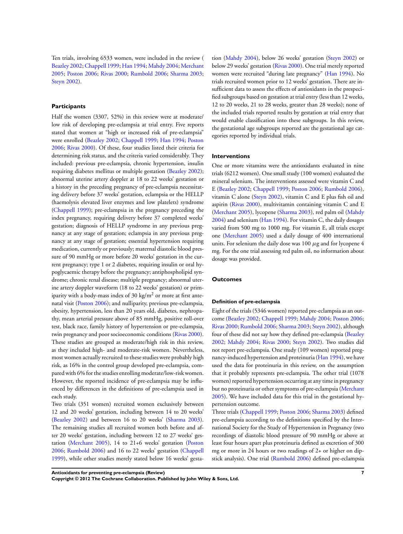Ten trials, involving 6533 women, were included in the review ( [Beazley 2002](#page-15-0); [Chappell 1999](#page-15-0); [Han 1994](#page-15-0); [Mahdy 2004;](#page-15-0) [Merchant](#page-15-0) [2005](#page-15-0); [Poston 2006;](#page-15-0) [Rivas 2000;](#page-15-0) [Rumbold 2006;](#page-15-0) [Sharma 2003;](#page-15-0) [Steyn 2002\)](#page-15-0).

#### **Participants**

Half the women (3307, 52%) in this review were at moderate/ low risk of developing pre-eclampsia at trial entry. Five reports stated that women at "high or increased risk of pre-eclampsia" were enrolled [\(Beazley 2002;](#page-15-0) [Chappell 1999;](#page-15-0) [Han 1994;](#page-15-0) [Poston](#page-15-0) [2006](#page-15-0); [Rivas 2000](#page-15-0)). Of these, four studies listed their criteria for determining risk status, and the criteria varied considerably. They included: previous pre-eclampsia, chronic hypertension, insulin requiring diabetes mellitus or multiple gestation ([Beazley 2002](#page-15-0)); abnormal uterine artery doppler at 18 to 22 weeks' gestation or a history in the preceding pregnancy of pre-eclampsia necessitating delivery before 37 weeks' gestation, eclampsia or the HELLP (haemolysis elevated liver enzymes and low platelets) syndrome [\(Chappell 1999\)](#page-15-0); pre-eclampsia in the pregnancy preceding the index pregnancy, requiring delivery before 37 completed weeks' gestation; diagnosis of HELLP syndrome in any previous pregnancy at any stage of gestation; eclampsia in any previous pregnancy at any stage of gestation; essential hypertension requiring medication, currently or previously; maternal diastolic blood pressure of 90 mmHg or more before 20 weeks' gestation in the current pregnancy; type 1 or 2 diabetes, requiring insulin or oral hypoglycaemic therapy before the pregnancy; antiphospholipid syndrome; chronic renal disease; multiple pregnancy; abnormal uterine artery doppler waveform (18 to 22 weeks' gestation) or primiparity with a body-mass index of 30 kg/m<sup>2</sup> or more at first antenatal visit [\(Poston 2006](#page-15-0)); and nulliparity, previous pre-eclampsia, obesity, hypertension, less than 20 years old, diabetes, nephropathy, mean arterial pressure above of 85 mmHg, positive roll-over test, black race, family history of hypertension or pre-eclampsia, twin pregnancy and poor socioeconomic conditions ([Rivas 2000](#page-15-0)). These studies are grouped as moderate/high risk in this review, as they included high- and moderate-risk women. Nevertheless, most women actually recruited to these studies were probably high risk, as 16% in the control group developed pre-eclampsia, compared with 6% for the studies enrolling moderate/low-risk women. However, the reported incidence of pre-eclampsia may be influenced by differences in the definitions of pre-eclampsia used in each study.

Two trials (351 women) recruited women exclusively between 12 and 20 weeks' gestation, including between 14 to 20 weeks' [\(Beazley 2002\)](#page-15-0) and between 16 to 20 weeks' ([Sharma 2003](#page-15-0)). The remaining studies all recruited women both before and after 20 weeks' gestation, including between 12 to 27 weeks' gestation ([Merchant 2005](#page-15-0)), 14 to 21+6 weeks' gestation ([Poston](#page-15-0) [2006](#page-15-0); [Rumbold 2006](#page-15-0)) and 16 to 22 weeks' gestation ([Chappell](#page-15-0) [1999](#page-15-0)), while other studies merely stated below 16 weeks' gestation [\(Mahdy 2004](#page-15-0)), below 26 weeks' gestation ([Steyn 2002](#page-15-0)) or below 29 weeks' gestation ([Rivas 2000](#page-15-0)). One trial merely reported women were recruited "during late pregnancy" ([Han 1994](#page-15-0)). No trials recruited women prior to 12 weeks' gestation. There are insufficient data to assess the effects of antioxidants in the prespecified subgroups based on gestation at trial entry (less than 12 weeks, 12 to 20 weeks, 21 to 28 weeks, greater than 28 weeks); none of the included trials reported results by gestation at trial entry that would enable classification into these subgroups. In this review, the gestational age subgroups reported are the gestational age categories reported by individual trials.

#### **Interventions**

One or more vitamins were the antioxidants evaluated in nine trials (6212 women). One small study (100 women) evaluated the mineral selenium. The interventions assessed were vitamin C and E ([Beazley 2002;](#page-15-0) [Chappell 1999](#page-15-0); [Poston 2006;](#page-15-0) [Rumbold 2006](#page-15-0)), vitamin C alone ([Steyn 2002](#page-15-0)), vitamin C and E plus fish oil and aspirin [\(Rivas 2000\)](#page-15-0), multivitamin containing vitamin C and E [\(Merchant 2005](#page-15-0)), lycopene ([Sharma 2003](#page-15-0)), red palm oil [\(Mahdy](#page-15-0) [2004](#page-15-0)) and selenium [\(Han 1994\)](#page-15-0). For vitamin C, the daily dosages varied from 500 mg to 1000 mg. For vitamin E, all trials except one [\(Merchant 2005](#page-15-0)) used a daily dosage of 400 international units. For selenium the daily dose was 100  $\mu$ g and for lycopene 4 mg. For the one trial assessing red palm oil, no information about dosage was provided.

#### **Outcomes**

#### **Definition of pre-eclampsia**

Eight of the trials (5346 women) reported pre-eclampsia as an outcome ([Beazley 2002;](#page-15-0) [Chappell 1999;](#page-15-0) [Mahdy 2004;](#page-15-0) [Poston 2006;](#page-15-0) [Rivas 2000](#page-15-0); [Rumbold 2006](#page-15-0); [Sharma 2003;](#page-15-0) [Steyn 2002\)](#page-15-0), although four of these did not say how they defined pre-eclampsia ([Beazley](#page-15-0) [2002](#page-15-0); [Mahdy 2004;](#page-15-0) [Rivas 2000;](#page-15-0) [Steyn 2002](#page-15-0)). Two studies did not report pre-eclampsia. One study (109 women) reported pregnancy-induced hypertension and proteinuria ([Han 1994](#page-15-0)), we have used the data for proteinuria in this review, on the assumption that it probably represents pre-eclampsia. The other trial (1078 women) reported hypertension occurring at any time in pregnancy but no proteinuria or other symptoms of pre-eclampsia [\(Merchant](#page-15-0) [2005](#page-15-0)). We have included data for this trial in the gestational hypertension outcome.

Three trials [\(Chappell 1999](#page-15-0); [Poston 2006](#page-15-0); [Sharma 2003\)](#page-15-0) defined pre-eclampsia according to the definitions specified by the International Society for the Study of Hypertension in Pregnancy (two recordings of diastolic blood pressure of 90 mmHg or above at least four hours apart plus proteinuria defined as excretion of 300 mg or more in 24 hours or two readings of 2+ or higher on dipstick analysis). One trial [\(Rumbold 2006\)](#page-15-0) defined pre-eclampsia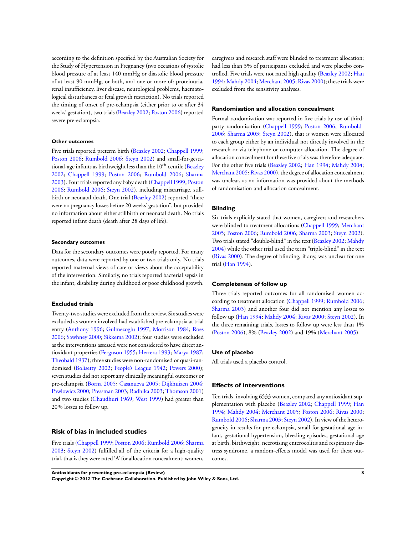according to the definition specified by the Australian Society for the Study of Hypertension in Pregnancy (two occasions of systolic blood pressure of at least 140 mmHg or diastolic blood pressure of at least 90 mmHg, or both, and one or more of: proteinuria, renal insufficiency, liver disease, neurological problems, haematological disturbances or fetal growth restriction). No trials reported the timing of onset of pre-eclampsia (either prior to or after 34 weeks' gestation), two trials [\(Beazley 2002;](#page-15-0) [Poston 2006](#page-15-0)) reported severe pre-eclampsia.

#### **Other outcomes**

Five trials reported preterm birth [\(Beazley 2002](#page-15-0); [Chappell 1999;](#page-15-0) [Poston 2006;](#page-15-0) [Rumbold 2006](#page-15-0); [Steyn 2002\)](#page-15-0) and small-for-gestational-age infants as birthweight less than the  $10^{th}$  centile ([Beazley](#page-15-0) [2002](#page-15-0); [Chappell 1999;](#page-15-0) [Poston 2006;](#page-15-0) [Rumbold 2006](#page-15-0); [Sharma](#page-15-0) [2003](#page-15-0)). Four trials reported any baby death ([Chappell 1999;](#page-15-0) [Poston](#page-15-0) [2006](#page-15-0); [Rumbold 2006](#page-15-0); [Steyn 2002](#page-15-0)), including miscarriage, stillbirth or neonatal death. One trial ([Beazley 2002](#page-15-0)) reported "there were no pregnancy losses before 20 weeks' gestation", but provided no information about either stillbirth or neonatal death. No trials reported infant death (death after 28 days of life).

#### **Secondary outcomes**

Data for the secondary outcomes were poorly reported. For many outcomes, data were reported by one or two trials only. No trials reported maternal views of care or views about the acceptability of the intervention. Similarly, no trials reported bacterial sepsis in the infant, disability during childhood or poor childhood growth.

#### **Excluded trials**

Twenty-two studies were excluded from the review. Six studies were excluded as women involved had established pre-eclampsia at trial entry [\(Anthony 1996;](#page-15-0) [Gulmezoglu 1997;](#page-15-0) [Morrison 1984](#page-15-0); [Roes](#page-15-0) [2006](#page-15-0); [Sawhney 2000](#page-15-0); [Sikkema 2002](#page-15-0)); four studies were excluded as the interventions assessed were not considered to have direct antioxidant properties [\(Ferguson 1955;](#page-15-0) [Herrera 1993](#page-15-0); [Marya 1987;](#page-15-0) [Theobald 1937](#page-15-0)); three studies were non-randomised or quasi-randomised ([Bolisetty 2002;](#page-15-0) [People's League 1942](#page-15-0); [Powers 2000](#page-15-0)); seven studies did not report any clinically meaningful outcomes or pre-eclampsia [\(Borna 2005](#page-15-0); [Casanueva 2005](#page-15-0); [Dijkhuizen 2004;](#page-15-0) [Pawlowicz 2000;](#page-15-0) [Pressman 2003;](#page-15-0) [Radhika 2003;](#page-15-0) [Thomson 2001](#page-15-0)) and two studies ([Chaudhuri 1969;](#page-15-0) [West 1999](#page-15-0)) had greater than 20% losses to follow up.

#### **Risk of bias in included studies**

Five trials [\(Chappell 1999;](#page-15-0) [Poston 2006](#page-15-0); [Rumbold 2006;](#page-15-0) [Sharma](#page-15-0) [2003](#page-15-0); [Steyn 2002\)](#page-15-0) fulfilled all of the criteria for a high-quality trial, that is they were rated 'A' for allocation concealment; women,

caregivers and research staff were blinded to treatment allocation; had less than 3% of participants excluded and were placebo controlled. Five trials were not rated high quality ([Beazley 2002](#page-15-0); [Han](#page-15-0) [1994](#page-15-0); [Mahdy 2004](#page-15-0); [Merchant 2005;](#page-15-0) [Rivas 2000](#page-15-0)); these trials were excluded from the sensitivity analyses.

#### **Randomisation and allocation concealment**

Formal randomisation was reported in five trials by use of thirdparty randomisation ([Chappell 1999;](#page-15-0) [Poston 2006;](#page-15-0) [Rumbold](#page-15-0) [2006](#page-15-0); [Sharma 2003](#page-15-0); [Steyn 2002](#page-15-0)), that is women were allocated to each group either by an individual not directly involved in the research or via telephone or computer allocation. The degree of allocation concealment for these five trials was therefore adequate. For the other five trials ([Beazley 2002;](#page-15-0) [Han 1994;](#page-15-0) [Mahdy 2004;](#page-15-0) [Merchant 2005](#page-15-0); [Rivas 2000](#page-15-0)), the degree of allocation concealment was unclear, as no information was provided about the methods of randomisation and allocation concealment.

#### **Blinding**

Six trials explicitly stated that women, caregivers and researchers were blinded to treatment allocations ([Chappell 1999;](#page-15-0) [Merchant](#page-15-0) [2005](#page-15-0); [Poston 2006;](#page-15-0) [Rumbold 2006;](#page-15-0) [Sharma 2003](#page-15-0); [Steyn 2002](#page-15-0)). Two trials stated "double-blind" in the text ([Beazley 2002](#page-15-0); [Mahdy](#page-15-0) [2004](#page-15-0)) while the other trial used the term "triple-blind" in the text [\(Rivas 2000\)](#page-15-0). The degree of blinding, if any, was unclear for one trial [\(Han 1994](#page-15-0)).

#### **Completeness of follow up**

Three trials reported outcomes for all randomised women according to treatment allocation [\(Chappell 1999](#page-15-0); [Rumbold 2006;](#page-15-0) [Sharma 2003\)](#page-15-0) and another four did not mention any losses to follow up [\(Han 1994;](#page-15-0) [Mahdy 2004](#page-15-0); [Rivas 2000;](#page-15-0) [Steyn 2002](#page-15-0)). In the three remaining trials, losses to follow up were less than 1% [\(Poston 2006\)](#page-15-0), 8% [\(Beazley 2002](#page-15-0)) and 19% ([Merchant 2005\)](#page-15-0).

#### **Use of placebo**

All trials used a placebo control.

#### **Effects of interventions**

Ten trials, involving 6533 women, compared any antioxidant supplementation with placebo [\(Beazley 2002;](#page-15-0) [Chappell 1999](#page-15-0); [Han](#page-15-0) [1994](#page-15-0); [Mahdy 2004](#page-15-0); [Merchant 2005;](#page-15-0) [Poston 2006;](#page-15-0) [Rivas 2000;](#page-15-0) [Rumbold 2006](#page-15-0); [Sharma 2003;](#page-15-0) [Steyn 2002\)](#page-15-0). In view of the heterogeneity in results for pre-eclampsia, small-for-gestational-age infant, gestational hypertension, bleeding episodes, gestational age at birth, birthweight, necrotising enterocolitis and respiratory distress syndrome, a random-effects model was used for these outcomes.

**Antioxidants for preventing pre-eclampsia (Review) 8**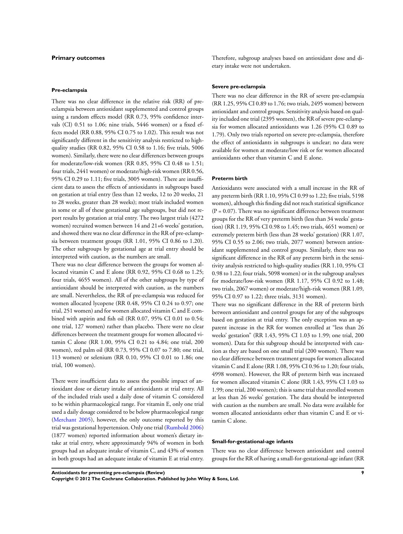#### **Primary outcomes**

#### **Pre-eclampsia**

There was no clear difference in the relative risk (RR) of preeclampsia between antioxidant supplemented and control groups using a random effects model (RR 0.73, 95% confidence intervals (CI) 0.51 to 1.06; nine trials, 5446 women) or a fixed effects model (RR 0.88, 95% CI 0.75 to 1.02). This result was not significantly different in the sensitivity analysis restricted to highquality studies (RR 0.82, 95% CI 0.58 to 1.16; five trials, 5006 women). Similarly, there were no clear differences between groups for moderate/low-risk women (RR 0.85, 95% CI 0.48 to 1.51; four trials, 2441 women) or moderate/high-risk women (RR 0.56, 95% CI 0.29 to 1.11; five trials, 3005 women). There are insufficient data to assess the effects of antioxidants in subgroups based on gestation at trial entry (less than 12 weeks, 12 to 20 weeks, 21 to 28 weeks, greater than 28 weeks); most trials included women in some or all of these gestational age subgroups, but did not report results by gestation at trial entry. The two largest trials (4272 women) recruited women between 14 and 21+6 weeks' gestation, and showed there was no clear difference in the RR of pre-eclampsia between treatment groups (RR 1.01, 95% CI 0.86 to 1.20). The other subgroups by gestational age at trial entry should be interpreted with caution, as the numbers are small.

There was no clear difference between the groups for women allocated vitamin C and E alone (RR 0.92, 95% CI 0.68 to 1.25; four trials, 4655 women). All of the other subgroups by type of antioxidant should be interpreted with caution, as the numbers are small. Nevertheless, the RR of pre-eclampsia was reduced for women allocated lycopene (RR 0.48, 95% CI 0.24 to 0.97; one trial, 251 women) and for women allocated vitamin C and E combined with aspirin and fish oil (RR 0.07, 95% CI 0.01 to 0.54; one trial, 127 women) rather than placebo. There were no clear differences between the treatment groups for women allocated vitamin C alone (RR 1.00, 95% CI 0.21 to 4.84; one trial, 200 women), red palm oil (RR 0.73, 95% CI 0.07 to 7.80; one trial, 113 women) or selenium (RR 0.10, 95% CI 0.01 to 1.86; one trial, 100 women).

There were insufficient data to assess the possible impact of antioxidant dose or dietary intake of antioxidants at trial entry. All of the included trials used a daily dose of vitamin C considered to be within pharmacological range. For vitamin E, only one trial used a daily dosage considered to be below pharmacological range [\(Merchant 2005](#page-15-0)), however, the only outcome reported by this trial was gestational hypertension. Only one trial ([Rumbold 2006](#page-15-0)) (1877 women) reported information about women's dietary intake at trial entry, where approximately 94% of women in both groups had an adequate intake of vitamin C, and 43% of women in both groups had an adequate intake of vitamin E at trial entry. Therefore, subgroup analyses based on antioxidant dose and dietary intake were not undertaken.

#### **Severe pre-eclampsia**

There was no clear difference in the RR of severe pre-eclampsia (RR 1.25, 95% CI 0.89 to 1.76; two trials, 2495 women) between antioxidant and control groups. Sensitivity analysis based on quality included one trial (2395 women), the RR of severe pre-eclampsia for women allocated antioxidants was 1.26 (95% CI 0.89 to 1.79). Only two trials reported on severe pre-eclampsia, therefore the effect of antioxidants in subgroups is unclear; no data were available for women at moderate/low risk or for women allocated antioxidants other than vitamin C and E alone.

#### **Preterm birth**

Antioxidants were associated with a small increase in the RR of any preterm birth (RR 1.10, 95% CI 0.99 to 1.22; five trials, 5198 women), although this finding did not reach statistical significance  $(P = 0.07)$ . There was no significant difference between treatment groups for the RR of very preterm birth (less than 34 weeks' gestation) (RR 1.19, 95% CI 0.98 to 1.45; two trials, 4651 women) or extremely preterm birth (less than 28 weeks' gestation) (RR 1.07, 95% CI 0.55 to 2.06; two trials, 2077 women) between antioxidant supplemented and control groups. Similarly, there was no significant difference in the RR of any preterm birth in the sensitivity analysis restricted to high-quality studies (RR 1.10, 95% CI 0.98 to 1.22; four trials, 5098 women) or in the subgroup analyses for moderate/low-risk women (RR 1.17, 95% CI 0.92 to 1.48; two trials, 2067 women) or moderate/high-risk women (RR 1.09, 95% CI 0.97 to 1.22; three trials, 3131 women).

There was no significant difference in the RR of preterm birth between antioxidant and control groups for any of the subgroups based on gestation at trial entry. The only exception was an apparent increase in the RR for women enrolled at "less than 26 weeks' gestation" (RR 1.43, 95% CI 1.03 to 1.99; one trial, 200 women). Data for this subgroup should be interpreted with caution as they are based on one small trial (200 women). There was no clear difference between treatment groups for women allocated vitamin C and E alone (RR 1.08, 95% CI 0.96 to 1.20; four trials, 4998 women). However, the RR of preterm birth was increased for women allocated vitamin C alone (RR 1.43, 95% CI 1.03 to 1.99; one trial, 200 women); this is same trial that enrolled women at less than 26 weeks' gestation. The data should be interpreted with caution as the numbers are small. No data were available for women allocated antioxidants other than vitamin C and E or vitamin C alone.

#### **Small-for-gestational-age infants**

There was no clear difference between antioxidant and control groups for the RR of having a small-for-gestational-age infant (RR

**Antioxidants for preventing pre-eclampsia (Review) 9 Copyright © 2012 The Cochrane Collaboration. Published by John Wiley & Sons, Ltd.**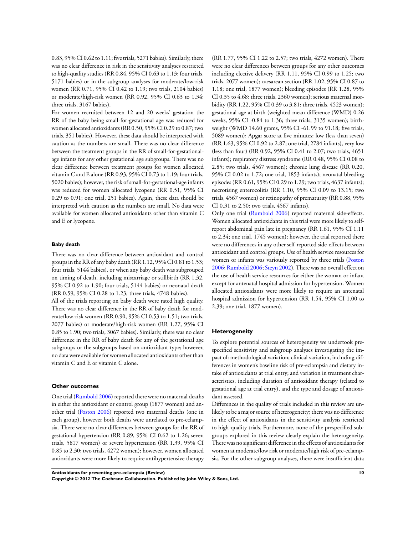0.83, 95% CI 0.62 to 1.11; five trials, 5271 babies). Similarly, there was no clear difference in risk in the sensitivity analyses restricted to high-quality studies (RR 0.84, 95% CI 0.63 to 1.13; four trials, 5171 babies) or in the subgroup analyses for moderate/low-risk women (RR 0.71, 95% CI 0.42 to 1.19; two trials, 2104 babies) or moderate/high-risk women (RR 0.92, 95% CI 0.63 to 1.34; three trials, 3167 babies).

For women recruited between 12 and 20 weeks' gestation the RR of the baby being small-for-gestational age was reduced for women allocated antioxidants (RR 0.50, 95% CI 0.29 to 0.87; two trials, 351 babies). However, these data should be interpreted with caution as the numbers are small. There was no clear difference between the treatment groups in the RR of small-for-gestationalage infants for any other gestational age subgroups. There was no clear difference between treatment groups for women allocated vitamin C and E alone (RR 0.93, 95% CI 0.73 to 1.19; four trials, 5020 babies); however, the risk of small-for-gestational-age infants was reduced for women allocated lycopene (RR 0.51, 95% CI 0.29 to 0.91; one trial, 251 babies). Again, these data should be interpreted with caution as the numbers are small. No data were available for women allocated antioxidants other than vitamin C and E or lycopene.

#### **Baby death**

There was no clear difference between antioxidant and control groups in the RR of any baby death (RR 1.12, 95% CI 0.81 to 1.53; four trials, 5144 babies), or when any baby death was subgrouped on timing of death, including miscarriage or stillbirth (RR 1.32, 95% CI 0.92 to 1.90; four trials, 5144 babies) or neonatal death (RR 0.59, 95% CI 0.28 to 1.23; three trials, 4748 babies).

All of the trials reporting on baby death were rated high quality. There was no clear difference in the RR of baby death for moderate/low-risk women (RR 0.90, 95% CI 0.53 to 1.51; two trials, 2077 babies) or moderate/high-risk women (RR 1.27, 95% CI 0.85 to 1.90; two trials, 3067 babies). Similarly, there was no clear difference in the RR of baby death for any of the gestational age subgroups or the subgroups based on antioxidant type; however, no data were available for women allocated antioxidants other than vitamin C and E or vitamin C alone.

# **Other outcomes**

One trial ([Rumbold 2006](#page-15-0)) reported there were no maternal deaths in either the antioxidant or control group (1877 women) and another trial [\(Poston 2006](#page-15-0)) reported two maternal deaths (one in each group), however both deaths were unrelated to pre-eclampsia. There were no clear differences between groups for the RR of gestational hypertension (RR 0.89, 95% CI 0.62 to 1.26; seven trials, 5817 women) or severe hypertension (RR 1.39, 95% CI 0.85 to 2.30; two trials, 4272 women); however, women allocated antioxidants were more likely to require antihypertensive therapy

(RR 1.77, 95% CI 1.22 to 2.57; two trials, 4272 women). There were no clear differences between groups for any other outcomes including elective delivery (RR 1.11, 95% CI 0.99 to 1.25; two trials, 2077 women); caesarean section (RR 1.02, 95% CI 0.87 to 1.18; one trial, 1877 women); bleeding episodes (RR 1.28, 95% CI 0.35 to 4.68; three trials, 2360 women); serious maternal morbidity (RR 1.22, 95% CI 0.39 to 3.81; three trials, 4523 women); gestational age at birth (weighted mean difference (WMD) 0.26 weeks, 95% CI -0.84 to 1.36; three trials, 3135 women); birthweight (WMD 14.60 grams, 95% CI -61.99 to 91.18; five trials, 5089 women); Apgar score at five minutes: low (less than seven) (RR 1.63, 95% CI 0.92 to 2.87; one trial, 2784 infants), very low (less than four) (RR 0.92, 95% CI 0.41 to 2.07; two trials, 4651 infants); respiratory distress syndrome (RR 0.48, 95% CI 0.08 to 2.85; two trials, 4567 women); chronic lung disease (RR 0.20, 95% CI 0.02 to 1.72; one trial, 1853 infants); neonatal bleeding episodes (RR 0.61, 95% CI 0.29 to 1.29; two trials, 4637 infants); necrotising enterocolitis (RR 1.10, 95% CI 0.09 to 13.15; two trials, 4567 women) or retinopathy of prematurity (RR 0.88, 95% CI 0.31 to 2.50; two trials, 4567 infants).

Only one trial ([Rumbold 2006](#page-15-0)) reported maternal side-effects. Women allocated antioxidants in this trial were more likely to selfreport abdominal pain late in pregnancy (RR 1.61, 95% CI 1.11 to 2.34; one trial, 1745 women); however, the trial reported there were no differences in any other self-reported side-effects between antioxidant and control groups. Use of health service resources for women or infants was variously reported by three trials ([Poston](#page-15-0) [2006](#page-15-0); [Rumbold 2006;](#page-15-0) [Steyn 2002\)](#page-15-0). There was no overall effect on the use of health service resources for either the woman or infant except for antenatal hospital admission for hypertension. Women allocated antioxidants were more likely to require an antenatal hospital admission for hypertension (RR 1.54, 95% CI 1.00 to 2.39; one trial, 1877 women).

#### **Heterogeneity**

To explore potential sources of heterogeneity we undertook prespecified sensitivity and subgroup analyses investigating the impact of: methodological variation; clinical variation, including differences in women's baseline risk of pre-eclampsia and dietary intake of antioxidants at trial entry; and variation in treatment characteristics, including duration of antioxidant therapy (related to gestational age at trial entry), and the type and dosage of antioxidant assessed.

Differences in the quality of trials included in this review are unlikely to be a major source of heterogeneity; there was no difference in the effect of antioxidants in the sensitivity analysis restricted to high-quality trials. Furthermore, none of the prespecified subgroups explored in this review clearly explain the heterogeneity. There was no significant difference in the effects of antioxidants for women at moderate/low risk or moderate/high risk of pre-eclampsia. For the other subgroup analyses, there were insufficient data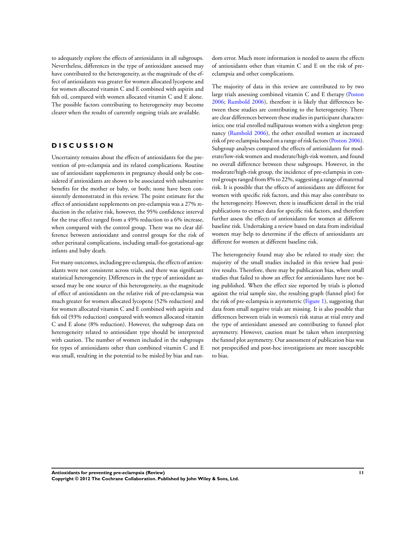to adequately explore the effects of antioxidants in all subgroups. Nevertheless, differences in the type of antioxidant assessed may have contributed to the heterogeneity, as the magnitude of the effect of antioxidants was greater for women allocated lycopene and for women allocated vitamin C and E combined with aspirin and fish oil, compared with women allocated vitamin C and E alone. The possible factors contributing to heterogeneity may become clearer when the results of currently ongoing trials are available.

# **D I S C U S S I O N**

Uncertainty remains about the effects of antioxidants for the prevention of pre-eclampsia and its related complications. Routine use of antioxidant supplements in pregnancy should only be considered if antioxidants are shown to be associated with substantive benefits for the mother or baby, or both; none have been consistently demonstrated in this review. The point estimate for the effect of antioxidant supplements on pre-eclampsia was a 27% reduction in the relative risk, however, the 95% confidence interval for the true effect ranged from a 49% reduction to a 6% increase, when compared with the control group. There was no clear difference between antioxidant and control groups for the risk of other perinatal complications, including small-for-gestational-age infants and baby death.

For many outcomes, including pre-eclampsia, the effects of antioxidants were not consistent across trials, and there was significant statistical heterogeneity. Differences in the type of antioxidant assessed may be one source of this heterogeneity, as the magnitude of effect of antioxidants on the relative risk of pre-eclampsia was much greater for women allocated lycopene (52% reduction) and for women allocated vitamin C and E combined with aspirin and fish oil (93% reduction) compared with women allocated vitamin C and E alone (8% reduction). However, the subgroup data on heterogeneity related to antioxidant type should be interpreted with caution. The number of women included in the subgroups for types of antioxidants other than combined vitamin C and E was small, resulting in the potential to be misled by bias and ran-

dom error. Much more information is needed to assess the effects of antioxidants other than vitamin C and E on the risk of preeclampsia and other complications.

The majority of data in this review are contributed to by two large trials assessing combined vitamin C and E therapy ([Poston](#page-15-0) [2006](#page-15-0); [Rumbold 2006](#page-15-0)), therefore it is likely that differences between these studies are contributing to the heterogeneity. There are clear differences between these studies in participant characteristics; one trial enrolled nulliparous women with a singleton pregnancy ([Rumbold 2006\)](#page-15-0), the other enrolled women at increased risk of pre-eclampsia based on a range of risk factors [\(Poston 2006](#page-15-0)). Subgroup analyses compared the effects of antioxidants for moderate/low-risk women and moderate/high-risk women, and found no overall difference between these subgroups. However, in the moderate/high-risk group, the incidence of pre-eclampsia in control groups ranged from 8% to 22%, suggesting a range of maternal risk. It is possible that the effects of antioxidants are different for women with specific risk factors, and this may also contribute to the heterogeneity. However, there is insufficient detail in the trial publications to extract data for specific risk factors, and therefore further assess the effects of antioxidants for women at different baseline risk. Undertaking a review based on data from individual women may help to determine if the effects of antioxidants are different for women at different baseline risk.

The heterogeneity found may also be related to study size; the majority of the small studies included in this review had positive results. Therefore, there may be publication bias, where small studies that failed to show an effect for antioxidants have not being published. When the effect size reported by trials is plotted against the trial sample size, the resulting graph (funnel plot) for the risk of pre-eclampsia is asymmetric [\(Figure 1](#page-14-0)), suggesting that data from small negative trials are missing. It is also possible that differences between trials in women's risk status at trial entry and the type of antioxidant assessed are contributing to funnel plot asymmetry. However, caution must be taken when interpreting the funnel plot asymmetry. Our assessment of publication bias was not prespecified and post-hoc investigations are more susceptible to bias.

**Antioxidants for preventing pre-eclampsia (Review) 11 Copyright © 2012 The Cochrane Collaboration. Published by John Wiley & Sons, Ltd.**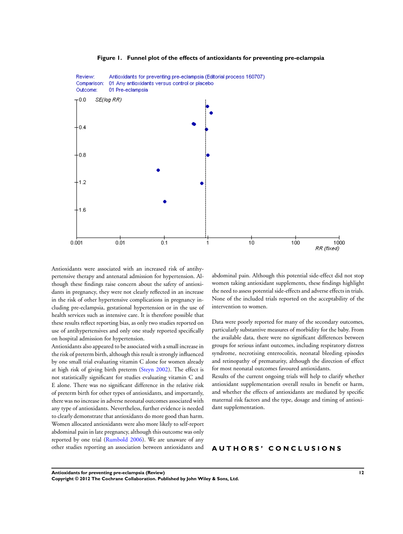<span id="page-14-0"></span>



Antioxidants were associated with an increased risk of antihypertensive therapy and antenatal admission for hypertension. Although these findings raise concern about the safety of antioxidants in pregnancy, they were not clearly reflected in an increase in the risk of other hypertensive complications in pregnancy including pre-eclampsia, gestational hypertension or in the use of health services such as intensive care. It is therefore possible that these results reflect reporting bias, as only two studies reported on use of antihypertensives and only one study reported specifically on hospital admission for hypertension.

Antioxidants also appeared to be associated with a small increase in the risk of preterm birth, although this result is strongly influenced by one small trial evaluating vitamin C alone for women already at high risk of giving birth preterm [\(Steyn 2002\)](#page-15-0). The effect is not statistically significant for studies evaluating vitamin C and E alone. There was no significant difference in the relative risk of preterm birth for other types of antioxidants, and importantly, there was no increase in adverse neonatal outcomes associated with any type of antioxidants. Nevertheless, further evidence is needed to clearly demonstrate that antioxidants do more good than harm. Women allocated antioxidants were also more likely to self-report abdominal pain in late pregnancy, although this outcome was only reported by one trial [\(Rumbold 2006](#page-15-0)). We are unaware of any other studies reporting an association between antioxidants and abdominal pain. Although this potential side-effect did not stop women taking antioxidant supplements, these findings highlight the need to assess potential side-effects and adverse effects in trials. None of the included trials reported on the acceptability of the intervention to women.

Data were poorly reported for many of the secondary outcomes, particularly substantive measures of morbidity for the baby. From the available data, there were no significant differences between groups for serious infant outcomes, including respiratory distress syndrome, necrotising enterocolitis, neonatal bleeding episodes and retinopathy of prematurity, although the direction of effect for most neonatal outcomes favoured antioxidants.

Results of the current ongoing trials will help to clarify whether antioxidant supplementation overall results in benefit or harm, and whether the effects of antioxidants are mediated by specific maternal risk factors and the type, dosage and timing of antioxidant supplementation.

# **A U T H O R S ' C O N C L U S I O N S**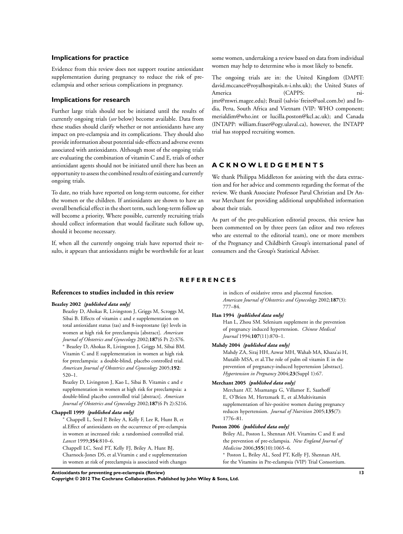#### <span id="page-15-0"></span>**Implications for practice**

Evidence from this review does not support routine antioxidant supplementation during pregnancy to reduce the risk of preeclampsia and other serious complications in pregnancy.

#### **Implications for research**

Further large trials should not be initiated until the results of currently ongoing trials (*see* below) become available. Data from these studies should clarify whether or not antioxidants have any impact on pre-eclampsia and its complications. They should also provide information about potential side-effects and adverse events associated with antioxidants. Although most of the ongoing trials are evaluating the combination of vitamin C and E, trials of other antioxidant agents should not be initiated until there has been an opportunity to assess the combined results of existing and currently ongoing trials.

To date, no trials have reported on long-term outcome, for either the women or the children. If antioxidants are shown to have an overall beneficial effect in the short term, such long-term follow up will become a priority, Where possible, currently recruiting trials should collect information that would facilitate such follow up, should it become necessary.

If, when all the currently ongoing trials have reported their results, it appears that antioxidants might be worthwhile for at least

some women, undertaking a review based on data from individual women may help to determine who is most likely to benefit.

The ongoing trials are in: the United Kingdom (DAPIT: david.mccance@royalhospitals.n-i.nhs.uk); the United States of America (CAPPS: rsijmr@mwri.magee.edu); Brazil (salvio˙freire@uol.com.br) and India, Peru, South Africa and Vietnam (VIP: WHO component; merialdim@who.int or lucilla.poston@kcl.ac.uk); and Canada (INTAPP: william.fraser@ogy.ulaval.ca), however, the INTAPP trial has stopped recruiting women.

# **A C K N O W L E D G E M E N T S**

We thank Philippa Middleton for assisting with the data extraction and for her advice and comments regarding the format of the review. We thank Associate Professor Parul Christian and Dr Anwar Merchant for providing additional unpublished information about their trials.

As part of the pre-publication editorial process, this review has been commented on by three peers (an editor and two referees who are external to the editorial team), one or more members of the Pregnancy and Childbirth Group's international panel of consumers and the Group's Statistical Adviser.

#### **R E F E R E N C E S**

#### **References to studies included in this review**

#### **Beazley 2002** *{published data only}*

Beazley D, Ahokas R, Livingston J, Griggs M, Scroggs M, Sibai B. Effects of vitamin c and e supplementation on total antioxidant status (tas) and 8-isoprostane (ip) levels in women at high risk for preeclampsia [abstract]. *American Journal of Obstetrics and Gynecology* 2002;**187**(6 Pt 2):S76. <sup>∗</sup> Beazley D, Ahokas R, Livingston J, Griggs M, Sibai BM. Vitamin C and E supplementation in women at high risk for preeclampsia: a double-blind, placebo controlled trial. *American Journal of Obstetrics and Gynecology* 2005;**192**: 520–1.

Beazley D, Livingston J, Kao L, Sibai B. Vitamin c and e supplementation in women at high risk for preeclampsia: a double-blind placebo controlled trial [abstract]. *American Journal of Obstetrics and Gynecology* 2002;**187**(6 Pt 2):S216.

**Chappell 1999** *{published data only}*

<sup>∗</sup> Chappell L, Seed P, Briley A, Kelly F, Lee R, Hunt B, et al.Effect of antioxidants on the occurrence of pre-eclampsia in women at increased risk: a randomised controlled trial. *Lancet* 1999;**354**:810–6.

Chappell LC, Seed PT, Kelly FJ, Briley A, Hunt BJ, Charnock-Jones DS, et al.Vitamin c and e supplementation in women at risk of preeclampsia is associated with changes

in indices of oxidative stress and placental function. *American Journal of Obstetrics and Gynecology* 2002;**187**(3): 777–84.

#### **Han 1994** *{published data only}*

Han L, Zhou SM. Selenium supplement in the prevention of pregnancy induced hypertension. *Chinese Medical Journal* 1994;**107**(11):870–1.

#### **Mahdy 2004** *{published data only}*

Mahdy ZA, Siraj HH, Azwar MH, Wahab MA, Khaza'ai H, Mutalib MSA, et al.The role of palm oil vitamin E in the prevention of pregnancy-induced hypertension [abstract]. *Hypertension in Pregnancy* 2004;**23**(Suppl 1):67.

#### **Merchant 2005** *{published data only}*

Merchant AT, Msamanga G, Villamor E, Saathoff E, O'Brien M, Hertzmark E, et al.Multivitamin supplementation of hiv-positive women during pregnancy reduces hypertension. *Journal of Nutrition* 2005;**135**(7): 1776–81.

#### **Poston 2006** *{published data only}*

Briley AL, Poston L, Shennan AH. Vitamins C and E and the prevention of pre-eclampsia. *New England Journal of Medicine* 2006;**355**(10):1065–6.

<sup>∗</sup> Poston L, Briley AL, Seed PT, Kelly FJ, Shennan AH, for the Vitamins in Pre-eclampsia (VIP) Trial Consortium.

**Antioxidants for preventing pre-eclampsia (Review) 13**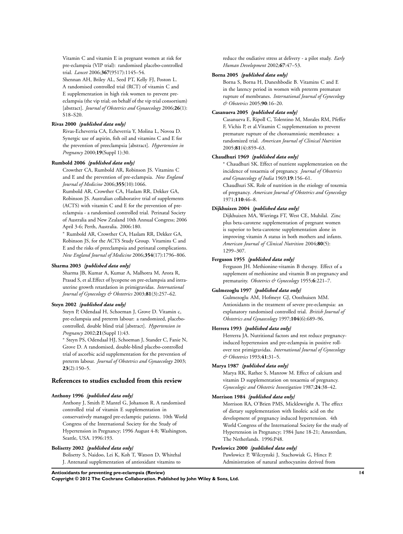Vitamin C and vitamin E in pregnant women at risk for pre-eclampsia (VIP trial): randomised placebo-controlled trial. *Lancet* 2006;**367**(9517):1145–54.

Shennan AH, Briley AL, Seed PT, Kelly FJ, Poston L. A randomised controlled trial (RCT) of vitamin C and E supplementation in high risk women to prevent preeclampsia (the vip trial; on behalf of the vip trial consortium) [abstract]. *Journal of Obstetrics and Gynaecology* 2006;**26**(1): S18–S20.

#### **Rivas 2000** *{published data only}*

Rivas-Echeverria CA, Echeverria Y, Molina L, Novoa D. Synergic use of aspirin, fish oil and vitamins C and E for the prevention of preeclampsia [abstract]. *Hypertension in Pregnancy* 2000;**19**(Suppl 1):30.

#### **Rumbold 2006** *{published data only}*

Crowther CA, Rumbold AR, Robinson JS. Vitamins C and E and the prevention of pre-eclampsia. *New England Journal of Medicine* 2006;**355**(10):1066.

Rumbold AR, Crowther CA, Haslam RR, Dekker GA, Robinson JS. Australian collaborative trial of supplements (ACTS) with vitamin C and E for the prevention of preeclampsia - a randomised controlled trial. Perinatal Society of Australia and New Zealand 10th Annual Congress; 2006 April 3-6; Perth, Australia. 2006:180.

<sup>∗</sup> Rumbold AR, Crowther CA, Haslam RR, Dekker GA, Robinson JS, for the ACTS Study Group. Vitamins C and E and the risks of preeclampsia and perinatal complications. *New England Journal of Medicine* 2006;**354**(17):1796–806.

#### **Sharma 2003** *{published data only}*

Sharma JB, Kumar A, Kumar A, Malhotra M, Arora R, Prasad S, et al.Effect of lycopene on pre-eclampsia and intrauterine growth retardation in primigravidas. *International Journal of Gynecology & Obstetrics* 2003;**81**(3):257–62.

#### **Steyn 2002** *{published data only}*

Steyn P, Odendaal H, Schoeman J, Grove D. Vitamin c, pre-eclampsia and preterm labour: a randomized, placebocontrolled, double blind trial [abstract]. *Hypertension in Pregnancy* 2002;**21**(Suppl 1):43.

<sup>∗</sup> Steyn PS, Odendaal HJ, Schoeman J, Stander C, Fanie N, Grove D. A randomised, double-blind placebo-controlled trial of ascorbic acid supplementation for the prevention of preterm labour. *Journal of Obstetrics and Gynaecology* 2003; **23**(2):150–5.

#### **References to studies excluded from this review**

#### **Anthony 1996** *{published data only}*

Anthony J, Smith P, Mantel G, Johanson R. A randomised controlled trial of vitamin E supplementation in conservatively managed pre-eclamptic patients. 10th World Congress of the International Society for the Study of Hypertension in Pregnancy; 1996 August 4-8; Washington, Seattle, USA. 1996:193.

#### **Bolisetty 2002** *{published data only}*

Bolisetty S, Naidoo, Lei K, Koh T, Watson D, Whitehal J. Antenatal supplementation of antioxidant vitamins to

reduce the oxdiative stress at delivery - a pilot study. *Early Human Development* 2002;**67**:47–53.

#### **Borna 2005** *{published data only}*

Borna S, Borna H, Daneshbodie B. Vitamins C and E in the latency period in women with preterm premature rupture of membranes. *International Journal of Gynecology & Obstetrics* 2005;**90**:16–20.

#### **Casanueva 2005** *{published data only}*

Casanueva E, Ripoll C, Tolentino M, Morales RM, Pfeffer F, Vichis P, et al.Vitamin C supplementation to prevent premature rupture of the choroamniotic membranes: a randomized trial. *American Journal of Clinical Nutrition* 2005;**81**(4):859–63.

#### **Chaudhuri 1969** *{published data only}*

<sup>∗</sup> Chaudhuri SK. Effect of nutrient supplementation on the incidence of toxaemia of pregnancy. *Journal of Obstetrics and Gynaecology of India* 1969;**19**:156–61.

Chaudhuri SK. Role of nutrition in the etiology of toxemia of pregnancy. *American Journal of Obstetrics and Gynecology* 1971;**110**:46–8.

#### **Dijkhuizen 2004** *{published data only}*

Dijkhuizen MA, Wieringa FT, West CE, Muhilal. Zinc plus beta-carotene supplementation of pregnant women is superior to beta-carotene supplementation alone in improving vitamin A status in both mothers and infants. *American Journal of Clinical Nutrition* 2004;**80**(5): 1299–307.

#### **Ferguson 1955** *{published data only}*

Ferguson JH. Methionine-vitamin B therapy. Effect of a supplement of methionine and vitamin B on pregnancy and prematurity. *Obstetrics & Gynecology* 1955;**6**:221–7.

#### **Gulmezoglu 1997** *{published data only}*

Gulmezoglu AM, Hofmeyr GJ, Oosthuisen MM. Antioxidants in the treatment of severe pre-eclampsia: an explanatory randomised controlled trial. *British Journal of Obstetrics and Gynaecology* 1997;**104**(6):689–96.

#### **Herrera 1993** *{published data only}*

Herrerra JA. Nutritional factors and rest reduce pregnancyinduced hypertension and pre-eclampsia in positive rollover test primigravidas. *International Journal of Gynecology & Obstetrics* 1993;**41**:31–5.

#### **Marya 1987** *{published data only}*

Marya RK, Rathee S, Manrow M. Effect of calcium and vitamin D supplementation on toxaemia of pregnancy. *Gynecologic and Obstetric Investigation* 1987;**24**:38–42.

#### **Morrison 1984** *{published data only}*

Morrison RA, O'Brien PMS, Micklewright A. The effect of dietary supplementation with linoleic acid on the development of pregnancy induced hypertension. 4th World Congress of the International Society for the study of Hypertension in Pregnancy; 1984 June 18-21; Amsterdam, The Netherlands. 1996:P48.

#### **Pawlowicz 2000** *{published data only}*

Pawlowicz P, Wilczynski J, Stachowiak G, Hincz P. Administration of natural anthocyanins derived from

**Antioxidants for preventing pre-eclampsia (Review) 14**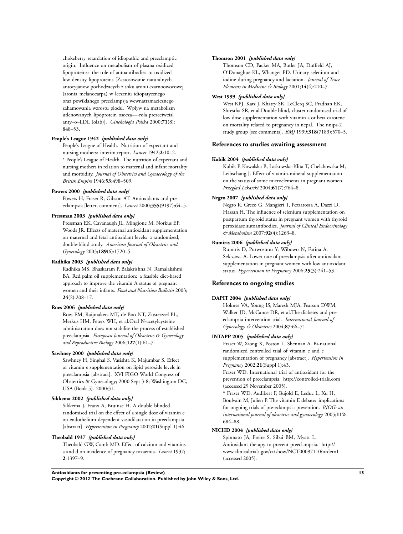chokeberry retardation of idiopathic and preeclamptic origin. Influence on metabolism of plasma oxidized lipoproteins: the role of autoantibodies to oxidized low density lipoproteins [Zastosowanie naturalnych antocyjanow pochodzacych z soku aronii czarnoowocowej (aronia melanocarpa) w leczeniu idiopatycznego oraz powiklanego preeclampsja wewnatrzmacicznego zahamowania wzrostu plodu. Wplyw na metabolizm utlenowanych lipoprotein osocza—-rola prezeciwcial anty–o–LDL (olab)]. *Ginekologia Polska* 2000;**71**(8): 848–53.

#### **People's League 1942** *{published data only}*

People's League of Health. Nutrition of expectant and nursing mothers: interim report. *Lancet* 1942;**2**:10–2. <sup>∗</sup> People's League of Health. The nutrition of expectant and nursing mothers in relation to maternal and infant mortality and morbidity. *Journal of Obstetrics and Gynaecology of the British Empire* 1946;**53**:498–509.

#### **Powers 2000** *{published data only}*

Powers H, Fraser R, Gibson AT. Antioxidants and preeclampsia [letter; comment]. *Lancet* 2000;**355**(9197):64–5.

#### **Pressman 2003** *{published data only}*

Pressman EK, Cavanaugh JL, Mingione M, Norkus EP, Woods JR. Effects of maternal antioxidant supplementation on maternal and fetal antioxidant levels: a randomized, double-blind study. *American Journal of Obstetrics and Gynecology* 2003;**189**(6):1720–5.

#### **Radhika 2003** *{published data only}*

Radhika MS, Bhaskaram P, Balakrishna N, Ramalakshmi BA. Red palm oil supplementation: a feasible diet-based approach to improve the vitamin A status of pregnant women and their infants. *Food and Nutrition Bulletin* 2003; **24**(2):208–17.

#### **Roes 2006** *{published data only}*

Roes EM, Raijmakers MT, de Boo NT, Zusterzeel PL, Merkus HM, Peters WH, et al.Oral N-acetylcysteine administration does not stabilise the process of established preeclampsia. *European Journal of Obstetrics & Gynecology and Reproductive Biology* 2006;**127**(1):61–7.

#### **Sawhney 2000** *{published data only}*

Sawhney H, Singhal S, Vasishta K, Majumbar S. Effect of vitamin e supplementation on lipid peroxide levels in preeclampsia [abstract]. XVI FIGO World Congress of Obstetrics & Gynecology; 2000 Sept 3-8; Washington DC, USA (Book 5). 2000:31.

#### **Sikkema 2002** *{published data only}*

Sikkema J, Franx A, Bruinse H. A double blinded randomised trial on the effect of a single dose of vitamin c on endothelium dependent vasodilatation in preeclampsia [abstract]. *Hypertension in Pregnancy* 2002;**21**(Suppl 1):46.

#### **Theobald 1937** *{published data only}*

Theobald GW, Camb MD. Effect of calcium and vitamins a and d on incidence of pregnancy toxaemia. *Lancet* 1937; **2**:1397–9.

#### **Thomson 2001** *{published data only}*

Thomson CD, Packer MA, Butler JA, Duffield AJ, O'Donaghue KL, Whanger PD. Urinary selenium and iodine during pregnancy and lactation. *Journal of Trace Elements in Medicine & Biology* 2001;**14**(4):210–7.

#### **West 1999** *{published data only}*

West KPJ, Katz J, Khatry SK, LeClerq SC, Pradhan EK, Shrestha SR, et al.Double blind, cluster randomised trial of low dose supplementation with vitamin a or beta carotene on mortality related to pregnancy in nepal. The nnips-2 study group [see comments]. *BMJ* 1999;**318**(7183):570–5.

#### **References to studies awaiting assessment**

#### **Kubik 2004** *{published data only}*

Kubik P, Kowalska B, Laskowska-Klita T, Chelchowska M, Leibschang J. Effect of vitamin-mineral supplementation on the status of some microelements in pregnant women. *Przeglad Lekarski* 2004;**61**(7):764–8.

#### **Negro 2007** *{published data only}*

Negro R, Greco G, Mangieri T, Pezzarossa A, Dazzi D, Hassan H. The influence of selenium supplementation on postpartum thyroid status in pregnant women with thyroid peroxidase autoantibodies. *Journal of Clinical Endocrinology & Metabolism* 2007;**92**(4):1263–8.

#### **Rumiris 2006** *{published data only}*

Rumiris D, Purwosunu Y, Wibowo N, Farina A, Sekizawa A. Lower rate of preeclampsia after antioxidant supplementation in pregnant women with low antioxidant status. *Hypertension in Pregnancy* 2006;**25**(3):241–53.

#### **References to ongoing studies**

#### **DAPIT 2004** *{published data only}*

Holmes VA, Young IS, Maresh MJA, Pearson DWM, Walker JD, McCance DR, et al.The diabetes and preeclampsia intervention trial. *International Journal of Gynecology & Obstetrics* 2004;**87**:66–71.

#### **INTAPP 2005** *{published data only}*

Fraser W, Xiong X, Poston L, Shennan A. Bi-national randomized controlled trial of vitamin c and e supplementation of pregnancy [abstract]. *Hypertension in Pregnancy* 2002;**21**(Suppl 1):43.

Fraser WD. International trial of antioxidant for the prevention of preeclampsia. http://controlled-trials.com (accessed 29 November 2005).

<sup>∗</sup> Fraser WD, Audibert F, Bujold E, Leduc L, Xu H, Boulvain M, Julien P. The vitamin E debate: implications for ongoing trials of pre-eclampsia prevention. *BJOG: an international journal of obstetrics and gynaecology* 2005;**112**: 684–88.

#### **NICHD 2004** *{published data only}*

Spinnato JA, Freire S, Sibai BM, Myatt L. Antioxidant therapy to prevent preeclampsia. http:// www.clinicaltrials.gov/ct/show/NCT00097110?order=1 (accessed 2005).

**Antioxidants for preventing pre-eclampsia (Review) 15**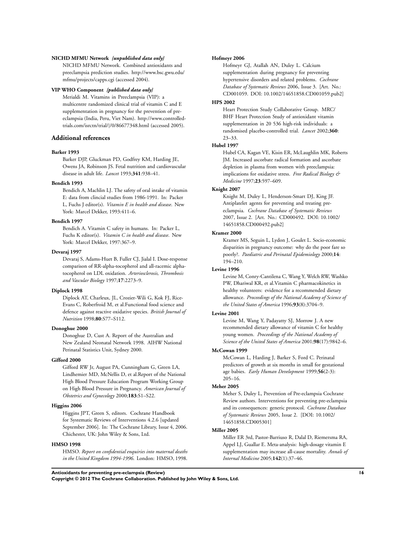#### **NICHD MFMU Network** *{unpublished data only}*

NICHD MFMU Network. Combined antioxidants and preeclampsia prediction studies. http://www.bsc.gwu.edu/ mfmu/projects/capps.cgi (accessed 2004).

#### **VIP WHO Component** *{published data only}*

Merialdi M. Vitamins in Preeclampsia (VIP): a multicentre randomized clinical trial of vitamin C and E supplementation in pregnancy for the prevention of preeclampsia (India, Peru, Viet Nam). http://www.controlledtrials.com/isrctn/trial/|/0/86677348.html (accessed 2005).

# **Additional references**

#### **Barker 1993**

Barker DJP, Gluckman PD, Godfrey KM, Harding JE, Owens JA, Robinson JS. Fetal nutrition and cardiovascular disease in adult life. *Lancet* 1993;**341**:938–41.

#### **Bendich 1993**

Bendich A, Machlin LJ. The safety of oral intake of vitamin E: data from clincial studies from 1986-1991. In: Packer L, Fuchs J editor(s). *Vitamin E in health and disease*. New York: Marcel Dekker, 1993:411–6.

#### **Bendich 1997**

Bendich A. Vitamin C safety in humans. In: Packer L, Fuchs K editor(s). *Vitamin C in health and disease*. New York: Marcel Dekker, 1997:367–9.

# **Devaraj 1997**

Devaraj S, Adams-Huet B, Fuller CJ, Jialal I. Dose-response comparison of RR-alpha-tocopherol and all-racemic alphatocopherol on LDL oxidation. *Arteriosclerosis, Thrombosis and Vascular Biology* 1997;**17**:2273–9.

# **Diplock 1998**

Diplock AT, Charleux, JL, Crozier-Wili G, Kok FJ, Rice-Evans C, Roberfroid M, et al.Functional food science and defence against reactive oxidative species. *British Journal of Nutrition* 1998;**80**:S77–S112.

#### **Donoghue 2000**

Donoghue D, Cust A. Report of the Australian and New Zealand Neonatal Network 1998. AIHW National Perinatal Statistics Unit, Sydney 2000.

#### **Gifford 2000**

Gifford RW Jr, August PA, Cunningham G, Green LA, Lindhemier MD, McNellis D, et al.Report of the National High Blood Pressure Education Program Working Group on High Blood Pressure in Pregnancy. *American Journal of Obstetrics and Gynecology* 2000;**183**:S1–S22.

#### **Higgins 2006**

Higgins JPT, Green S, editors. Cochrane Handbook for Systematic Reviews of Interventions 4.2.6 [updated September 2006]. In: The Cochrane Library, Issue 4, 2006. Chichester, UK: John Wiley & Sons, Ltd.

#### **HMSO 1998**

HMSO. *Report on confidential enquiries into maternal deaths in the United Kingdom 1994-1996*. London: HMSO, 1998.

#### **Hofmeyr 2006**

Hofmeyr GJ, Atallah AN, Duley L. Calcium supplementation during pregnancy for preventing hypertensive disorders and related problems. *Cochrane Database of Systematic Reviews* 2006, Issue 3. [Art. No.: CD001059. DOI: 10.1002/14651858.CD001059.pub2]

# **HPS 2002**

Heart Protection Study Collaborative Group. MRC/ BHF Heart Protection Study of antioxidant vitamin supplementation in 20 536 high-risk individuals: a randomised placebo-controlled trial. *Lancet* 2002;**360**: 23–33.

#### **Hubel 1997**

Hubel CA, Kagan VE, Kisin ER, McLaughlin MK, Roberts JM. Increased ascorbate radical formation and ascorbate depletion in plasma from women with preeclampsia: implications for oxidative stress. *Free Radical Biology & Medicine* 1997;**23**:597–609.

#### **Knight 2007**

Knight M, Duley L, Henderson-Smart DJ, King JF. Antiplatelet agents for preventing and treating preeclampsia. *Cochrane Database of Systematic Reviews* 2007, Issue 2. [Art. No.: CD000492. DOI: 10.1002/ 14651858.CD000492.pub2]

#### **Kramer 2000**

Kramer MS, Seguin L, Lydon J, Goulet L. Socio-economic disparities in pregnancy outcome: why do the poor fare so poorly?. *Paediatric and Perinatal Epidemiology* 2000;**14**: 194–210.

#### **Levine 1996**

Levine M, Conry-Cantilena C, Wang Y, Welch RW, Washko PW, Dhariwal KR, et al.Vitamin C pharmacokinetics in healthy volunteers: evidence for a recommended dietary allowance. *Proceedings of the National Academy of Science of the United States of America* 1996;**93**(8):3704–9.

#### **Levine 2001**

Levine M, Wang Y, Padayatty SJ, Morrow J. A new recommended dietary allowance of vitamin C for healthy young women. *Proceedings of the National Academy of Science of the United States of America* 2001;**98**(17):9842–6.

#### **McCowan 1999**

McCowan L, Harding J, Barker S, Ford C. Perinatal predictors of growth at six months in small for gestational age babies. *Early Human Development* 1999;**56**(2-3): 205–16.

#### **Meher 2005**

Meher S, Duley L, Prevention of Pre-eclampsia Cochrane Review authors. Interventions for preventing pre-eclampsia and its consequences: generic protocol. *Cochrane Database of Systematic Reviews* 2005, Issue 2. [DOI: 10.1002/ 14651858.CD005301]

#### **Miller 2005**

Miller ER 3rd, Pastor-Barriuso R, Dalal D, Riemersma RA, Appel LJ, Guallar E. Meta-analysis: high-dosage vitamin E supplementation may increase all-cause mortality. *Annals of Internal Medicine* 2005;**142**(1):37–46.

**Antioxidants for preventing pre-eclampsia (Review) 16**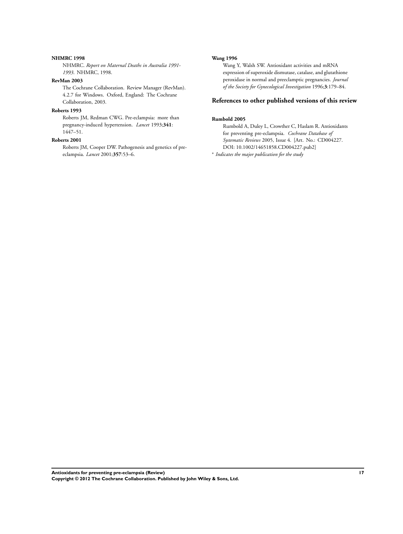#### **NHMRC 1998**

NHMRC. *Report on Maternal Deaths in Australia 1991- 1993*. NHMRC, 1998.

### **RevMan 2003**

The Cochrane Collaboration. Review Manager (RevMan). 4.2.7 for Windows. Oxford, England: The Cochrane Collaboration, 2003.

#### **Roberts 1993**

Roberts JM, Redman CWG. Pre-eclampsia: more than pregnancy-induced hypertension. *Lancet* 1993;**341**: 1447–51.

#### **Roberts 2001**

Roberts JM, Cooper DW. Pathogenesis and genetics of preeclampsia. *Lancet* 2001;**357**:53–6.

#### **Wang 1996**

Wang Y, Walsh SW. Antioxidant activities and mRNA expression of superoxide dismutase, catalase, and glutathione peroxidase in normal and preeclamptic pregnancies. *Journal of the Society for Gynecological Investigation* 1996;**3**:179–84.

# **References to other published versions of this review**

#### **Rumbold 2005**

Rumbold A, Duley L, Crowther C, Haslam R. Antioxidants for preventing pre-eclampsia. *Cochrane Database of Systematic Reviews* 2005, Issue 4. [Art. No.: CD004227. DOI: 10.1002/14651858.CD004227.pub2]

∗ *Indicates the major publication for the study*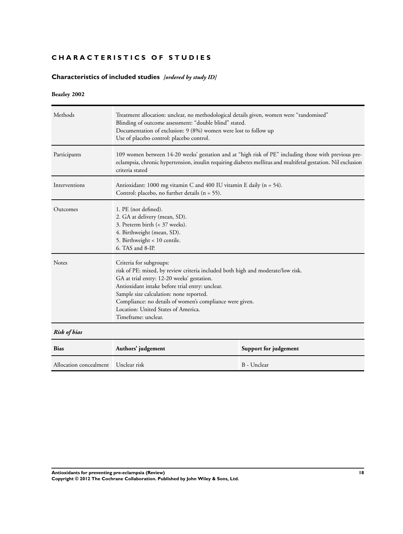# <span id="page-20-0"></span>**CHARACTERISTICS OF STUDIES**

# **Characteristics of included studies** *[ordered by study ID]*

# **Beazley 2002**

| Methods             | Treatment allocation: unclear, no methodological details given, women were "randomised"<br>Blinding of outcome assessment: "double blind" stated.<br>Documentation of exclusion: 9 (8%) women were lost to follow up<br>Use of placebo control: placebo control.                                                                                                                 |
|---------------------|----------------------------------------------------------------------------------------------------------------------------------------------------------------------------------------------------------------------------------------------------------------------------------------------------------------------------------------------------------------------------------|
| Participants        | 109 women between 14-20 weeks' gestation and at "high risk of PE" including those with previous pre-<br>eclampsia, chronic hypertension, insulin requiring diabetes mellitus and multifetal gestation. Nil exclusion<br>criteria stated                                                                                                                                          |
| Interventions       | Antioxidant: 1000 mg vitamin C and 400 IU vitamin E daily ( $n = 54$ ).<br>Control: placebo, no further details (n = 55).                                                                                                                                                                                                                                                        |
| Outcomes            | 1. PE (not defined).<br>2. GA at delivery (mean, SD).<br>3. Preterm birth $(37 weeks).$<br>4. Birthweight (mean, SD).<br>5. Birthweight < 10 centile.<br>6. TAS and 8-IP.                                                                                                                                                                                                        |
| <b>Notes</b>        | Criteria for subgroups:<br>risk of PE: mixed, by review criteria included both high and moderate/low risk.<br>GA at trial entry: 12-20 weeks' gestation.<br>Antioxidant intake before trial entry: unclear.<br>Sample size calculation: none reported.<br>Compliance: no details of women's compliance were given.<br>Location: United States of America.<br>Timeframe: unclear. |
| <b>Risk of bias</b> |                                                                                                                                                                                                                                                                                                                                                                                  |

| <b>Bias</b>                         | Authors' judgement | Support for judgement |
|-------------------------------------|--------------------|-----------------------|
| Allocation concealment Unclear risk |                    | B - Unclear           |

**Antioxidants for preventing pre-eclampsia (Review) 18**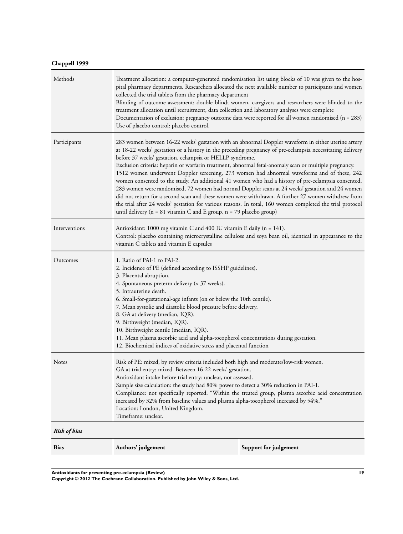# **Chappell 1999**

| Methods             | collected the trial tablets from the pharmacy department<br>treatment allocation until recruitment, data collection and laboratory analyses were complete<br>Use of placebo control: placebo control.                                                                                                                                                                                                                                                                                                                                                                                                                  | Treatment allocation: a computer-generated randomisation list using blocks of 10 was given to the hos-<br>pital pharmacy departments. Researchers allocated the next available number to participants and women<br>Blinding of outcome assessment: double blind; women, caregivers and researchers were blinded to the<br>Documentation of exclusion: pregnancy outcome data were reported for all women randomised (n = 283)                                                                                                                                                                                                        |  |
|---------------------|------------------------------------------------------------------------------------------------------------------------------------------------------------------------------------------------------------------------------------------------------------------------------------------------------------------------------------------------------------------------------------------------------------------------------------------------------------------------------------------------------------------------------------------------------------------------------------------------------------------------|--------------------------------------------------------------------------------------------------------------------------------------------------------------------------------------------------------------------------------------------------------------------------------------------------------------------------------------------------------------------------------------------------------------------------------------------------------------------------------------------------------------------------------------------------------------------------------------------------------------------------------------|--|
| Participants        | before 37 weeks' gestation, eclampsia or HELLP syndrome.<br>Exclusion criteria: heparin or warfarin treatment, abnormal fetal-anomaly scan or multiple pregnancy.<br>women consented to the study. An additional 41 women who had a history of pre-eclampsia consented.<br>until delivery ( $n = 81$ vitamin C and E group, $n = 79$ placebo group)                                                                                                                                                                                                                                                                    | 283 women between 16-22 weeks' gestation with an abnormal Doppler waveform in either uterine artery<br>at 18-22 weeks' gestation or a history in the preceding pregnancy of pre-eclampsia necessitating delivery<br>1512 women underwent Doppler screening, 273 women had abnormal waveforms and of these, 242<br>283 women were randomised, 72 women had normal Doppler scans at 24 weeks' gestation and 24 women<br>did not return for a second scan and these women were withdrawn. A further 27 women withdrew from<br>the trial after 24 weeks' gestation for various reasons. In total, 160 women completed the trial protocol |  |
| Interventions       | Antioxidant: 1000 mg vitamin C and 400 IU vitamin E daily (n = 141).<br>Control: placebo containing microcrystalline cellulose and soya bean oil, identical in appearance to the<br>vitamin C tablets and vitamin E capsules                                                                                                                                                                                                                                                                                                                                                                                           |                                                                                                                                                                                                                                                                                                                                                                                                                                                                                                                                                                                                                                      |  |
| Outcomes            | 1. Ratio of PAI-1 to PAI-2.<br>2. Incidence of PE (defined according to ISSHP guidelines).<br>3. Placental abruption.<br>4. Spontaneous preterm delivery (< 37 weeks).<br>5. Intrauterine death.<br>6. Small-for-gestational-age infants (on or below the 10th centile).<br>7. Mean systolic and diastolic blood pressure before delivery.<br>8. GA at delivery (median, IQR).<br>9. Birthweight (median, IQR).<br>10. Birthweight centile (median, IQR).<br>11. Mean plasma ascorbic acid and alpha-tocopherol concentrations during gestation.<br>12. Biochemical indices of oxidative stress and placental function |                                                                                                                                                                                                                                                                                                                                                                                                                                                                                                                                                                                                                                      |  |
| Notes               | Risk of PE: mixed, by review criteria included both high and moderate/low-risk women.<br>GA at trial entry: mixed. Between 16-22 weeks' gestation.<br>Antioxidant intake before trial entry: unclear, not assessed.<br>Sample size calculation: the study had 80% power to detect a 30% reduction in PAI-1.<br>Compliance: not specifically reported. "Within the treated group, plasma ascorbic acid concentration<br>increased by 32% from baseline values and plasma alpha-tocopherol increased by 54%."<br>Location: London, United Kingdom.<br>Timeframe: unclear.                                                |                                                                                                                                                                                                                                                                                                                                                                                                                                                                                                                                                                                                                                      |  |
| <b>Risk of bias</b> |                                                                                                                                                                                                                                                                                                                                                                                                                                                                                                                                                                                                                        |                                                                                                                                                                                                                                                                                                                                                                                                                                                                                                                                                                                                                                      |  |
| <b>Bias</b>         | Authors' judgement                                                                                                                                                                                                                                                                                                                                                                                                                                                                                                                                                                                                     | Support for judgement                                                                                                                                                                                                                                                                                                                                                                                                                                                                                                                                                                                                                |  |

**Antioxidants for preventing pre-eclampsia (Review) 19**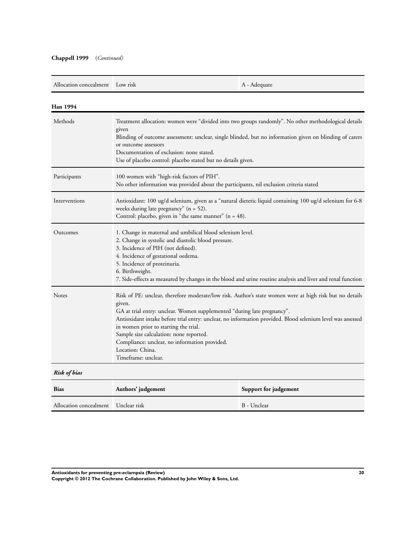# **Chappell 1999** (*Continued)*

| Allocation concealment Low risk |                                                                                                                                                                                                                                                                                                                                                                                                                                                                                            | A - Adequate          |
|---------------------------------|--------------------------------------------------------------------------------------------------------------------------------------------------------------------------------------------------------------------------------------------------------------------------------------------------------------------------------------------------------------------------------------------------------------------------------------------------------------------------------------------|-----------------------|
| <b>Han 1994</b>                 |                                                                                                                                                                                                                                                                                                                                                                                                                                                                                            |                       |
| Methods                         | Treatment allocation: women were "divided into two groups randomly". No other methodological details<br>given<br>Blinding of outcome assessment: unclear, single blinded, but no information given on blinding of carers<br>or outcome assessors<br>Documentation of exclusion: none stated.<br>Use of placebo control: placebo stated but no details given.                                                                                                                               |                       |
| Participants                    | 100 women with "high-risk factors of PIH".<br>No other information was provided about the participants, nil exclusion criteria stated                                                                                                                                                                                                                                                                                                                                                      |                       |
| Interventions                   | Antioxidant: 100 ug/d selenium, given as a "natural dietetic liquid containing 100 ug/d selenium for 6-8<br>weeks during late pregnancy" ( $n = 52$ ).<br>Control: placebo, given in "the same manner" $(n = 48)$ .                                                                                                                                                                                                                                                                        |                       |
| Outcomes                        | 1. Change in maternal and umbilical blood selenium level.<br>2. Change in systolic and diastolic blood pressure.<br>3. Incidence of PIH (not defined).<br>4. Incidence of gestational oedema.<br>5. Incidence of proteinuria.<br>6. Birthweight.<br>7. Side-effects as measured by changes in the blood and urine routine analysis and liver and renal function                                                                                                                            |                       |
| <b>Notes</b>                    | Risk of PE: unclear, therefore moderate/low risk. Author's state women were at high risk but no details<br>given.<br>GA at trial entry: unclear. Women supplemented "during late pregnancy".<br>Antioxidant intake before trial entry: unclear, no information provided. Blood selenium level was assessed<br>in women prior to starting the trial.<br>Sample size calculation: none reported.<br>Compliance: unclear, no information provided.<br>Location: China.<br>Timeframe: unclear. |                       |
| <b>Risk of bias</b>             |                                                                                                                                                                                                                                                                                                                                                                                                                                                                                            |                       |
| <b>Bias</b>                     | Authors' judgement                                                                                                                                                                                                                                                                                                                                                                                                                                                                         | Support for judgement |
| Allocation concealment          | Unclear risk                                                                                                                                                                                                                                                                                                                                                                                                                                                                               | B - Unclear           |

**Antioxidants for preventing pre-eclampsia (Review) 20**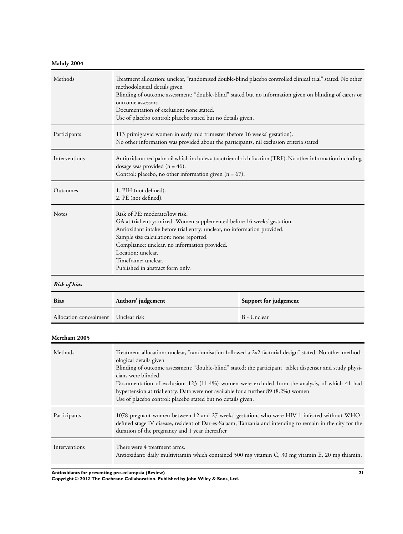# **Mahdy 2004**

| Methods       | Treatment allocation: unclear, "randomised double-blind placebo controlled clinical trial" stated. No other<br>methodological details given<br>Blinding of outcome assessment: "double-blind" stated but no information given on blinding of carers or<br>outcome assessors<br>Documentation of exclusion: none stated.<br>Use of placebo control: placebo stated but no details given. |
|---------------|-----------------------------------------------------------------------------------------------------------------------------------------------------------------------------------------------------------------------------------------------------------------------------------------------------------------------------------------------------------------------------------------|
| Participants  | 113 primigravid women in early mid trimester (before 16 weeks' gestation).<br>No other information was provided about the participants, nil exclusion criteria stated                                                                                                                                                                                                                   |
| Interventions | Antioxidant: red palm oil which includes a tocotrienol-rich fraction (TRF). No other information including<br>dosage was provided $(n = 46)$ .<br>Control: placebo, no other information given $(n = 67)$ .                                                                                                                                                                             |
| Outcomes      | 1. PIH (not defined).<br>2. PE (not defined).                                                                                                                                                                                                                                                                                                                                           |
| <b>Notes</b>  | Risk of PE: moderate/low risk.<br>GA at trial entry: mixed. Women supplemented before 16 weeks' gestation.<br>Antioxidant intake before trial entry: unclear, no information provided.<br>Sample size calculation: none reported.<br>Compliance: unclear, no information provided.<br>Location: unclear.<br>Timeframe: unclear.<br>Published in abstract form only.                     |
| Risk of bias  |                                                                                                                                                                                                                                                                                                                                                                                         |

| <b>Bias</b>                         | Authors' judgement | Support for judgement |
|-------------------------------------|--------------------|-----------------------|
| Allocation concealment Unclear risk |                    | B - Unclear           |

# **Merchant 2005**

| Methods       | Treatment allocation: unclear, "randomisation followed a 2x2 factorial design" stated. No other method-<br>ological details given<br>Blinding of outcome assessment: "double-blind" stated; the participant, tablet dispenser and study physi-<br>cians were blinded<br>Documentation of exclusion: 123 (11.4%) women were excluded from the analysis, of which 41 had<br>hypertension at trial entry. Data were not available for a further 89 (8.2%) women<br>Use of placebo control: placebo stated but no details given. |
|---------------|------------------------------------------------------------------------------------------------------------------------------------------------------------------------------------------------------------------------------------------------------------------------------------------------------------------------------------------------------------------------------------------------------------------------------------------------------------------------------------------------------------------------------|
| Participants  | 1078 pregnant women between 12 and 27 weeks' gestation, who were HIV-1 infected without WHO-<br>defined stage IV disease, resident of Dar-es-Salaam, Tanzania and intending to remain in the city for the<br>duration of the pregnancy and 1 year thereafter                                                                                                                                                                                                                                                                 |
| Interventions | There were 4 treatment arms.<br>Antioxidant: daily multivitamin which contained 500 mg vitamin C, 30 mg vitamin E, 20 mg thiamin,                                                                                                                                                                                                                                                                                                                                                                                            |

**Antioxidants for preventing pre-eclampsia (Review) 21**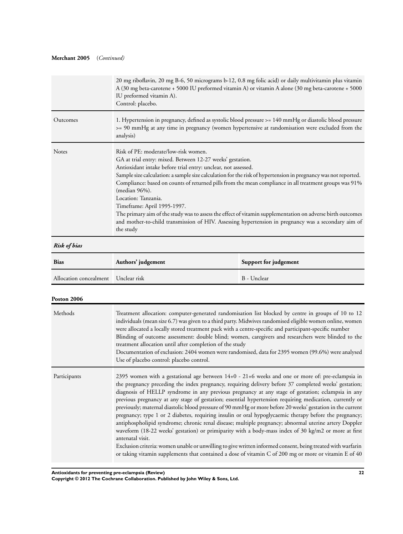# **Merchant 2005** (*Continued)*

|              | 20 mg riboflavin, 20 mg B-6, 50 micrograms b-12, 0.8 mg folic acid) or daily multivitamin plus vitamin<br>A (30 mg beta-carotene + 5000 IU preformed vitamin A) or vitamin A alone (30 mg beta-carotene + 5000<br>IU preformed vitamin A).<br>Control: placebo.                                                                                                                                                                                                                                                                                                                                                                                                                                         |
|--------------|---------------------------------------------------------------------------------------------------------------------------------------------------------------------------------------------------------------------------------------------------------------------------------------------------------------------------------------------------------------------------------------------------------------------------------------------------------------------------------------------------------------------------------------------------------------------------------------------------------------------------------------------------------------------------------------------------------|
| Outcomes     | 1. Hypertension in pregnancy, defined as systolic blood pressure >= 140 mmHg or diastolic blood pressure<br>>= 90 mmHg at any time in pregnancy (women hypertensive at randomisation were excluded from the<br>analysis)                                                                                                                                                                                                                                                                                                                                                                                                                                                                                |
| <b>Notes</b> | Risk of PE: moderate/low-risk women.<br>GA at trial entry: mixed. Between 12-27 weeks' gestation.<br>Antioxidant intake before trial entry: unclear, not assessed.<br>Sample size calculation: a sample size calculation for the risk of hypertension in pregnancy was not reported.<br>Compliance: based on counts of returned pills from the mean compliance in all treatment groups was 91%<br>(median 96%).<br>Location: Tanzania.<br>Timeframe: April 1995-1997.<br>The primary aim of the study was to assess the effect of vitamin supplementation on adverse birth outcomes<br>and mother-to-child transmission of HIV. Assessing hypertension in pregnancy was a secondary aim of<br>the study |

# *Risk of bias*

| <b>Bias</b>                         | Authors' judgement | Support for judgement |
|-------------------------------------|--------------------|-----------------------|
| Allocation concealment Unclear risk |                    | B - Unclear           |

# **Poston 2006**

| Methods      | Treatment allocation: computer-generated randomisation list blocked by centre in groups of 10 to 12<br>individuals (mean size 6.7) was given to a third party. Midwives randomised eligible women online, women<br>were allocated a locally stored treatment pack with a centre-specific and participant-specific number<br>Blinding of outcome assessment: double blind; women, caregivers and researchers were blinded to the<br>treatment allocation until after completion of the study<br>Documentation of exclusion: 2404 women were randomised, data for 2395 women (99.6%) were analysed<br>Use of placebo control: placebo control.                                                                                                                                                                                                                                                                                                                                                                                                                                                                     |
|--------------|------------------------------------------------------------------------------------------------------------------------------------------------------------------------------------------------------------------------------------------------------------------------------------------------------------------------------------------------------------------------------------------------------------------------------------------------------------------------------------------------------------------------------------------------------------------------------------------------------------------------------------------------------------------------------------------------------------------------------------------------------------------------------------------------------------------------------------------------------------------------------------------------------------------------------------------------------------------------------------------------------------------------------------------------------------------------------------------------------------------|
| Participants | 2395 women with a gestational age between $14+0 - 21+6$ weeks and one or more of: pre-eclampsia in<br>the pregnancy preceding the index pregnancy, requiring delivery before 37 completed weeks' gestation;<br>diagnosis of HELLP syndrome in any previous pregnancy at any stage of gestation; eclampsia in any<br>previous pregnancy at any stage of gestation; essential hypertension requiring medication, currently or<br>previously; maternal diastolic blood pressure of 90 mmHg or more before 20 weeks' gestation in the current<br>pregnancy; type 1 or 2 diabetes, requiring insulin or oral hypoglycaemic therapy before the pregnancy;<br>antiphospholipid syndrome; chronic renal disease; multiple pregnancy; abnormal uterine artery Doppler<br>waveform (18-22 weeks' gestation) or primiparity with a body-mass index of 30 kg/m2 or more at first<br>antenatal visit.<br>Exclusion criteria: women unable or unwilling to give written informed consent, being treated with warfarin<br>or taking vitamin supplements that contained a dose of vitamin C of 200 mg or more or vitamin E of 40 |

**Antioxidants for preventing pre-eclampsia (Review) 22**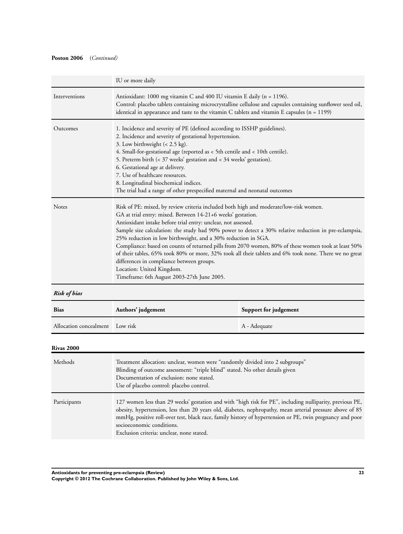# **Poston 2006** (*Continued)*

|                                 | IU or more daily                                                                                                                                                                                                                                                                                                                                                                                                                                                                                                                                                                                                                                                                                                                        |                       |  |
|---------------------------------|-----------------------------------------------------------------------------------------------------------------------------------------------------------------------------------------------------------------------------------------------------------------------------------------------------------------------------------------------------------------------------------------------------------------------------------------------------------------------------------------------------------------------------------------------------------------------------------------------------------------------------------------------------------------------------------------------------------------------------------------|-----------------------|--|
| Interventions                   | Antioxidant: 1000 mg vitamin C and 400 IU vitamin E daily (n = 1196).<br>Control: placebo tablets containing microcrystalline cellulose and capsules containing sunflower seed oil,<br>identical in appearance and taste to the vitamin C tablets and vitamin E capsules (n = 1199)                                                                                                                                                                                                                                                                                                                                                                                                                                                     |                       |  |
| Outcomes                        | 1. Incidence and severity of PE (defined according to ISSHP guidelines).<br>2. Incidence and severity of gestational hypertension.<br>3. Low birthweight (< 2.5 kg).<br>4. Small-for-gestational age (reported as < 5th centile and < 10th centile).<br>5. Preterm birth (< 37 weeks' gestation and < 34 weeks' gestation).<br>6. Gestational age at delivery.<br>7. Use of healthcare resources.<br>8. Longitudinal biochemical indices.<br>The trial had a range of other prespecified maternal and neonatal outcomes                                                                                                                                                                                                                 |                       |  |
| <b>Notes</b>                    | Risk of PE: mixed, by review criteria included both high and moderate/low-risk women.<br>GA at trial entry: mixed. Between 14-21+6 weeks' gestation.<br>Antioxidant intake before trial entry: unclear, not assessed.<br>Sample size calculation: the study had 90% power to detect a 30% relative reduction in pre-eclampsia,<br>25% reduction in low birthweight, and a 30% reduction in SGA.<br>Compliance: based on counts of returned pills from 2070 women, 80% of these women took at least 50%<br>of their tables, 65% took 80% or more, 32% took all their tablets and 6% took none. There we no great<br>differences in compliance between groups.<br>Location: United Kingdom.<br>Timeframe: 6th August 2003-27th June 2005. |                       |  |
| <b>Risk of bias</b>             |                                                                                                                                                                                                                                                                                                                                                                                                                                                                                                                                                                                                                                                                                                                                         |                       |  |
| <b>Bias</b>                     | Authors' judgement                                                                                                                                                                                                                                                                                                                                                                                                                                                                                                                                                                                                                                                                                                                      | Support for judgement |  |
| Allocation concealment Low risk |                                                                                                                                                                                                                                                                                                                                                                                                                                                                                                                                                                                                                                                                                                                                         | A - Adequate          |  |
| <b>Rivas 2000</b>               |                                                                                                                                                                                                                                                                                                                                                                                                                                                                                                                                                                                                                                                                                                                                         |                       |  |

| Methods      | Treatment allocation: unclear, women were "randomly divided into 2 subgroups"<br>Blinding of outcome assessment: "triple blind" stated. No other details given<br>Documentation of exclusion: none stated.<br>Use of placebo control: placebo control.                                                                                                                                                     |
|--------------|------------------------------------------------------------------------------------------------------------------------------------------------------------------------------------------------------------------------------------------------------------------------------------------------------------------------------------------------------------------------------------------------------------|
| Participants | 127 women less than 29 weeks' gestation and with "high risk for PE", including nulliparity, previous PE,<br>obesity, hypertension, less than 20 years old, diabetes, nephropathy, mean arterial pressure above of 85<br>mmHg, positive roll-over test, black race, family history of hypertension or PE, twin pregnancy and poor<br>socioeconomic conditions.<br>Exclusion criteria: unclear, none stated. |

**Antioxidants for preventing pre-eclampsia (Review) 23**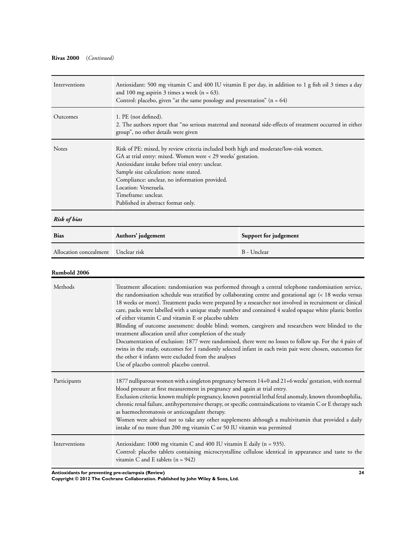# **Rivas 2000** (*Continued)*

| Interventions                       | Antioxidant: 500 mg vitamin C and 400 IU vitamin E per day, in addition to 1 g fish oil 3 times a day<br>and 100 mg aspirin 3 times a week ( $n = 63$ ).<br>Control: placebo, given "at the same posology and presentation" $(n = 64)$                                                                                                                                                 |                       |
|-------------------------------------|----------------------------------------------------------------------------------------------------------------------------------------------------------------------------------------------------------------------------------------------------------------------------------------------------------------------------------------------------------------------------------------|-----------------------|
| Outcomes                            | 1. PE (not defined).<br>2. The authors report that "no serious maternal and neonatal side-effects of treatment occurred in either<br>group", no other details were given                                                                                                                                                                                                               |                       |
| <b>Notes</b>                        | Risk of PE: mixed, by review criteria included both high and moderate/low-risk women.<br>GA at trial entry: mixed. Women were < 29 weeks' gestation.<br>Antioxidant intake before trial entry: unclear.<br>Sample size calculation: none stated.<br>Compliance: unclear, no information provided.<br>Location: Venezuela.<br>Timeframe: unclear.<br>Published in abstract format only. |                       |
| <b>Risk of bias</b>                 |                                                                                                                                                                                                                                                                                                                                                                                        |                       |
| <b>Bias</b>                         | Authors' judgement                                                                                                                                                                                                                                                                                                                                                                     | Support for judgement |
| Allocation concealment Unclear risk |                                                                                                                                                                                                                                                                                                                                                                                        | B - Unclear           |

# **Rumbold 2006**

| Methods       | Treatment allocation: randomisation was performed through a central telephone randomisation service,<br>the randomisation schedule was stratified by collaborating centre and gestational age (< 18 weeks versus<br>18 weeks or more). Treatment packs were prepared by a researcher not involved in recruitment or clinical<br>care, packs were labelled with a unique study number and contained 4 sealed opaque white plastic bottles<br>of either vitamin C and vitamin E or placebo tablets<br>Blinding of outcome assessment: double blind; women, caregivers and researchers were blinded to the<br>treatment allocation until after completion of the study<br>Documentation of exclusion: 1877 were randomised, there were no losses to follow up. For the 4 pairs of<br>twins in the study, outcomes for 1 randomly selected infant in each twin pair were chosen, outcomes for<br>the other 4 infants were excluded from the analyses<br>Use of placebo control: placebo control. |
|---------------|----------------------------------------------------------------------------------------------------------------------------------------------------------------------------------------------------------------------------------------------------------------------------------------------------------------------------------------------------------------------------------------------------------------------------------------------------------------------------------------------------------------------------------------------------------------------------------------------------------------------------------------------------------------------------------------------------------------------------------------------------------------------------------------------------------------------------------------------------------------------------------------------------------------------------------------------------------------------------------------------|
| Participants  | 1877 nulliparous women with a singleton pregnancy between 14+0 and 21+6 weeks' gestation, with normal<br>blood pressure at first measurement in pregnancy and again at trial entry.<br>Exclusion criteria: known multiple pregnancy, known potential lethal fetal anomaly, known thrombophilia,<br>chronic renal failure, antihypertensive therapy, or specific contraindications to vitamin C or E therapy such<br>as haemochromatosis or anticoagulant therapy.<br>Women were advised not to take any other supplements although a multivitamin that provided a daily<br>intake of no more than 200 mg vitamin C or 50 IU vitamin was permitted                                                                                                                                                                                                                                                                                                                                            |
| Interventions | Antioxidant: 1000 mg vitamin C and 400 IU vitamin E daily (n = 935).<br>Control: placebo tablets containing microcrystalline cellulose identical in appearance and taste to the<br>vitamin C and E tablets $(n = 942)$                                                                                                                                                                                                                                                                                                                                                                                                                                                                                                                                                                                                                                                                                                                                                                       |

**Antioxidants for preventing pre-eclampsia (Review) 24**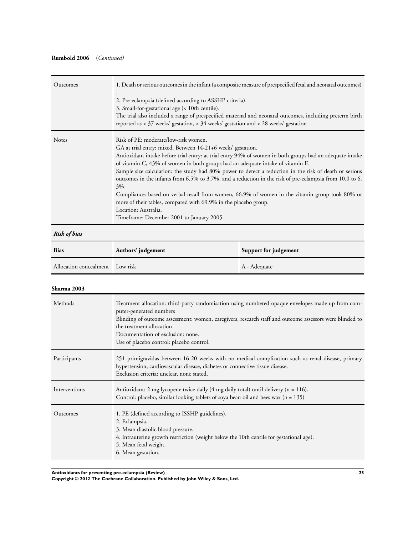# **Rumbold 2006** (*Continued)*

| Outcomes            | 1. Death or serious outcomes in the infant (a composite measure of prespecified fetal and neonatal outcomes)<br>2. Pre-eclampsia (defined according to ASSHP criteria).<br>3. Small-for-gestational age (< 10th centile).<br>The trial also included a range of prespecified maternal and neonatal outcomes, including preterm birth<br>reported as < 37 weeks' gestation, < 34 weeks' gestation and < 28 weeks' gestation                                                                                                                                                                                                                                                                                                                                                  |
|---------------------|-----------------------------------------------------------------------------------------------------------------------------------------------------------------------------------------------------------------------------------------------------------------------------------------------------------------------------------------------------------------------------------------------------------------------------------------------------------------------------------------------------------------------------------------------------------------------------------------------------------------------------------------------------------------------------------------------------------------------------------------------------------------------------|
| <b>Notes</b>        | Risk of PE: moderate/low-risk women.<br>GA at trial entry: mixed. Between 14-21+6 weeks' gestation.<br>Antioxidant intake before trial entry: at trial entry 94% of women in both groups had an adequate intake<br>of vitamin C, 43% of women in both groups had an adequate intake of vitamin E.<br>Sample size calculation: the study had 80% power to detect a reduction in the risk of death or serious<br>outcomes in the infants from 6.5% to 3.7%, and a reduction in the risk of pre-eclampsia from 10.0 to 6.<br>$3\%$ .<br>Compliance: based on verbal recall from women, 66.9% of women in the vitamin group took 80% or<br>more of their tables, compared with 69.9% in the placebo group.<br>Location: Australia.<br>Timeframe: December 2001 to January 2005. |
| <b>Risk of bias</b> |                                                                                                                                                                                                                                                                                                                                                                                                                                                                                                                                                                                                                                                                                                                                                                             |

| <b>Bias</b>                     | Authors' judgement | Support for judgement |
|---------------------------------|--------------------|-----------------------|
| Allocation concealment Low risk |                    | A - Adequate          |

# **Sharma 2003**

| Methods       | Treatment allocation: third-party randomisation using numbered opaque envelopes made up from com-<br>puter-generated numbers<br>Blinding of outcome assessment: women, caregivers, research staff and outcome assessors were blinded to<br>the treatment allocation<br>Documentation of exclusion: none.<br>Use of placebo control: placebo control. |
|---------------|------------------------------------------------------------------------------------------------------------------------------------------------------------------------------------------------------------------------------------------------------------------------------------------------------------------------------------------------------|
| Participants  | 251 primigravidas between 16-20 weeks with no medical complication such as renal disease, primary<br>hypertension, cardiovascular disease, diabetes or connective tissue disease.<br>Exclusion criteria: unclear, none stated.                                                                                                                       |
| Interventions | Antioxidant: 2 mg lycopene twice daily (4 mg daily total) until delivery ( $n = 116$ ).<br>Control: placebo, similar looking tablets of soya bean oil and bees wax $(n = 135)$                                                                                                                                                                       |
| Outcomes      | 1. PE (defined according to ISSHP guidelines).<br>2. Eclampsia.<br>3. Mean diastolic blood pressure.<br>4. Intrauterine growth restriction (weight below the 10th centile for gestational age).<br>5. Mean fetal weight.<br>6. Mean gestation.                                                                                                       |

**Antioxidants for preventing pre-eclampsia (Review) 25**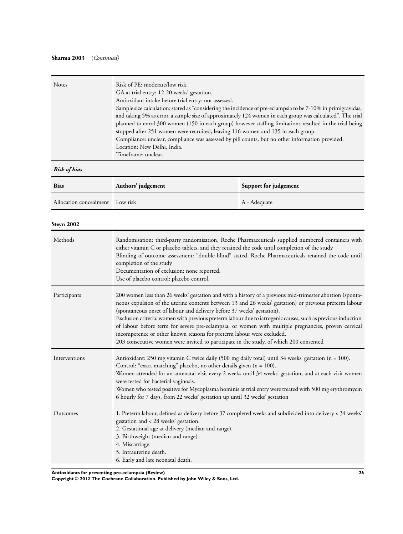# **Sharma 2003** (*Continued)*

| <b>Notes</b> | Risk of PE: moderate/low risk.                                                                                                                                                                                                                                                                                                                                                                                                                                                                                                                                                                                                                                   |  |
|--------------|------------------------------------------------------------------------------------------------------------------------------------------------------------------------------------------------------------------------------------------------------------------------------------------------------------------------------------------------------------------------------------------------------------------------------------------------------------------------------------------------------------------------------------------------------------------------------------------------------------------------------------------------------------------|--|
|              | GA at trial entry: 12-20 weeks' gestation.<br>Antioxidant intake before trial entry: not assessed.<br>Sample size calculation: stated as "considering the incidence of pre-eclampsia to be 7-10% in primigravidas,<br>and taking 5% as error, a sample size of approximately 124 women in each group was calculated". The trial<br>planned to enrol 300 women (150 in each group) however staffing limitations resulted in the trial being<br>stopped after 251 women were recruited, leaving 116 women and 135 in each group.<br>Compliance: unclear, compliance was assessed by pill counts, but no other information provided.<br>Location: New Delhi, India. |  |
|              |                                                                                                                                                                                                                                                                                                                                                                                                                                                                                                                                                                                                                                                                  |  |
|              |                                                                                                                                                                                                                                                                                                                                                                                                                                                                                                                                                                                                                                                                  |  |
|              |                                                                                                                                                                                                                                                                                                                                                                                                                                                                                                                                                                                                                                                                  |  |
|              |                                                                                                                                                                                                                                                                                                                                                                                                                                                                                                                                                                                                                                                                  |  |
|              |                                                                                                                                                                                                                                                                                                                                                                                                                                                                                                                                                                                                                                                                  |  |
|              |                                                                                                                                                                                                                                                                                                                                                                                                                                                                                                                                                                                                                                                                  |  |
|              |                                                                                                                                                                                                                                                                                                                                                                                                                                                                                                                                                                                                                                                                  |  |
|              | Timeframe: unclear.                                                                                                                                                                                                                                                                                                                                                                                                                                                                                                                                                                                                                                              |  |
|              |                                                                                                                                                                                                                                                                                                                                                                                                                                                                                                                                                                                                                                                                  |  |

*Risk of bias*

| <b>Bias</b>                     | Authors' judgement | Support for judgement |
|---------------------------------|--------------------|-----------------------|
| Allocation concealment Low risk |                    | A - Adequate          |
| Steyn 2002                      |                    |                       |

| Methods       | Randomisation: third-party randomisation, Roche Pharmaceuticals supplied numbered containers with<br>either vitamin C or placebo tablets, and they retained the code until completion of the study<br>Blinding of outcome assessment: "double blind" stated, Roche Pharmaceuticals retained the code until<br>completion of the study<br>Documentation of exclusion: none reported.<br>Use of placebo control: placebo control.                                                                                                                                                                                                                                                       |
|---------------|---------------------------------------------------------------------------------------------------------------------------------------------------------------------------------------------------------------------------------------------------------------------------------------------------------------------------------------------------------------------------------------------------------------------------------------------------------------------------------------------------------------------------------------------------------------------------------------------------------------------------------------------------------------------------------------|
| Participants  | 200 women less than 26 weeks' gestation and with a history of a previous mid-trimester abortion (sponta-<br>neous expulsion of the uterine contents between 13 and 26 weeks' gestation) or previous preterm labour<br>(spontaneous onset of labour and delivery before 37 weeks' gestation).<br>Exclusion criteria: women with previous preterm labour due to iatrogenic causes, such as previous induction<br>of labour before term for severe pre-eclampsia, or women with multiple pregnancies, proven cervical<br>incompetence or other known reasons for preterm labour were excluded.<br>203 consecutive women were invited to participate in the study, of which 200 consented |
| Interventions | Antioxidant: 250 mg vitamin C twice daily (500 mg daily total) until 34 weeks' gestation ( $n = 100$ ).<br>Control: "exact matching" placebo, no other details given (n = 100).<br>Women attended for an antenatal visit every 2 weeks until 34 weeks' gestation, and at each visit women<br>were tested for bacterial vaginosis.<br>Women who tested positive for Mycoplasma hominis at trial entry were treated with 500 mg erythromycin<br>6 hourly for 7 days, from 22 weeks' gestation up until 32 weeks' gestation                                                                                                                                                              |
| Outcomes      | 1. Preterm labour, defined as delivery before 37 completed weeks and subdivided into delivery < 34 weeks'<br>gestation and < 28 weeks' gestation.<br>2. Gestational age at delivery (median and range).<br>3. Birthweight (median and range).<br>4. Miscarriage.<br>5. Intrauterine death.<br>6. Early and late neonatal death.                                                                                                                                                                                                                                                                                                                                                       |

**Antioxidants for preventing pre-eclampsia (Review) 26**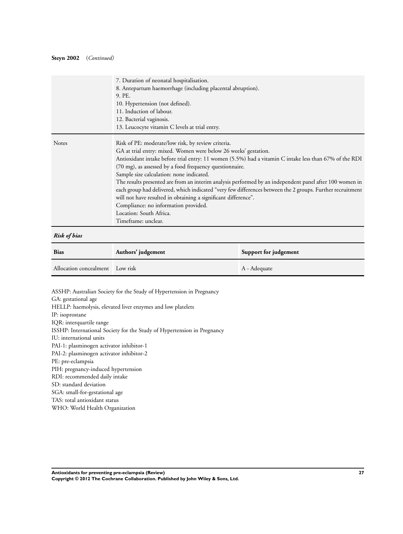|              | 7. Duration of neonatal hospitalisation.<br>8. Antepartum haemorrhage (including placental abruption).<br>9. PE.<br>10. Hypertension (not defined).<br>11. Induction of labour.<br>12. Bacterial vaginosis.<br>13. Leucocyte vitamin C levels at trial entry.                                                                                                                                                                                                                                                                                                                                                                                                                                                              |
|--------------|----------------------------------------------------------------------------------------------------------------------------------------------------------------------------------------------------------------------------------------------------------------------------------------------------------------------------------------------------------------------------------------------------------------------------------------------------------------------------------------------------------------------------------------------------------------------------------------------------------------------------------------------------------------------------------------------------------------------------|
| <b>Notes</b> | Risk of PE: moderate/low risk, by review criteria.<br>GA at trial entry: mixed. Women were below 26 weeks' gestation.<br>Antioxidant intake before trial entry: 11 women (5.5%) had a vitamin C intake less than 67% of the RDI<br>(70 mg), as assessed by a food frequency questionnaire.<br>Sample size calculation: none indicated.<br>The results presented are from an interim analysis performed by an independent panel after 100 women in<br>each group had delivered, which indicated "very few differences between the 2 groups. Further recruitment<br>will not have resulted in obtaining a significant difference".<br>Compliance: no information provided.<br>Location: South Africa.<br>Timeframe: unclear. |

*Risk of bias*

| <b>Bias</b>                     | Authors' judgement | Support for judgement |
|---------------------------------|--------------------|-----------------------|
| Allocation concealment Low risk |                    | A - Adequate          |

ASSHP: Australian Society for the Study of Hypertension in Pregnancy GA: gestational age HELLP: haemolysis, elevated liver enzymes and low platelets IP: isoprostane IQR: interquartile range ISSHP: International Society for the Study of Hypertension in Pregnancy IU: international units PAI-1: plasminogen activator inhibitor-1 PAI-2: plasminogen activator inhibitor-2 PE: pre-eclampsia PIH: pregnancy-induced hypertension RDI: recommended daily intake SD: standard deviation SGA: small-for-gestational age TAS: total antioxidant status

WHO: World Health Organization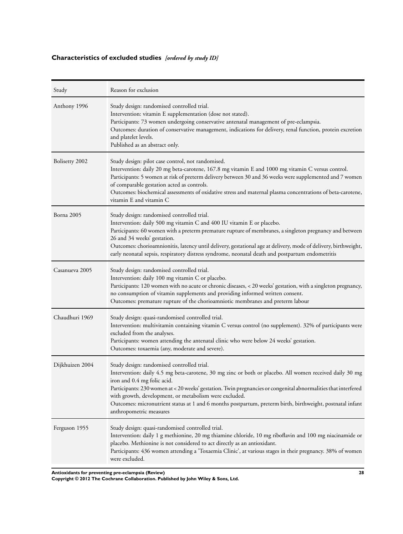# <span id="page-30-0"></span>**Characteristics of excluded studies** *[ordered by study ID]*

| Study             | Reason for exclusion                                                                                                                                                                                                                                                                                                                                                                                                                                                                                     |
|-------------------|----------------------------------------------------------------------------------------------------------------------------------------------------------------------------------------------------------------------------------------------------------------------------------------------------------------------------------------------------------------------------------------------------------------------------------------------------------------------------------------------------------|
| Anthony 1996      | Study design: randomised controlled trial.<br>Intervention: vitamin E supplementation (dose not stated).<br>Participants: 73 women undergoing conservative antenatal management of pre-eclampsia.<br>Outcomes: duration of conservative management, indications for delivery, renal function, protein excretion<br>and platelet levels.<br>Published as an abstract only.                                                                                                                                |
| Bolisetty 2002    | Study design: pilot case control, not randomised.<br>Intervention: daily 20 mg beta-carotene, 167.8 mg vitamin E and 1000 mg vitamin C versus control.<br>Participants: 5 women at risk of preterm delivery between 30 and 36 weeks were supplemented and 7 women<br>of comparable gestation acted as controls.<br>Outcomes: biochemical assessments of oxidative stress and maternal plasma concentrations of beta-carotene,<br>vitamin E and vitamin C                                                 |
| <b>Borna 2005</b> | Study design: randomised controlled trial.<br>Intervention: daily 500 mg vitamin C and 400 IU vitamin E or placebo.<br>Participants: 60 women with a preterm premature rupture of membranes, a singleton pregnancy and between<br>26 and 34 weeks' gestation.<br>Outcomes: chorioamnionitis, latency until delivery, gestational age at delivery, mode of delivery, birthweight,<br>early neonatal sepsis, respiratory distress syndrome, neonatal death and postpartum endometritis                     |
| Casanueva 2005    | Study design: randomised controlled trial.<br>Intervention: daily 100 mg vitamin C or placebo.<br>Participants: 120 women with no acute or chronic diseases, < 20 weeks' gestation, with a singleton pregnancy,<br>no consumption of vitamin supplements and providing informed written consent.<br>Outcomes: premature rupture of the chorioamniotic membranes and preterm labour                                                                                                                       |
| Chaudhuri 1969    | Study design: quasi-randomised controlled trial.<br>Intervention: multivitamin containing vitamin C versus control (no supplement). 32% of participants were<br>excluded from the analyses.<br>Participants: women attending the antenatal clinic who were below 24 weeks' gestation.<br>Outcomes: toxaemia (any, moderate and severe).                                                                                                                                                                  |
| Dijkhuizen 2004   | Study design: randomised controlled trial.<br>Intervention: daily 4.5 mg beta-carotene, 30 mg zinc or both or placebo. All women received daily 30 mg<br>iron and 0.4 mg folic acid.<br>Participants: 230 women at < 20 weeks' gestation. Twin pregnancies or congenital abnormalities that interfered<br>with growth, development, or metabolism were excluded.<br>Outcomes: micronutrient status at 1 and 6 months postpartum, preterm birth, birthweight, postnatal infant<br>anthropometric measures |
| Ferguson 1955     | Study design: quasi-randomised controlled trial.<br>Intervention: daily 1 g methionine, 20 mg thiamine chloride, 10 mg riboflavin and 100 mg niacinamide or<br>placebo. Methionine is not considered to act directly as an antioxidant.<br>Participants: 436 women attending a 'Toxaemia Clinic', at various stages in their pregnancy. 38% of women<br>were excluded.                                                                                                                                   |

**Antioxidants for preventing pre-eclampsia (Review) 28**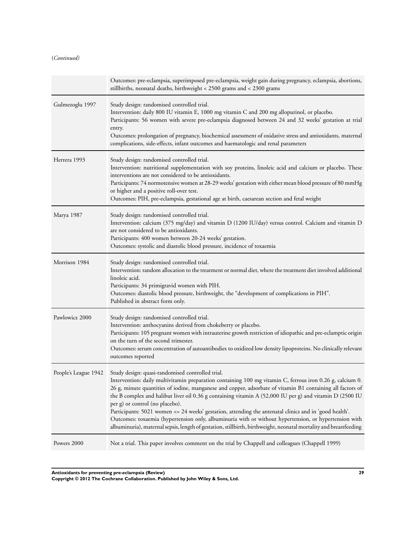# (*Continued)*

|                      | Outcomes: pre-eclampsia, superimposed pre-eclampsia, weight gain during pregnancy, eclampsia, abortions,<br>stillbirths, neonatal deaths, birthweight < 2500 grams and < 2300 grams                                                                                                                                                                                                                                                                                                                                                                                                                                                                                                                                                                                |
|----------------------|--------------------------------------------------------------------------------------------------------------------------------------------------------------------------------------------------------------------------------------------------------------------------------------------------------------------------------------------------------------------------------------------------------------------------------------------------------------------------------------------------------------------------------------------------------------------------------------------------------------------------------------------------------------------------------------------------------------------------------------------------------------------|
| Gulmezoglu 1997      | Study design: randomised controlled trial.<br>Intervention: daily 800 IU vitamin E, 1000 mg vitamin C and 200 mg allopurinol, or placebo.<br>Participants: 56 women with severe pre-eclampsia diagnosed between 24 and 32 weeks' gestation at trial<br>entry.<br>Outcomes: prolongation of pregnancy, biochemical assessment of oxidative stress and antioxidants, maternal<br>complications, side-effects, infant outcomes and haematologic and renal parameters                                                                                                                                                                                                                                                                                                  |
| Herrera 1993         | Study design: randomised controlled trial.<br>Intervention: nutritional supplementation with soy proteins, linoleic acid and calcium or placebo. These<br>interventions are not considered to be antioxidants.<br>Participants: 74 normotensive women at 28-29 weeks' gestation with either mean blood pressure of 80 mmHg<br>or higher and a positive roll-over test.<br>Outcomes: PIH, pre-eclampsia, gestational age at birth, caesarean section and fetal weight                                                                                                                                                                                                                                                                                               |
| Marya 1987           | Study design: randomised controlled trial.<br>Intervention: calcium (375 mg/day) and vitamin D (1200 IU/day) versus control. Calcium and vitamin D<br>are not considered to be antioxidants.<br>Participants: 400 women between 20-24 weeks' gestation.<br>Outcomes: systolic and diastolic blood pressure, incidence of toxaemia                                                                                                                                                                                                                                                                                                                                                                                                                                  |
| Morrison 1984        | Study design: randomised controlled trial.<br>Intervention: random allocation to the treatment or normal diet, where the treatment diet involved additional<br>linoleic acid.<br>Participants: 34 primigravid women with PIH.<br>Outcomes: diastolic blood pressure, birthweight, the "development of complications in PIH".<br>Published in abstract form only.                                                                                                                                                                                                                                                                                                                                                                                                   |
| Pawlowicz 2000       | Study design: randomised controlled trial.<br>Intervention: anthocyanins derived from chokeberry or placebo.<br>Participants: 105 pregnant women with intrauterine growth restriction of idiopathic and pre-eclamptic origin<br>on the turn of the second trimester.<br>Outcomes: serum concentration of autoantibodies to oxidized low density lipoproteins. No clinically relevant<br>outcomes reported                                                                                                                                                                                                                                                                                                                                                          |
| People's League 1942 | Study design: quasi-randomised controlled trial.<br>Intervention: daily multivitamin preparation containing 100 mg vitamin C, ferrous iron 0.26 g, calcium 0.<br>26 g, minute quantities of iodine, manganese and copper, adsorbate of vitamin B1 containing all factors of<br>the B complex and halibut liver oil 0.36 g containing vitamin A (52,000 IU per g) and vitamin D (2500 IU<br>per g) or control (no placebo).<br>Participants: 5021 women <= 24 weeks' gestation, attending the antenatal clinics and in 'good health'.<br>Outcomes: toxaemia (hypertension only, albuminuria with or without hypertension, or hypertension with<br>albuminuria), maternal sepsis, length of gestation, stillbirth, birthweight, neonatal mortality and breastfeeding |
| Powers 2000          | Not a trial. This paper involves comment on the trial by Chappell and colleagues (Chappell 1999)                                                                                                                                                                                                                                                                                                                                                                                                                                                                                                                                                                                                                                                                   |

**Antioxidants for preventing pre-eclampsia (Review) 29**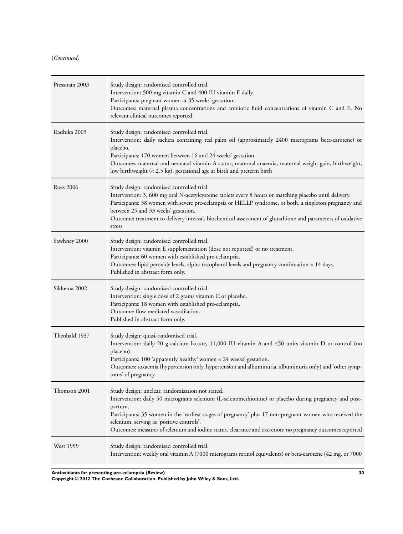# (*Continued)*

| Pressman 2003    | Study design: randomised controlled trial.<br>Intervention: 500 mg vitamin C and 400 IU vitamin E daily.<br>Participants: pregnant women at 35 weeks' gestation.<br>Outcomes: maternal plasma concentrations and amniotic fluid concentrations of vitamin C and E. No<br>relevant clinical outcomes reported                                                                                                                               |
|------------------|--------------------------------------------------------------------------------------------------------------------------------------------------------------------------------------------------------------------------------------------------------------------------------------------------------------------------------------------------------------------------------------------------------------------------------------------|
| Radhika 2003     | Study design: randomised controlled trial.<br>Intervention: daily sachets containing red palm oil (approximately 2400 micrograms beta-carotene) or<br>placebo.<br>Participants: 170 women between 16 and 24 weeks' gestation.<br>Outcomes: maternal and neonatal vitamin A status, maternal anaemia, maternal weight gain, birthweight,<br>low birthweight (< 2.5 kg), gestational age at birth and preterm birth                          |
| Roes 2006        | Study design: randomised controlled trial.<br>Intervention: 3, 600 mg oral N-acetylcysteine tablets every 8 hours or matching placebo until delivery.<br>Participants: 38 women with severe pre-eclampsia or HELLP syndrome, or both, a singleton pregnancy and<br>between 25 and 33 weeks' gestation.<br>Outcome: treatment to delivery interval, biochemical assessment of glutathione and parameters of oxidative<br>stress             |
| Sawhney 2000     | Study design: randomised controlled trial.<br>Intervention: vitamin E supplementation (dose not reported) or no treatment.<br>Participants: 60 women with established pre-eclampsia.<br>Outcomes: lipid peroxide levels, alpha-tocopherol levels and pregnancy continuation > 14 days.<br>Published in abstract form only.                                                                                                                 |
| Sikkema 2002     | Study design: randomised controlled trial.<br>Intervention: single dose of 2 grams vitamin C or placebo.<br>Participants: 18 women with established pre-eclampsia.<br>Outcome: flow mediated vasodilation.<br>Published in abstract form only.                                                                                                                                                                                             |
| Theobald 1937    | Study design: quasi-randomised trial.<br>Intervention: daily 20 g calcium lactate, 11,000 IU vitamin A and 450 units vitamin D or control (no<br>placebo).<br>Participants: 100 'apparently healthy' women < 24 weeks' gestation.<br>Outcomes: toxaemia (hypertension only, hypertension and albuminuria, albuminuria only) and 'other symp-<br>toms' of pregnancy                                                                         |
| Thomson 2001     | Study design: unclear, randomisation not stated.<br>Intervention: daily 50 micrograms selenium (L-selenomethionine) or placebo during pregnancy and post-<br>partum.<br>Participants: 35 women in the 'earliest stages of pregnancy' plus 17 non-pregnant women who received the<br>selenium, serving as 'positive controls'.<br>Outcomes: measures of selenium and iodine status, clearance and excretion; no pregnancy outcomes reported |
| <b>West 1999</b> | Study design: randomised controlled trial.<br>Intervention: weekly oral vitamin A (7000 micrograms retinol equivalents) or beta-carotene (42 mg, or 7000                                                                                                                                                                                                                                                                                   |

**Antioxidants for preventing pre-eclampsia (Review) 30**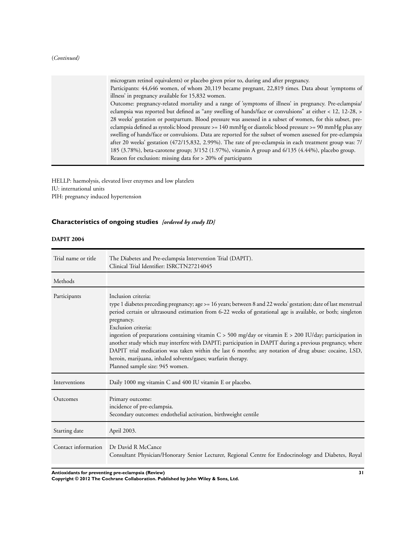#### <span id="page-33-0"></span>(*Continued)*

microgram retinol equivalents) or placebo given prior to, during and after pregnancy. Participants: 44,646 women, of whom 20,119 became pregnant, 22,819 times. Data about 'symptoms of illness' in pregnancy available for 15,832 women. Outcome: pregnancy-related mortality and a range of 'symptoms of illness' in pregnancy. Pre-eclampsia/ eclampsia was reported but defined as "any swelling of hands/face or convulsions" at either < 12, 12-28, > 28 weeks' gestation or postpartum. Blood pressure was assessed in a subset of women, for this subset, preeclampsia defined as systolic blood pressure >= 140 mmHg or diastolic blood pressure >= 90 mmHg plus any swelling of hands/face or convulsions. Data are reported for the subset of women assessed for pre-eclampsia after 20 weeks' gestation (472/15,832, 2.99%). The rate of pre-eclampsia in each treatment group was: 7/ 185 (3.78%), beta-carotene group; 3/152 (1.97%), vitamin A group and 6/135 (4.44%), placebo group. Reason for exclusion: missing data for > 20% of participants

HELLP: haemolysis, elevated liver enzymes and low platelets IU: international units PIH: pregnancy induced hypertension

## **Characteristics of ongoing studies** *[ordered by study ID]*

# **DAPIT 2004**

| Trial name or title | The Diabetes and Pre-eclampsia Intervention Trial (DAPIT).<br>Clinical Trial Identifier: ISRCTN27214045                                                                                                                                                                                                                                                                                                                                                                                                                                                                                                                                                                                                                     |
|---------------------|-----------------------------------------------------------------------------------------------------------------------------------------------------------------------------------------------------------------------------------------------------------------------------------------------------------------------------------------------------------------------------------------------------------------------------------------------------------------------------------------------------------------------------------------------------------------------------------------------------------------------------------------------------------------------------------------------------------------------------|
| Methods             |                                                                                                                                                                                                                                                                                                                                                                                                                                                                                                                                                                                                                                                                                                                             |
| Participants        | Inclusion criteria:<br>type 1 diabetes preceding pregnancy; age >= 16 years; between 8 and 22 weeks' gestation; date of last menstrual<br>period certain or ultrasound estimation from 6-22 weeks of gestational age is available, or both; singleton<br>pregnancy.<br>Exclusion criteria:<br>ingestion of preparations containing vitamin C > 500 mg/day or vitamin E > 200 IU/day; participation in<br>another study which may interfere with DAPIT; participation in DAPIT during a previous pregnancy, where<br>DAPIT trial medication was taken within the last 6 months; any notation of drug abuse: cocaine, LSD,<br>heroin, marijuana, inhaled solvents/gases; warfarin therapy.<br>Planned sample size: 945 women. |
| Interventions       | Daily 1000 mg vitamin C and 400 IU vitamin E or placebo.                                                                                                                                                                                                                                                                                                                                                                                                                                                                                                                                                                                                                                                                    |
| Outcomes            | Primary outcome:<br>incidence of pre-eclampsia.<br>Secondary outcomes: endothelial activation, birthweight centile                                                                                                                                                                                                                                                                                                                                                                                                                                                                                                                                                                                                          |
| Starting date       | April 2003.                                                                                                                                                                                                                                                                                                                                                                                                                                                                                                                                                                                                                                                                                                                 |
| Contact information | Dr David R McCance<br>Consultant Physician/Honorary Senior Lecturer, Regional Centre for Endocrinology and Diabetes, Royal                                                                                                                                                                                                                                                                                                                                                                                                                                                                                                                                                                                                  |

**Antioxidants for preventing pre-eclampsia (Review) 31**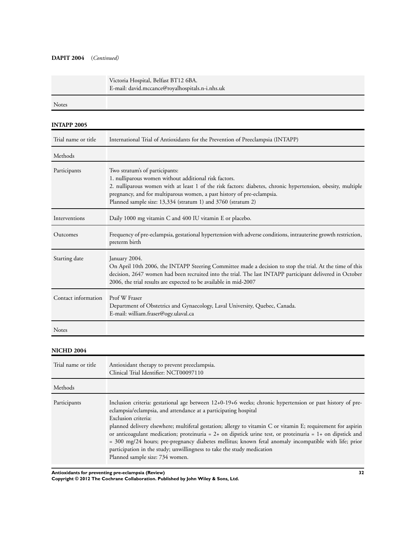# **DAPIT 2004** (*Continued)*

|              | Victoria Hospital, Belfast BT12 6BA.<br>E-mail: david.mccance@royalhospitals.n-i.nhs.uk |
|--------------|-----------------------------------------------------------------------------------------|
| <b>Notes</b> |                                                                                         |

# **INTAPP 2005**

| Trial name or title | International Trial of Antioxidants for the Prevention of Preeclampsia (INTAPP)                                                                                                                                                                                                                                                                  |
|---------------------|--------------------------------------------------------------------------------------------------------------------------------------------------------------------------------------------------------------------------------------------------------------------------------------------------------------------------------------------------|
| Methods             |                                                                                                                                                                                                                                                                                                                                                  |
| Participants        | Two stratum's of participants:<br>1. nulliparous women without additional risk factors.<br>2. nulliparous women with at least 1 of the risk factors: diabetes, chronic hypertension, obesity, multiple<br>pregnancy, and for multiparous women, a past history of pre-eclampsia.<br>Planned sample size: 13,334 (stratum 1) and 3760 (stratum 2) |
| Interventions       | Daily 1000 mg vitamin C and 400 IU vitamin E or placebo.                                                                                                                                                                                                                                                                                         |
| Outcomes            | Frequency of pre-eclampsia, gestational hypertension with adverse conditions, intrauterine growth restriction,<br>preterm birth                                                                                                                                                                                                                  |
| Starting date       | January 2004.<br>On April 10th 2006, the INTAPP Steering Committee made a decision to stop the trial. At the time of this<br>decision, 2647 women had been recruited into the trial. The last INTAPP participant delivered in October<br>2006, the trial results are expected to be available in mid-2007                                        |
| Contact information | Prof W Fraser<br>Department of Obstetrics and Gynaecology, Laval University, Quebec, Canada.<br>E-mail: william.fraser@ogy.ulaval.ca                                                                                                                                                                                                             |
| <b>Notes</b>        |                                                                                                                                                                                                                                                                                                                                                  |

# **NICHD 2004**

| Trial name or title | Antioxidant therapy to prevent preeclampsia.<br>Clinical Trial Identifier: NCT00097110                                                                                                                                                                                                                                                                                                                                                                                                                                                                                                                                                                     |
|---------------------|------------------------------------------------------------------------------------------------------------------------------------------------------------------------------------------------------------------------------------------------------------------------------------------------------------------------------------------------------------------------------------------------------------------------------------------------------------------------------------------------------------------------------------------------------------------------------------------------------------------------------------------------------------|
| Methods             |                                                                                                                                                                                                                                                                                                                                                                                                                                                                                                                                                                                                                                                            |
| Participants        | Inclusion criteria: gestational age between 12+0-19+6 weeks; chronic hypertension or past history of pre-<br>eclampsia/eclampsia, and attendance at a participating hospital<br>Exclusion criteria:<br>planned delivery elsewhere; multifetal gestation; allergy to vitamin C or vitamin E; requirement for aspirin<br>or anticoagulant medication; proteinuria = $2+$ on dipstick urine test, or proteinuria = $1+$ on dipstick and<br>= 300 mg/24 hours; pre-pregnancy diabetes mellitus; known fetal anomaly incompatible with life; prior<br>participation in the study; unwillingness to take the study medication<br>Planned sample size: 734 women. |

**Antioxidants for preventing pre-eclampsia (Review) 32**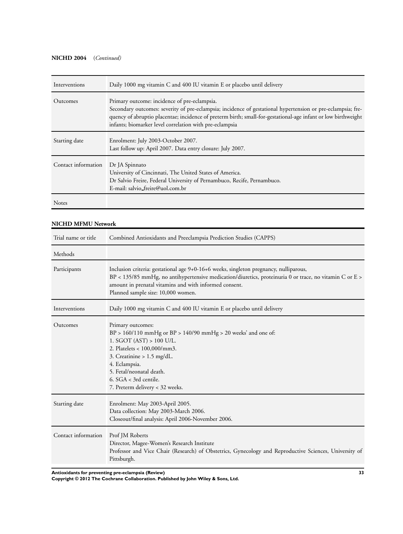# **NICHD 2004** (*Continued)*

| Interventions       | Daily 1000 mg vitamin C and 400 IU vitamin E or placebo until delivery                                                                                                                                                                                                                                                                  |
|---------------------|-----------------------------------------------------------------------------------------------------------------------------------------------------------------------------------------------------------------------------------------------------------------------------------------------------------------------------------------|
| Outcomes            | Primary outcome: incidence of pre-eclampsia.<br>Secondary outcomes: severity of pre-eclampsia; incidence of gestational hypertension or pre-eclampsia; fre-<br>quency of abruptio placentae; incidence of preterm birth; small-for-gestational-age infant or low birthweight<br>infants; biomarker level correlation with pre-eclampsia |
| Starting date       | Enrolment: July 2003-October 2007.<br>Last follow up: April 2007. Data entry closure: July 2007.                                                                                                                                                                                                                                        |
| Contact information | Dr JA Spinnato<br>University of Cincinnati, The United States of America.<br>Dr Salvio Freire, Federal University of Pernambuco, Recife, Pernambuco.<br>E-mail: salvio_freire@uol.com.br                                                                                                                                                |
| <b>Notes</b>        |                                                                                                                                                                                                                                                                                                                                         |

# **NICHD MFMU Network**

| Trial name or title | Combined Antioxidants and Preeclampsia Prediction Studies (CAPPS)                                                                                                                                                                                                                                |
|---------------------|--------------------------------------------------------------------------------------------------------------------------------------------------------------------------------------------------------------------------------------------------------------------------------------------------|
| Methods             |                                                                                                                                                                                                                                                                                                  |
| Participants        | Inclusion criteria: gestational age 9+0-16+6 weeks, singleton pregnancy, nulliparous,<br>BP < 135/85 mmHg, no antihypertensive medication/diuretics, proteinuria 0 or trace, no vitamin C or E ><br>amount in prenatal vitamins and with informed consent.<br>Planned sample size: 10,000 women. |
| Interventions       | Daily 1000 mg vitamin C and 400 IU vitamin E or placebo until delivery                                                                                                                                                                                                                           |
| Outcomes            | Primary outcomes:<br>$BP > 160/110$ mmHg or $BP > 140/90$ mmHg > 20 weeks' and one of:<br>$1.$ SGOT (AST) $> 100$ U/L.<br>2. Platelets < 100,000/mm3.<br>3. Creatinine $> 1.5$ mg/dL.<br>4. Eclampsia.<br>5. Fetal/neonatal death.<br>$6. SGA < 3rd$ centile.<br>7. Preterm delivery < 32 weeks. |
| Starting date       | Enrolment: May 2003-April 2005.<br>Data collection: May 2003-March 2006.<br>Closeout/final analysis: April 2006-November 2006.                                                                                                                                                                   |
| Contact information | Prof JM Roberts<br>Director, Magee-Women's Research Institute<br>Professor and Vice Chair (Research) of Obstetrics, Gynecology and Reproductive Sciences, University of<br>Pittsburgh.                                                                                                           |

**Antioxidants for preventing pre-eclampsia (Review) 33**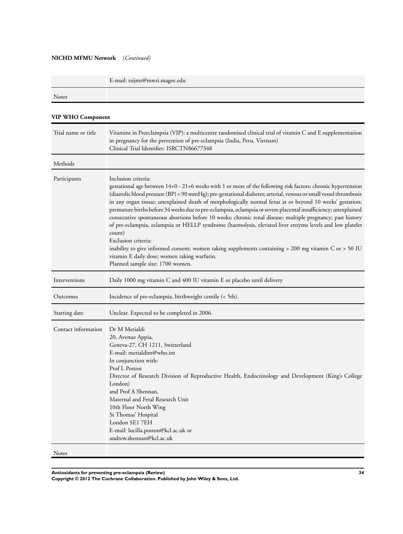**VIP WHO Component**

|       | E-mail: rsijmr@mwri.magee.edu |
|-------|-------------------------------|
| Notes |                               |
|       |                               |

# Trial name or title Vitamins in Preeclampsia (VIP): a multicentre randomised clinical trial of vitamin C and E supplementation in pregnancy for the prevention of pre-eclampsia (India, Peru, Vietnam) Clinical Trial Identifier: ISRCTN86677348 Methods Participants Inclusion criteria: gestational age between 14+0 - 21+6 weeks with 1 or more of the following risk factors: chronic hypertension (diastolic blood pressure (BP) > 90 mmHg); pre-gestational diabetes; arterial, venous or small vessel thrombosis in any organ tissue; unexplained death of morphologically normal fetus at or beyond 10 weeks' gestation; premature births before 34 weeks due to pre-eclampsia, eclampsia or severe placental insufficiency; unexplained consecutive spontaneous abortions before 10 weeks; chronic renal disease; multiple pregnancy; past history of pre-eclampsia, eclampsia or HELLP syndrome (haemolysis, elevated liver enzyme levels and low platelet count) Exclusion criteria: inability to give informed consent; women taking supplements containing > 200 mg vitamin C or > 50 IU vitamin E daily dose; women taking warfarin. Planned sample size: 1700 women. Interventions Daily 1000 mg vitamin C and 400 IU vitamin E or placebo until delivery Outcomes Incidence of pre-eclampsia, birthweight centile (< 5th). Starting date Unclear. Expected to be completed in 2006. Contact information Dr M Merialdi 20, Avenue Appia, Geneva-27, CH 1211, Switzerland E-mail: merialdim@who.int In conjunction with: Prof L Poston Director of Research Division of Reproductive Health, Endocrinology and Development (King's College London) and Prof A Shennan, Maternal and Fetal Research Unit 10th Floor North Wing St Thomas' Hospital London SE1 7EH E-mail: lucilla.poston@kcl.ac.uk or andrew.shennan@kcl.ac.uk Notes

**Antioxidants for preventing pre-eclampsia (Review) 34**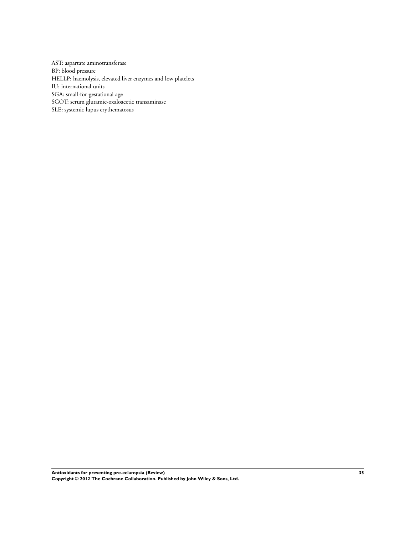AST: aspartate aminotransferase BP: blood pressure HELLP: haemolysis, elevated liver enzymes and low platelets IU: international units SGA: small-for-gestational age SGOT: serum glutamic-oxaloacetic transaminase SLE: systemic lupus erythematosus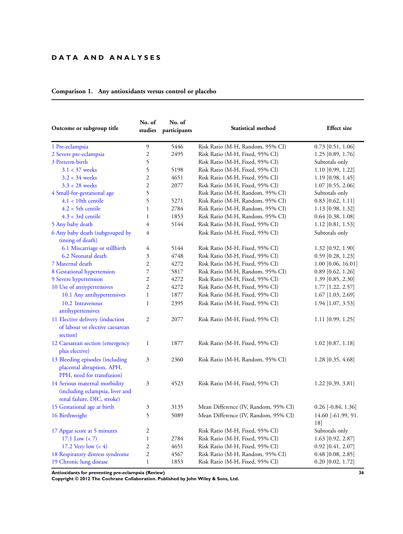# **D A T A A N D A N A L Y S E S**

| Outcome or subgroup title                                                                       | No. of<br>studies        | No. of<br>participants | <b>Statistical method</b>            | <b>Effect</b> size        |  |
|-------------------------------------------------------------------------------------------------|--------------------------|------------------------|--------------------------------------|---------------------------|--|
| 1 Pre-eclampsia                                                                                 | 9                        | 5446                   | Risk Ratio (M-H, Random, 95% CI)     | $0.73$ [0.51, 1.06]       |  |
| 2 Severe pre-eclampsia                                                                          | $\boldsymbol{2}$         | 2495                   | Risk Ratio (M-H, Fixed, 95% CI)      | 1.25 [0.89, 1.76]         |  |
| 3 Preterm birth                                                                                 | 5                        |                        | Risk Ratio (M-H, Fixed, 95% CI)      | Subtotals only            |  |
| $3.1 < 37$ weeks                                                                                | 5                        | 5198                   | Risk Ratio (M-H, Fixed, 95% CI)      | 1.10 [0.99, 1.22]         |  |
| $3.2 < 34$ weeks                                                                                | $\sqrt{2}$               | 4651                   | Risk Ratio (M-H, Fixed, 95% CI)      | $1.19$ [0.98, 1.45]       |  |
| $3.3 < 28$ weeks                                                                                | $\sqrt{2}$               | 2077                   | Risk Ratio (M-H, Fixed, 95% CI)      | $1.07$ [0.55, 2.06]       |  |
| 4 Small-for-gestational age                                                                     | 5                        |                        | Risk Ratio (M-H, Random, 95% CI)     | Subtotals only            |  |
| $4.1 < 10$ th centile                                                                           | 5                        | 5271                   | Risk Ratio (M-H, Random, 95% CI)     | $0.83$ [0.62, 1.11]       |  |
| $4.2 < 5$ th centile                                                                            | $\mathbf{1}$             | 2784                   | Risk Ratio (M-H, Random, 95% CI)     | $1.13$ [0.98, 1.32]       |  |
| $4.3 < 3$ rd centile                                                                            | $\mathbf{1}$             | 1853                   | Risk Ratio (M-H, Random, 95% CI)     | $0.64$ [0.38, 1.08]       |  |
| 5 Any baby death                                                                                | $\overline{4}$           | 5144                   | Risk Ratio (M-H, Fixed, 95% CI)      | $1.12$ [0.81, 1.53]       |  |
| 6 Any baby death (subgrouped by<br>timing of death)                                             | 4                        |                        | Risk Ratio (M-H, Fixed, 95% CI)      | Subtotals only            |  |
| 6.1 Miscarriage or stillbirth                                                                   | 4                        | 5144                   | Risk Ratio (M-H, Fixed, 95% CI)      | $1.32$ [0.92, 1.90]       |  |
| 6.2 Neonatal death                                                                              | 3                        | 4748                   | Risk Ratio (M-H, Fixed, 95% CI)      | $0.59$ [0.28, 1.23]       |  |
| 7 Maternal death                                                                                | $\mathfrak{2}$           | 4272                   | Risk Ratio (M-H, Fixed, 95% CI)      | $1.00$ [0.06, 16.01]      |  |
| 8 Gestational hypertension                                                                      | $\overline{\phantom{a}}$ | 5817                   | Risk Ratio (M-H, Random, 95% CI)     | $0.89$ [0.62, 1.26]       |  |
| 9 Severe hypertension                                                                           | $\mathfrak{2}$           | 4272                   | Risk Ratio (M-H, Fixed, 95% CI)      | $1.39$ [0.85, 2.30]       |  |
| 10 Use of antiypertensives                                                                      | $\overline{2}$           | 4272                   | Risk Ratio (M-H, Fixed, 95% CI)      | $1.77$ [1.22, 2.57]       |  |
| 10.1 Any antihypertensives                                                                      | $\mathbf{1}$             | 1877                   | Risk Ratio (M-H, Fixed, 95% CI)      | $1.67$ [1.03, 2.69]       |  |
| 10.2 Intravenous<br>antihypertensives                                                           | $\mathbf{1}$             | 2395                   | Risk Ratio (M-H, Fixed, 95% CI)      | 1.94 [1.07, 3.53]         |  |
| 11 Elective delivery (induction<br>of labour or elective caesarean<br>section)                  | $\mathfrak{2}$           | 2077                   | Risk Ratio (M-H, Fixed, 95% CI)      | $1.11$ [0.99, 1.25]       |  |
| 12 Caesarean section (emergency<br>plus elective)                                               | $\mathbf{1}$             | 1877                   | Risk Ratio (M-H, Fixed, 95% CI)      | $1.02$ [0.87, 1.18]       |  |
| 13 Bleeding episodes (including<br>placental abruption, APH,<br>PPH, need for transfusion)      | 3                        | 2360                   | Risk Ratio (M-H, Random, 95% CI)     | $1.28$ [0.35, 4.68]       |  |
| 14 Serious maternal morbidity<br>(including eclampsia, liver and<br>renal failure, DIC, stroke) | 3                        | 4523                   | Risk Ratio (M-H, Fixed, 95% CI)      | $1.22$ [0.39, 3.81]       |  |
| 15 Gestational age at birth                                                                     | $\mathfrak z$            | 3135                   | Mean Difference (IV, Random, 95% CI) | $0.26$ [-0.84, 1.36]      |  |
| 16 Birthweight                                                                                  | 5                        | 5089                   | Mean Difference (IV, Random, 95% CI) | 14.60 [-61.99, 91.<br>18] |  |
| 17 Apgar score at 5 minutes                                                                     | $\mathfrak{2}$           |                        | Risk Ratio (M-H, Fixed, 95% CI)      | Subtotals only            |  |
| 17.1 Low $(< 7)$                                                                                | $\mathbf{1}$             | 2784                   | Risk Ratio (M-H, Fixed, 95% CI)      | $1.63$ [0.92, 2.87]       |  |
| 17.2 Very low $(< 4)$                                                                           | $\sqrt{2}$               | 4651                   | Risk Ratio (M-H, Fixed, 95% CI)      | $0.92$ [0.41, 2.07]       |  |
| 18 Respiratory distress syndrome                                                                | $\sqrt{2}$               | 4567                   | Risk Ratio (M-H, Random, 95% CI)     | $0.48$ [0.08, 2.85]       |  |
| 19 Chronic lung disease                                                                         | $\mathbf{1}$             | 1853                   | Risk Ratio (M-H, Fixed, 95% CI)      | $0.20$ [0.02, 1.72]       |  |

# **Comparison 1. Any antioxidants versus control or placebo**

**Antioxidants for preventing pre-eclampsia (Review) 36**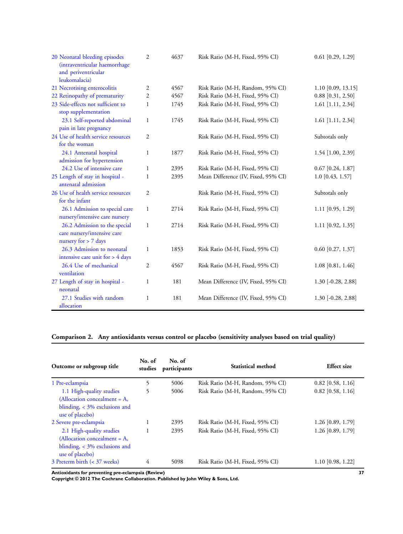| 20 Neonatal bleeding episodes<br>(intraventricular haemorrhage<br>and periventricular<br>leukomalacia) | $\overline{2}$ | 4637 | Risk Ratio (M-H, Fixed, 95% CI)     | $0.61$ [0.29, 1.29]         |
|--------------------------------------------------------------------------------------------------------|----------------|------|-------------------------------------|-----------------------------|
| 21 Necrotising enterocolitis                                                                           | 2              | 4567 | Risk Ratio (M-H, Random, 95% CI)    | $1.10$ [0.09, 13.15]        |
| 22 Retinopathy of prematurity                                                                          | $\overline{2}$ | 4567 | Risk Ratio (M-H, Fixed, 95% CI)     | $0.88$ [0.31, 2.50]         |
| 23 Side-effects not sufficient to                                                                      | 1              | 1745 | Risk Ratio (M-H, Fixed, 95% CI)     | $1.61$ [1.11, 2.34]         |
| stop supplementation                                                                                   |                |      |                                     |                             |
| 23.1 Self-reported abdominal                                                                           | 1              | 1745 | Risk Ratio (M-H, Fixed, 95% CI)     | $1.61$ [1.11, 2.34]         |
| pain in late pregnancy                                                                                 |                |      |                                     |                             |
| 24 Use of health service resources                                                                     | $\overline{c}$ |      | Risk Ratio (M-H, Fixed, 95% CI)     | Subtotals only              |
| for the woman                                                                                          |                |      |                                     |                             |
| 24.1 Antenatal hospital                                                                                | 1              | 1877 | Risk Ratio (M-H, Fixed, 95% CI)     | 1.54 [1.00, 2.39]           |
| admission for hypertension                                                                             |                |      |                                     |                             |
| 24.2 Use of intensive care                                                                             | 1              | 2395 | Risk Ratio (M-H, Fixed, 95% CI)     | $0.67$ [0.24, 1.87]         |
| 25 Length of stay in hospital -<br>antenatal admission                                                 | 1              | 2395 | Mean Difference (IV, Fixed, 95% CI) | $1.0$ [0.43, 1.57]          |
| 26 Use of health service resources                                                                     | $\mathfrak{2}$ |      | Risk Ratio (M-H, Fixed, 95% CI)     | Subtotals only              |
| for the infant                                                                                         |                |      |                                     |                             |
| 26.1 Admission to special care<br>nursery/intensive care nursery                                       | 1              | 2714 | Risk Ratio (M-H, Fixed, 95% CI)     | 1.11 [0.95, 1.29]           |
| 26.2 Admission to the special<br>care nursery/intensive care                                           | $\mathbf{1}$   | 2714 | Risk Ratio (M-H, Fixed, 95% CI)     | 1.11 [0.92, 1.35]           |
| nursery for $> 7$ days                                                                                 |                |      |                                     |                             |
| 26.3 Admission to neonatal<br>intensive care unit for $> 4$ days                                       | 1              | 1853 | Risk Ratio (M-H, Fixed, 95% CI)     | $0.60$ [0.27, 1.37]         |
| 26.4 Use of mechanical                                                                                 | 2              | 4567 | Risk Ratio (M-H, Fixed, 95% CI)     | $1.08$ [0.81, 1.46]         |
| ventilation                                                                                            |                |      |                                     |                             |
| 27 Length of stay in hospital -<br>neonatal                                                            | $\mathbf{1}$   | 181  | Mean Difference (IV, Fixed, 95% CI) | $1.30$ [ $-0.28$ , $2.88$ ] |
| 27.1 Studies with random<br>allocation                                                                 | $\mathbf{1}$   | 181  | Mean Difference (IV, Fixed, 95% CI) | $1.30$ [ $-0.28$ , $2.88$ ] |

# **Comparison 2. Any antioxidants versus control or placebo (sensitivity analyses based on trial quality)**

| Outcome or subgroup title                                                                                         | No. of<br>studies | No. of<br>participants | Statistical method               | <b>Effect</b> size  |
|-------------------------------------------------------------------------------------------------------------------|-------------------|------------------------|----------------------------------|---------------------|
| 1 Pre-eclampsia                                                                                                   | 5                 | 5006                   | Risk Ratio (M-H, Random, 95% CI) | $0.82$ [0.58, 1.16] |
| 1.1 High-quality studies<br>(Allocation concealment = $A$ ,<br>blinding, $<$ 3% exclusions and<br>use of placebo) | 5                 | 5006                   | Risk Ratio (M-H, Random, 95% CI) | $0.82$ [0.58, 1.16] |
| 2 Severe pre-eclampsia                                                                                            |                   | 2395                   | Risk Ratio (M-H, Fixed, 95% CI)  | 1.26 [0.89, 1.79]   |
| 2.1 High-quality studies<br>(Allocation concealment = $A$ ,<br>blinding, $<$ 3% exclusions and<br>use of placebo) |                   | 2395                   | Risk Ratio (M-H, Fixed, 95% CI)  | 1.26 [0.89, 1.79]   |
| 3 Preterm birth (< 37 weeks)                                                                                      | 4                 | 5098                   | Risk Ratio (M-H, Fixed, 95% CI)  | $1.10$ [0.98, 1.22] |

**Antioxidants for preventing pre-eclampsia (Review) 37**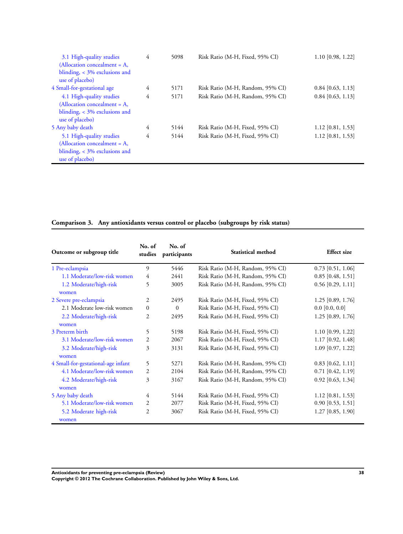| 3.1 High-quality studies<br>(Allocation concealment = $A$ ,<br>blinding, $<$ 3% exclusions and<br>use of placebo) | 4 | 5098 | Risk Ratio (M-H, Fixed, 95% CI)  | 1.10 [0.98, 1.22]   |
|-------------------------------------------------------------------------------------------------------------------|---|------|----------------------------------|---------------------|
| 4 Small-for-gestational age                                                                                       | 4 | 5171 | Risk Ratio (M-H, Random, 95% CI) | $0.84$ [0.63, 1.13] |
| 4.1 High-quality studies<br>(Allocation concealment = $A$ ,<br>blinding, $<$ 3% exclusions and<br>use of placebo) | 4 | 5171 | Risk Ratio (M-H, Random, 95% CI) | $0.84$ [0.63, 1.13] |
| 5 Any baby death                                                                                                  | 4 | 5144 | Risk Ratio (M-H, Fixed, 95% CI)  | $1.12$ [0.81, 1.53] |
| 5.1 High-quality studies<br>(Allocation concealment = $A$ ,<br>blinding, $<$ 3% exclusions and<br>use of placebo) | 4 | 5144 | Risk Ratio (M-H, Fixed, 95% CI)  | $1.12$ [0.81, 1.53] |

# **Comparison 3. Any antioxidants versus control or placebo (subgroups by risk status)**

| Outcome or subgroup title          | No. of<br>No. of<br>studies<br>participants |                | Statistical method               | <b>Effect</b> size  |
|------------------------------------|---------------------------------------------|----------------|----------------------------------|---------------------|
| 1 Pre-eclampsia                    | 9                                           | 5446           | Risk Ratio (M-H, Random, 95% CI) | $0.73$ [0.51, 1.06] |
| 1.1 Moderate/low-risk women        | 4                                           | 2441           | Risk Ratio (M-H, Random, 95% CI) | $0.85$ [0.48, 1.51] |
| 1.2 Moderate/high-risk<br>women    | 5                                           | 3005           | Risk Ratio (M-H, Random, 95% CI) | $0.56$ [0.29, 1.11] |
| 2 Severe pre-eclampsia             | $\overline{2}$                              | 2495           | Risk Ratio (M-H, Fixed, 95% CI)  | $1.25$ [0.89, 1.76] |
| 2.1 Moderate low-risk women        | $\Omega$                                    | $\overline{0}$ | Risk Ratio (M-H, Fixed, 95% CI)  | $0.0$ [0.0, 0.0]    |
| 2.2 Moderate/high-risk<br>women    | $\overline{2}$                              | 2495           | Risk Ratio (M-H, Fixed, 95% CI)  | $1.25$ [0.89, 1.76] |
| 3 Preterm birth                    | 5                                           | 5198           | Risk Ratio (M-H, Fixed, 95% CI)  | $1.10$ [0.99, 1.22] |
| 3.1 Moderate/low-risk women        | $\overline{2}$                              | 2067           | Risk Ratio (M-H, Fixed, 95% CI)  | $1.17$ [0.92, 1.48] |
| 3.2 Moderate/high-risk<br>women    | 3                                           | 3131           | Risk Ratio (M-H, Fixed, 95% CI)  | $1.09$ [0.97, 1.22] |
| 4 Small-for-gestational-age infant | 5                                           | 5271           | Risk Ratio (M-H, Random, 95% CI) | $0.83$ [0.62, 1.11] |
| 4.1 Moderate/low-risk women        | 2                                           | 2104           | Risk Ratio (M-H, Random, 95% CI) | $0.71$ [0.42, 1.19] |
| 4.2 Moderate/high-risk<br>women    | 3                                           | 3167           | Risk Ratio (M-H, Random, 95% CI) | $0.92$ [0.63, 1.34] |
| 5 Any baby death                   | 4                                           | 5144           | Risk Ratio (M-H, Fixed, 95% CI)  | $1.12$ [0.81, 1.53] |
| 5.1 Moderate/low-risk women        | 2                                           | 2077           | Risk Ratio (M-H, Fixed, 95% CI)  | $0.90$ [0.53, 1.51] |
| 5.2 Moderate high-risk<br>women    | $\overline{2}$                              | 3067           | Risk Ratio (M-H, Fixed, 95% CI)  | $1.27$ [0.85, 1.90] |

**Antioxidants for preventing pre-eclampsia (Review) 38**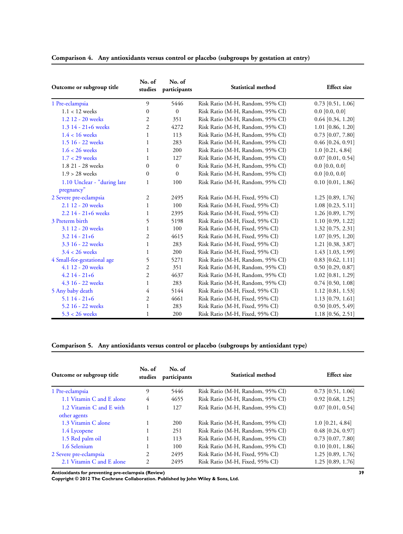| No. of<br>Outcome or subgroup title<br>studies |                | No. of<br>participants | Statistical method               | <b>Effect</b> size  |
|------------------------------------------------|----------------|------------------------|----------------------------------|---------------------|
| 1 Pre-eclampsia                                | 9              | 5446                   | Risk Ratio (M-H, Random, 95% CI) | $0.73$ [0.51, 1.06] |
| $1.1 < 12$ weeks                               | $\mathbf{0}$   | $\mathbf{0}$           | Risk Ratio (M-H, Random, 95% CI) | $0.0$ [0.0, 0.0]    |
| 1.2 12 - 20 weeks                              | 2              | 351                    | Risk Ratio (M-H, Random, 95% CI) | $0.64$ [0.34, 1.20] |
| $1.3$ 14 - 21+6 weeks                          | $\mathfrak{2}$ | 4272                   | Risk Ratio (M-H, Random, 95% CI) | 1.01 [0.86, 1.20]   |
| $1.4 < 16$ weeks                               | 1              | 113                    | Risk Ratio (M-H, Random, 95% CI) | $0.73$ [0.07, 7.80] |
| 1.5 16 - 22 weeks                              | 1              | 283                    | Risk Ratio (M-H, Random, 95% CI) | $0.46$ [0.24, 0.91] |
| $1.6 < 26$ weeks                               | 1              | 200                    | Risk Ratio (M-H, Random, 95% CI) | $1.0$ [0.21, 4.84]  |
| $1.7 < 29$ weeks                               | 1              | 127                    | Risk Ratio (M-H, Random, 95% CI) | $0.07$ [0.01, 0.54] |
| 1.8 21 - 28 weeks                              | $\mathbf{0}$   | $\mathbf{0}$           | Risk Ratio (M-H, Random, 95% CI) | 0.0 [0.0, 0.0]      |
| $1.9 > 28$ weeks                               | $\mathbf{0}$   | $\mathbf{0}$           | Risk Ratio (M-H, Random, 95% CI) | $0.0$ [0.0, 0.0]    |
| 1.10 Unclear - "during late"                   | 1              | 100                    | Risk Ratio (M-H, Random, 95% CI) | $0.10$ [0.01, 1.86] |
| pregnancy"                                     |                |                        |                                  |                     |
| 2 Severe pre-eclampsia                         | $\mathfrak{2}$ | 2495                   | Risk Ratio (M-H, Fixed, 95% CI)  | $1.25$ [0.89, 1.76] |
| 2.1 12 - 20 weeks                              | 1              | 100                    | Risk Ratio (M-H, Fixed, 95% CI)  | $1.08$ [0.23, 5.11] |
| $2.2$ 14 - 21+6 weeks                          | 1              | 2395                   | Risk Ratio (M-H, Fixed, 95% CI)  | 1.26 [0.89, 1.79]   |
| 3 Preterm birth                                | 5              | 5198                   | Risk Ratio (M-H, Fixed, 95% CI)  | $1.10$ [0.99, 1.22] |
| 3.1 12 - 20 weeks                              | 1              | 100                    | Risk Ratio (M-H, Fixed, 95% CI)  | $1.32$ [0.75, 2.31] |
| $3.214 - 21 + 6$                               | $\mathfrak{2}$ | 4615                   | Risk Ratio (M-H, Fixed, 95% CI)  | $1.07$ [0.95, 1.20] |
| 3.3 16 - 22 weeks                              | 1              | 283                    | Risk Ratio (M-H, Fixed, 95% CI)  | 1.21 [0.38, 3.87]   |
| $3.4 < 26$ weeks                               | 1              | 200                    | Risk Ratio (M-H, Fixed, 95% CI)  | 1.43 [1.03, 1.99]   |
| 4 Small-for-gestational age                    | 5              | 5271                   | Risk Ratio (M-H, Random, 95% CI) | $0.83$ [0.62, 1.11] |
| 4.1 12 - 20 weeks                              | 2              | 351                    | Risk Ratio (M-H, Random, 95% CI) | $0.50$ [0.29, 0.87] |
| $4.214 - 21 + 6$                               | $\overline{2}$ | 4637                   | Risk Ratio (M-H, Random, 95% CI) | $1.02$ [0.81, 1.29] |
| 4.3 16 - 22 weeks                              | $\mathbf{1}$   | 283                    | Risk Ratio (M-H, Random, 95% CI) | $0.74$ [0.50, 1.08] |
| 5 Any baby death                               | 4              | 5144                   | Risk Ratio (M-H, Fixed, 95% CI)  | $1.12$ [0.81, 1.53] |
| $5.114 - 21 + 6$                               | $\overline{2}$ | 4661                   | Risk Ratio (M-H, Fixed, 95% CI)  | $1.13$ [0.79, 1.61] |
| 5.2 16 - 22 weeks                              | 1              | 283                    | Risk Ratio (M-H, Fixed, 95% CI)  | $0.50$ [0.05, 5.49] |
| $5.3 < 26$ weeks                               | 1              | 200                    | Risk Ratio (M-H, Fixed, 95% CI)  | 1.18 [0.56, 2.51]   |

#### **Comparison 4. Any antioxidants versus control or placebo (subgroups by gestation at entry)**

# **Comparison 5. Any antioxidants versus control or placebo (subgroups by antioxidant type)**

| No. of<br>Outcome or subgroup title<br>studies |                | No. of<br>participants | Statistical method               | <b>Effect size</b>  |
|------------------------------------------------|----------------|------------------------|----------------------------------|---------------------|
| 1 Pre-eclampsia                                | 9              | 5446                   | Risk Ratio (M-H, Random, 95% CI) | $0.73$ [0.51, 1.06] |
| 1.1 Vitamin C and E alone                      | 4              | 4655                   | Risk Ratio (M-H, Random, 95% CI) | $0.92$ [0.68, 1.25] |
| 1.2 Vitamin C and E with                       |                | 127                    | Risk Ratio (M-H, Random, 95% CI) | $0.07$ [0.01, 0.54] |
| other agents                                   |                |                        |                                  |                     |
| 1.3 Vitamin C alone                            |                | 200                    | Risk Ratio (M-H, Random, 95% CI) | $1.0$ [0.21, 4.84]  |
| 1.4 Lycopene                                   |                | 251                    | Risk Ratio (M-H, Random, 95% CI) | $0.48$ [0.24, 0.97] |
| 1.5 Red palm oil                               |                | 113                    | Risk Ratio (M-H, Random, 95% CI) | $0.73$ [0.07, 7.80] |
| 1.6 Selenium                                   |                | 100                    | Risk Ratio (M-H, Random, 95% CI) | $0.10$ [0.01, 1.86] |
| 2 Severe pre-eclampsia                         | 2              | 2495                   | Risk Ratio (M-H, Fixed, 95% CI)  | $1.25$ [0.89, 1.76] |
| 2.1 Vitamin C and E alone                      | $\mathfrak{D}$ | 2495                   | Risk Ratio (M-H, Fixed, 95% CI)  | $1.25$ [0.89, 1.76] |

**Antioxidants for preventing pre-eclampsia (Review) 39**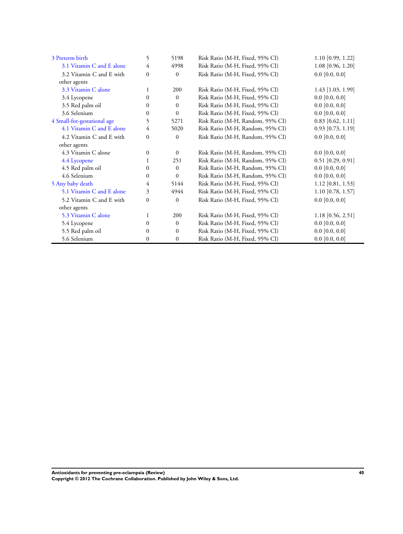| 3 Preterm birth             | 5            | 5198             | Risk Ratio (M-H, Fixed, 95% CI)  | 1.10 [0.99, 1.22]   |
|-----------------------------|--------------|------------------|----------------------------------|---------------------|
| 3.1 Vitamin C and E alone   | 4            | 4998             | Risk Ratio (M-H, Fixed, 95% CI)  | $1.08$ [0.96, 1.20] |
| 3.2 Vitamin C and E with    | $\mathbf{0}$ | $\Omega$         | Risk Ratio (M-H, Fixed, 95% CI)  | $0.0$ [0.0, 0.0]    |
| other agents                |              |                  |                                  |                     |
| 3.3 Vitamin C alone         | 1            | 200              | Risk Ratio (M-H, Fixed, 95% CI)  | 1.43 [1.03, 1.99]   |
| 3.4 Lycopene                | $\Omega$     | $\Omega$         | Risk Ratio (M-H, Fixed, 95% CI)  | $0.0$ [0.0, 0.0]    |
| 3.5 Red palm oil            | $\Omega$     | $\mathbf{0}$     | Risk Ratio (M-H, Fixed, 95% CI)  | $0.0$ [0.0, 0.0]    |
| 3.6 Selenium                | $\Omega$     | $\overline{0}$   | Risk Ratio (M-H, Fixed, 95% CI)  | $0.0$ [0.0, 0.0]    |
| 4 Small-for-gestational age | 5            | 5271             | Risk Ratio (M-H, Random, 95% CI) | $0.83$ [0.62, 1.11] |
| 4.1 Vitamin C and E alone   | 4            | 5020             | Risk Ratio (M-H, Random, 95% CI) | $0.93$ [0.73, 1.19] |
| 4.2 Vitamin C and E with    | $\mathbf{0}$ | $\mathbf{0}$     | Risk Ratio (M-H, Random, 95% CI) | $0.0$ [0.0, 0.0]    |
| other agents                |              |                  |                                  |                     |
| 4.3 Vitamin C alone         | $\Omega$     | $\overline{0}$   | Risk Ratio (M-H, Random, 95% CI) | 0.0 [0.0, 0.0]      |
| 4.4 Lycopene                | 1            | 251              | Risk Ratio (M-H, Random, 95% CI) | $0.51$ [0.29, 0.91] |
| 4.5 Red palm oil            | $\Omega$     | $\Omega$         | Risk Ratio (M-H, Random, 95% CI) | $0.0$ [0.0, 0.0]    |
| 4.6 Selenium                | $\Omega$     | $\mathbf{0}$     | Risk Ratio (M-H, Random, 95% CI) | $0.0$ [0.0, 0.0]    |
| 5 Any baby death            | 4            | 5144             | Risk Ratio (M-H, Fixed, 95% CI)  | $1.12$ [0.81, 1.53] |
| 5.1 Vitamin C and E alone   | 3            | 4944             | Risk Ratio (M-H, Fixed, 95% CI)  | $1.10$ [0.78, 1.57] |
| 5.2 Vitamin C and E with    | $\mathbf{0}$ | $\mathbf{0}$     | Risk Ratio (M-H, Fixed, 95% CI)  | $0.0$ [0.0, 0.0]    |
| other agents                |              |                  |                                  |                     |
| 5.3 Vitamin C alone         | $\mathbf{1}$ | 200              | Risk Ratio (M-H, Fixed, 95% CI)  | 1.18 [0.56, 2.51]   |
| 5.4 Lycopene                | $\Omega$     | $\overline{0}$   | Risk Ratio (M-H, Fixed, 95% CI)  | $0.0$ [0.0, 0.0]    |
| 5.5 Red palm oil            | $\Omega$     | $\overline{0}$   | Risk Ratio (M-H, Fixed, 95% CI)  | $0.0$ [0.0, 0.0]    |
| 5.6 Selenium                | $\mathbf{0}$ | $\boldsymbol{0}$ | Risk Ratio (M-H, Fixed, 95% CI)  | 0.0 [0.0, 0.0]      |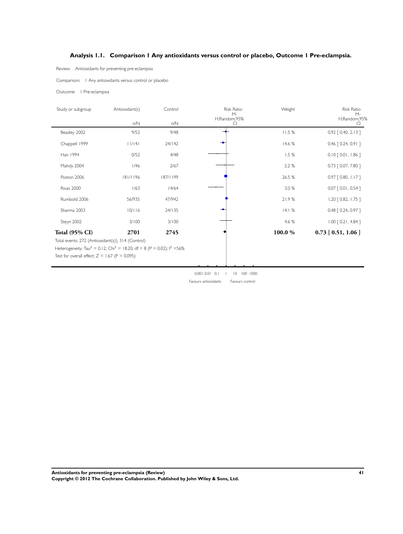## **Analysis 1.1. Comparison 1 Any antioxidants versus control or placebo, Outcome 1 Pre-eclampsia.**

<span id="page-43-0"></span>Review: Antioxidants for preventing pre-eclampsia

Comparison: 1 Any antioxidants versus control or placebo

Outcome: 1 Pre-eclampsia

| Antioxidant(s)                                                                                               | Control  | <b>Risk Ratio</b>                       | Weight                                                                                                                                  | <b>Risk Ratio</b><br>$M -$ |
|--------------------------------------------------------------------------------------------------------------|----------|-----------------------------------------|-----------------------------------------------------------------------------------------------------------------------------------------|----------------------------|
| n/N                                                                                                          | n/N      | H,Random,95%<br>CI                      |                                                                                                                                         | H,Random,95%<br>C          |
| 9/52                                                                                                         | 9/48     |                                         | 11.5 %                                                                                                                                  | $0.92$ $[0.40, 2.13]$      |
| 11/141                                                                                                       | 24/142   |                                         | 14.6 %                                                                                                                                  | $0.46$ $[0.24, 0.91]$      |
| 0/52                                                                                                         | 4/48     |                                         | 1.5%                                                                                                                                    | $0.10$ $[0.01, 1.86]$      |
| 1/46                                                                                                         | 2/67     |                                         | 2.2 %                                                                                                                                   | $0.73$ $[0.07, 7.80]$      |
| 181/1196                                                                                                     | 187/1199 |                                         | 26.5 %                                                                                                                                  | $0.97$ [ 0.80, 1.17 ]      |
| 1/63                                                                                                         | 14/64    |                                         | 3.0 %                                                                                                                                   | $0.07$ $[0.01, 0.54]$      |
| 56/935                                                                                                       | 47/942   |                                         | 21.9%                                                                                                                                   | $1.20$ $[0.82, 1.75]$      |
| 10/116                                                                                                       | 24/135   |                                         | 14.1%                                                                                                                                   | 0.48 [ 0.24, 0.97 ]        |
| 3/100                                                                                                        | 3/100    |                                         | 4.6 %                                                                                                                                   | $1.00$ $[0.21, 4.84]$      |
| 2701<br>Total events: 272 (Antioxidant(s)), 314 (Control)<br>Test for overall effect: $Z = 1.67$ (P = 0.095) | 2745     |                                         | 100.0%                                                                                                                                  | $0.73$ [ $0.51$ , 1.06 ]   |
|                                                                                                              |          |                                         |                                                                                                                                         |                            |
|                                                                                                              |          | Favours antioxidants<br>Favours control |                                                                                                                                         |                            |
|                                                                                                              |          |                                         | $M -$<br>Heterogeneity: Tau <sup>2</sup> = 0.12; Chi <sup>2</sup> = 18.20, df = 8 (P = 0.02); $1^2$ =56%<br>0.0010.010.1<br>10 100 1000 |                            |

**Antioxidants for preventing pre-eclampsia (Review) 41**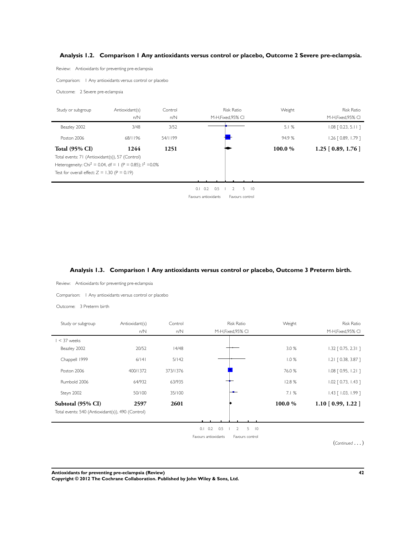#### <span id="page-44-0"></span>**Analysis 1.2. Comparison 1 Any antioxidants versus control or placebo, Outcome 2 Severe pre-eclampsia.**

Review: Antioxidants for preventing pre-eclampsia

Comparison: 1 Any antioxidants versus control or placebo

Outcome: 2 Severe pre-eclampsia

| Study or subgroup                                                      | Antioxidant(s) | Control |                        | <b>Risk Ratio</b>                      | Weight | <b>Risk Ratio</b>     |
|------------------------------------------------------------------------|----------------|---------|------------------------|----------------------------------------|--------|-----------------------|
|                                                                        | n/N            | n/N     |                        | M-H, Fixed, 95% CI                     |        | M-H, Fixed, 95% CI    |
| Beazley 2002                                                           | 3/48           | 3/52    |                        |                                        | 5.1%   | $1.08$ $[0.23, 5.11]$ |
| Poston 2006                                                            | 68/1196        | 54/1199 |                        |                                        | 94.9%  | $1.26$ $[0.89, 1.79]$ |
| <b>Total (95% CI)</b>                                                  | 1244           | 1251    |                        |                                        | 100.0% | $1.25$ [ 0.89, 1.76 ] |
| Total events: 71 (Antioxidant(s)), 57 (Control)                        |                |         |                        |                                        |        |                       |
| Heterogeneity: Chi <sup>2</sup> = 0.04, df = 1 (P = 0.85); $1^2$ =0.0% |                |         |                        |                                        |        |                       |
| Test for overall effect: $Z = 1.30$ (P = 0.19)                         |                |         |                        |                                        |        |                       |
|                                                                        |                |         |                        |                                        |        |                       |
|                                                                        |                |         | $0.1 \quad 0.2$<br>0.5 | .5<br>$\mathcal{D}$<br>$\overline{10}$ |        |                       |
|                                                                        |                |         | Favours antioxidants   | Favours control                        |        |                       |

#### **Analysis 1.3. Comparison 1 Any antioxidants versus control or placebo, Outcome 3 Preterm birth.**

Review: Antioxidants for preventing pre-eclampsia Comparison: 1 Any antioxidants versus control or placebo Outcome: 3 Preterm birth Study or subgroup Antioxidant(s) Control Risk Ratio Weight Weight Risk Ratio n/N n/N M-H,Fixed,95% CI M-H,Fixed,95% CI 1 < 37 weeks Beazley 2002 20/52 14/48 3.0 % 1.32 [ 0.75, 2.31 ] Chappell 1999 6/141 6/142 1.0 % 1.21 [ 0.38, 3.87 ] Poston 2006 400/1372 373/1376 **1.08** [ 0.95, 1.21 ] Rumbold 2006 64/932 63/935 12.8 % 1.02 [ 0.73, 1.43 ] Steyn 2002 50/100 35/100 35/100 36 **Fe** 7.1 % 1.43 [ 1.03, 1.99 ] **Subtotal (95% CI) 2597 2601 100.0 % 1.10 [ 0.99, 1.22 ]** Total events: 540 (Antioxidant(s)), 490 (Control)  $0.1 \t0.2 \t0.5 \t1 \t2 \t5 \t10$ Favours antioxidants Favours control (*Continued* . . . )

**Antioxidants for preventing pre-eclampsia (Review) 42**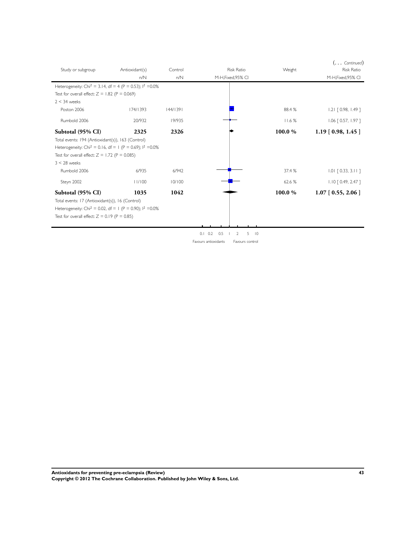<span id="page-45-0"></span>

|                                                                         |                |          |                                         |                      | $(\ldots \hbox{\ \it Continued})$ |
|-------------------------------------------------------------------------|----------------|----------|-----------------------------------------|----------------------|-----------------------------------|
| Study or subgroup                                                       | Antioxidant(s) | Control  | <b>Risk Ratio</b>                       | Weight               | <b>Risk Ratio</b>                 |
|                                                                         | n/N            | n/N      | M-H, Fixed, 95% CI                      |                      | M-H, Fixed, 95% CI                |
| Heterogeneity: Chi <sup>2</sup> = 3.14, df = 4 (P = 0.53); $1^2$ =0.0%  |                |          |                                         |                      |                                   |
| Test for overall effect: $Z = 1.82$ (P = 0.069)                         |                |          |                                         |                      |                                   |
| $2 < 34$ weeks                                                          |                |          |                                         |                      |                                   |
| Poston 2006                                                             | 174/1393       | 144/1391 |                                         | 88.4%                | $1.21$ $[0.98, 1.49]$             |
| Rumbold 2006                                                            | 20/932         | 19/935   |                                         | 11.6%                | $1.06$ $[0.57, 1.97]$             |
| Subtotal (95% CI)                                                       | 2325           | 2326     |                                         | 100.0 %              | $1.19$ [ 0.98, 1.45 ]             |
| Total events: 194 (Antioxidant(s)), 163 (Control)                       |                |          |                                         |                      |                                   |
| Heterogeneity: Chi <sup>2</sup> = 0.16, df = 1 (P = 0.69); $1^2$ =0.0%  |                |          |                                         |                      |                                   |
| Test for overall effect: $Z = 1.72$ (P = 0.085)                         |                |          |                                         |                      |                                   |
| $3 < 28$ weeks                                                          |                |          |                                         |                      |                                   |
| Rumbold 2006                                                            | 6/935          | 6/942    |                                         | 37.4 %               | $1.01$ $[0.33, 3.11]$             |
| Steyn 2002                                                              | 11/100         | 10/100   |                                         | 62.6 %               | $1.10$ $[0.49, 2.47]$             |
| Subtotal (95% CI)                                                       | 1035           | 1042     |                                         | 100.0%               | $1.07$ [ 0.55, 2.06 ]             |
| Total events: 17 (Antioxidant(s)), 16 (Control)                         |                |          |                                         |                      |                                   |
| Heterogeneity: Chi <sup>2</sup> = 0.02, df = 1 (P = 0.90); $1^2$ = 0.0% |                |          |                                         |                      |                                   |
| Test for overall effect: $Z = 0.19$ (P = 0.85)                          |                |          |                                         |                      |                                   |
|                                                                         |                |          |                                         |                      |                                   |
|                                                                         |                |          | $0.1 \quad 0.2$<br>0.5<br>$\mathcal{L}$ | 5<br>$\overline{10}$ |                                   |
|                                                                         |                |          | Favours antioxidants                    | Favours control      |                                   |

**Antioxidants for preventing pre-eclampsia (Review) 43**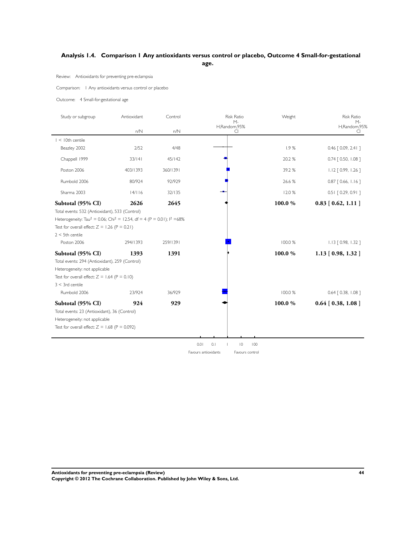## <span id="page-46-0"></span>**Analysis 1.4. Comparison 1 Any antioxidants versus control or placebo, Outcome 4 Small-for-gestational age.**

Review: Antioxidants for preventing pre-eclampsia

Comparison: 1 Any antioxidants versus control or placebo

Outcome: 4 Small-for-gestational age

| Antioxidant                                                    | Control                                                                                                                                                                                                                                                                                                 | <b>Risk Ratio</b>                                                                                        | Weight                                     | <b>Risk Ratio</b><br>$M -$                     |
|----------------------------------------------------------------|---------------------------------------------------------------------------------------------------------------------------------------------------------------------------------------------------------------------------------------------------------------------------------------------------------|----------------------------------------------------------------------------------------------------------|--------------------------------------------|------------------------------------------------|
| n/N                                                            | n/N                                                                                                                                                                                                                                                                                                     | H,Random,95%<br>CI                                                                                       |                                            | H,Random,95%<br>CI.                            |
|                                                                |                                                                                                                                                                                                                                                                                                         |                                                                                                          |                                            |                                                |
| 2/52                                                           | 4/48                                                                                                                                                                                                                                                                                                    |                                                                                                          | 1.9%                                       | $0.46$ $[0.09, 2.41]$                          |
| 33/141                                                         | 45/142                                                                                                                                                                                                                                                                                                  |                                                                                                          | 20.2 %                                     | 0.74 [ 0.50, 1.08 ]                            |
| 403/1393                                                       | 360/1391                                                                                                                                                                                                                                                                                                |                                                                                                          | 39.2 %                                     | $1.12$ [ 0.99, 1.26 ]                          |
| 80/924                                                         | 92/929                                                                                                                                                                                                                                                                                                  |                                                                                                          | 26.6%                                      | $0.87$ $[$ 0.66, 1.16 ]                        |
| 14/116                                                         | 32/135                                                                                                                                                                                                                                                                                                  |                                                                                                          | 12.0%                                      | 0.51 [ 0.29, 0.91 ]                            |
| 2626                                                           | 2645                                                                                                                                                                                                                                                                                                    |                                                                                                          | 100.0%                                     | $0.83$ [ $0.62$ , 1.11 ]                       |
| 294/1393                                                       | 259/1391                                                                                                                                                                                                                                                                                                |                                                                                                          | 100.0 %                                    | $1.13$ $[0.98, 1.32]$                          |
| 1393<br>23/924                                                 | 1391<br>36/929                                                                                                                                                                                                                                                                                          |                                                                                                          | 100.0%<br>100.0%                           | $1.13$ [ 0.98, 1.32 ]<br>$0.64$ $[0.38, 1.08]$ |
| 924                                                            | 929                                                                                                                                                                                                                                                                                                     |                                                                                                          | 100.0%                                     | $0.64$ [ $0.38$ , $1.08$ ]                     |
| Heterogeneity: not applicable<br>Heterogeneity: not applicable | Total events: 532 (Antioxidant), 533 (Control)<br>Test for overall effect: $Z = 1.26$ (P = 0.21)<br>Total events: 294 (Antioxidant), 259 (Control)<br>Test for overall effect: $Z = 1.64$ (P = 0.10)<br>Total events: 23 (Antioxidant), 36 (Control)<br>Test for overall effect: $Z = 1.68$ (P = 0.092) | Heterogeneity: Tau <sup>2</sup> = 0.06; Chi <sup>2</sup> = 12.54, df = 4 (P = 0.01); l <sup>2</sup> =68% | $M -$<br>0.01<br>0.1<br>100<br>$ 0\rangle$ |                                                |

Favours antioxidants Favours control

**Antioxidants for preventing pre-eclampsia (Review) 44**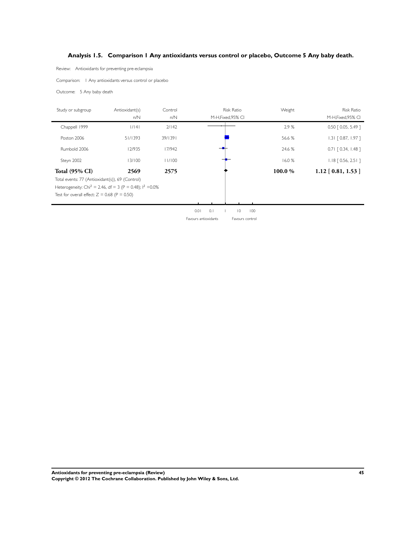#### <span id="page-47-0"></span>**Analysis 1.5. Comparison 1 Any antioxidants versus control or placebo, Outcome 5 Any baby death.**

Review: Antioxidants for preventing pre-eclampsia

Comparison: 1 Any antioxidants versus control or placebo

Outcome: 5 Any baby death

| Study or subgroup                                                       | Antioxidant(s) | Control |                      | <b>Risk Ratio</b>  | Weight | <b>Risk Ratio</b>     |
|-------------------------------------------------------------------------|----------------|---------|----------------------|--------------------|--------|-----------------------|
|                                                                         | n/N            | n/N     |                      | M-H, Fixed, 95% CI |        | M-H, Fixed, 95% CI    |
| Chappell 1999                                                           | 1/141          | 2/142   |                      |                    | 2.9%   | 0.50 [ 0.05, 5.49 ]   |
| Poston 2006                                                             | 51/1393        | 39/1391 |                      |                    | 56.6 % | $1.31$ $[0.87, 1.97]$ |
| Rumbold 2006                                                            | 12/935         | 17/942  |                      |                    | 24.6 % | $0.71$ $[0.34, 1.48]$ |
| Steyn 2002                                                              | 13/100         | 11/100  |                      |                    | 16.0%  | $1.18$ $[0.56, 2.51]$ |
| <b>Total (95% CI)</b>                                                   | 2569           | 2575    |                      |                    | 100.0% | $1.12$ [ 0.81, 1.53 ] |
| Total events: 77 (Antioxidant(s)), 69 (Control)                         |                |         |                      |                    |        |                       |
| Heterogeneity: Chi <sup>2</sup> = 2.46, df = 3 (P = 0.48); $1^2$ = 0.0% |                |         |                      |                    |        |                       |
| Test for overall effect: $Z = 0.68$ (P = 0.50)                          |                |         |                      |                    |        |                       |
|                                                                         |                |         |                      |                    |        |                       |
|                                                                         |                |         | 0.1<br>0.01          | $ 0\rangle$<br>100 |        |                       |
|                                                                         |                |         | Favours antioxidants | Favours control    |        |                       |

**Antioxidants for preventing pre-eclampsia (Review) 45**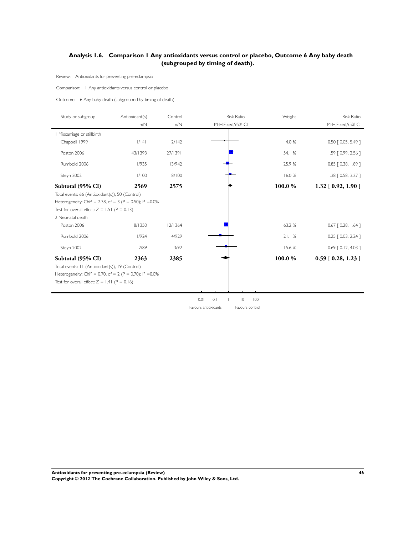### <span id="page-48-0"></span>**Analysis 1.6. Comparison 1 Any antioxidants versus control or placebo, Outcome 6 Any baby death (subgrouped by timing of death).**

Review: Antioxidants for preventing pre-eclampsia

Comparison: 1 Any antioxidants versus control or placebo

Outcome: 6 Any baby death (subgrouped by timing of death)

| Study or subgroup                                                                                                                                                                                | Antioxidant(s) | Control | Risk Ratio                                | Weight | Risk Ratio               |
|--------------------------------------------------------------------------------------------------------------------------------------------------------------------------------------------------|----------------|---------|-------------------------------------------|--------|--------------------------|
|                                                                                                                                                                                                  | n/N            | $n/N$   | M-H,Fixed,95% CI                          |        | M-H,Fixed,95% CI         |
| Miscarriage or stillbirth                                                                                                                                                                        |                |         |                                           |        |                          |
| Chappell 1999                                                                                                                                                                                    | 1/141          | 2/142   |                                           | 4.0 %  | $0.50$ $[0.05, 5.49]$    |
| Poston 2006                                                                                                                                                                                      | 43/1393        | 27/1391 |                                           | 54.1 % | $1.59$ $[0.99, 2.56]$    |
| Rumbold 2006                                                                                                                                                                                     | 11/935         | 13/942  |                                           | 25.9%  | $0.85$ $[0.38, 1.89]$    |
| Steyn 2002                                                                                                                                                                                       | 11/100         | 8/100   |                                           | 16.0%  | 1.38 [ 0.58, 3.27 ]      |
| Subtotal (95% CI)                                                                                                                                                                                | 2569           | 2575    |                                           | 100.0% | $1.32$ [ 0.92, 1.90 ]    |
| Total events: 66 (Antioxidant(s)), 50 (Control)<br>Heterogeneity: Chi <sup>2</sup> = 2.38, df = 3 (P = 0.50); $1^2$ = 0.0%<br>Test for overall effect: $Z = 1.51$ (P = 0.13)<br>2 Neonatal death |                |         |                                           |        |                          |
| Poston 2006                                                                                                                                                                                      | 8/1350         | 12/1364 |                                           | 63.2 % | $0.67$ [ 0.28, 1.64 ]    |
| Rumbold 2006                                                                                                                                                                                     | 1/924          | 4/929   |                                           | 21.1%  | $0.25$ $[0.03, 2.24]$    |
| Steyn 2002                                                                                                                                                                                       | 2/89           | 3/92    |                                           | 15.6 % | $0.69$ $[ 0.12, 4.03 ]$  |
| Subtotal (95% CI)                                                                                                                                                                                | 2363           | 2385    |                                           | 100.0% | $0.59$ [ $0.28$ , 1.23 ] |
| Heterogeneity: Chi <sup>2</sup> = 0.70, df = 2 (P = 0.70); $1^2$ = 0.0%<br>Test for overall effect: $Z = 1.41$ (P = 0.16)                                                                        |                |         | 0.1<br>$\vert\,0\,\rangle$<br>100<br>0.01 |        |                          |
|                                                                                                                                                                                                  |                |         | Favours antioxidants<br>Favours control   |        |                          |
|                                                                                                                                                                                                  |                |         |                                           |        |                          |
|                                                                                                                                                                                                  |                |         |                                           |        |                          |
|                                                                                                                                                                                                  |                |         |                                           |        |                          |
|                                                                                                                                                                                                  |                |         |                                           |        |                          |
|                                                                                                                                                                                                  |                |         |                                           |        |                          |
|                                                                                                                                                                                                  |                |         |                                           |        |                          |
|                                                                                                                                                                                                  |                |         |                                           |        |                          |
|                                                                                                                                                                                                  |                |         |                                           |        |                          |
|                                                                                                                                                                                                  |                |         |                                           |        |                          |
|                                                                                                                                                                                                  |                |         |                                           |        |                          |
|                                                                                                                                                                                                  |                |         |                                           |        |                          |
|                                                                                                                                                                                                  |                |         |                                           |        |                          |

**Antioxidants for preventing pre-eclampsia (Review) 46**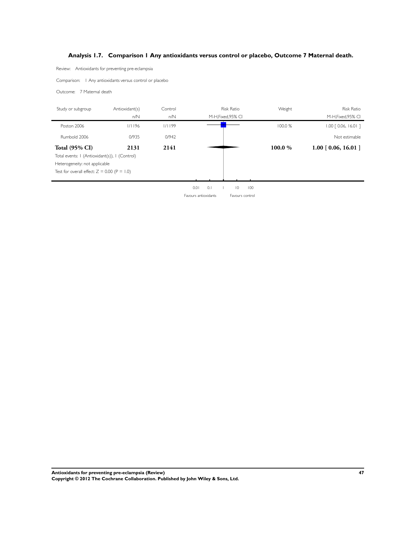## <span id="page-49-0"></span>**Analysis 1.7. Comparison 1 Any antioxidants versus control or placebo, Outcome 7 Maternal death.**

Review: Antioxidants for preventing pre-eclampsia

Comparison: 1 Any antioxidants versus control or placebo

Outcome: 7 Maternal death

| Study or subgroup                             | Antioxidant(s) | Control |     |     | <b>Risk Ratio</b>  |     | Weight  | <b>Risk Ratio</b>      |
|-----------------------------------------------|----------------|---------|-----|-----|--------------------|-----|---------|------------------------|
|                                               | n/N            | n/N     |     |     | M-H, Fixed, 95% CI |     |         | M-H, Fixed, 95% CI     |
| Poston 2006                                   | 1/1196         | 1/1199  |     |     |                    |     | 100.0 % | $1.00$ $[0.06, 16.01]$ |
| Rumbold 2006                                  | 0/935          | 0/942   |     |     |                    |     |         | Not estimable          |
| <b>Total (95% CI)</b>                         | 2131           | 2141    |     |     |                    |     | 100.0%  | $1.00$ [ 0.06, 16.01 ] |
| Total events: I (Antioxidant(s)), I (Control) |                |         |     |     |                    |     |         |                        |
| Heterogeneity: not applicable                 |                |         |     |     |                    |     |         |                        |
| Test for overall effect: $Z = 0.00$ (P = 1.0) |                |         |     |     |                    |     |         |                        |
|                                               |                |         |     |     |                    |     |         |                        |
|                                               |                |         | 0.0 | 0.1 | $\overline{0}$     | 100 |         |                        |

Favours antioxidants Favours control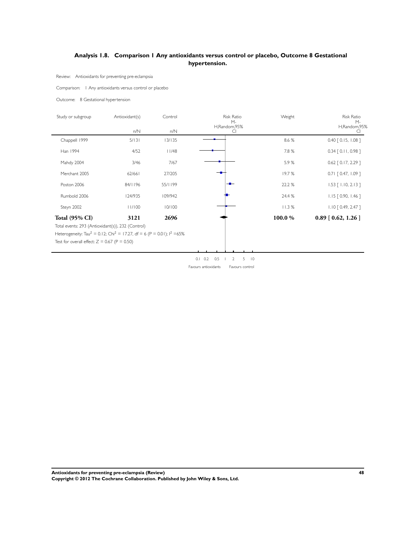## <span id="page-50-0"></span>**Analysis 1.8. Comparison 1 Any antioxidants versus control or placebo, Outcome 8 Gestational hypertension.**

Review: Antioxidants for preventing pre-eclampsia

Comparison: 1 Any antioxidants versus control or placebo

Outcome: 8 Gestational hypertension

| Study or subgroup                                                          | Antioxidant(s)                                                                                          | Control | Risk Ratio<br>$M -$<br>H,Random,95%             | Weight | Risk Ratio<br>$M -$<br>H,Random,95% |
|----------------------------------------------------------------------------|---------------------------------------------------------------------------------------------------------|---------|-------------------------------------------------|--------|-------------------------------------|
|                                                                            | n/N                                                                                                     | n/N     | CI                                              |        | C                                   |
| Chappell 1999                                                              | 5/131                                                                                                   | 13/135  |                                                 | 8.6 %  | $0.40$ $[0.15, 1.08]$               |
| Han 1994                                                                   | 4/52                                                                                                    | 11/48   |                                                 | 7.8 %  | $0.34$ $[0.11, 0.98]$               |
| Mahdy 2004                                                                 | 3/46                                                                                                    | 7/67    |                                                 | 5.9%   | $0.62$ [ 0.17, 2.29 ]               |
| Merchant 2005                                                              | 62/661                                                                                                  | 27/205  |                                                 | 19.7%  | $0.71$ $[0.47, 1.09]$               |
| Poston 2006                                                                | 84/1196                                                                                                 | 55/1199 |                                                 | 22.2 % | $1.53$ $[ 1.10, 2.13 ]$             |
| Rumbold 2006                                                               | 124/935                                                                                                 | 109/942 |                                                 | 24.4 % | $1.15$ $[0.90, 1.46]$               |
| Steyn 2002                                                                 | 11/100                                                                                                  | 10/100  |                                                 | 11.3%  | $1.10$ $[0.49, 2.47]$               |
| <b>Total (95% CI)</b><br>Total events: 293 (Antioxidant(s)), 232 (Control) | 3121<br>Heterogeneity: Tau <sup>2</sup> = 0.12; Chi <sup>2</sup> = 17.27, df = 6 (P = 0.01); $1^2$ =65% | 2696    |                                                 | 100.0% | $0.89$ [ $0.62$ , 1.26 ]            |
| Test for overall effect: $Z = 0.67$ (P = 0.50)                             |                                                                                                         |         |                                                 |        |                                     |
|                                                                            |                                                                                                         |         |                                                 |        |                                     |
|                                                                            |                                                                                                         |         | $0.1 \quad 0.2$<br>0.5<br>5<br>$ 0\rangle$<br>2 |        |                                     |
|                                                                            |                                                                                                         |         | Favours antioxidants<br>Favours control         |        |                                     |

**Antioxidants for preventing pre-eclampsia (Review) 48**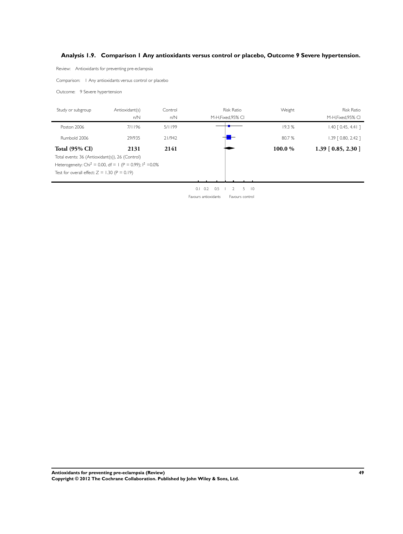## <span id="page-51-0"></span>**Analysis 1.9. Comparison 1 Any antioxidants versus control or placebo, Outcome 9 Severe hypertension.**

Review: Antioxidants for preventing pre-eclampsia

Comparison: 1 Any antioxidants versus control or placebo

Outcome: 9 Severe hypertension

| Study or subgroup                                                                                                                                                                                              | Antioxidant(s) | Control | Risk Ratio                                                                   | Weight | <b>Risk Ratio</b>     |
|----------------------------------------------------------------------------------------------------------------------------------------------------------------------------------------------------------------|----------------|---------|------------------------------------------------------------------------------|--------|-----------------------|
|                                                                                                                                                                                                                | n/N            | n/N     | M-H, Fixed, 95% CI                                                           |        | M-H, Fixed, 95% CI    |
| Poston 2006                                                                                                                                                                                                    | 7/1196         | 5/1199  | ÷                                                                            | 19.3%  | $1.40$ $[0.45, 4.41]$ |
| Rumbold 2006                                                                                                                                                                                                   | 29/935         | 21/942  |                                                                              | 80.7%  | $1.39$ $[0.80, 2.42]$ |
| <b>Total (95% CI)</b><br>Total events: 36 (Antioxidant(s)), 26 (Control)<br>Heterogeneity: Chi <sup>2</sup> = 0.00, df = 1 (P = 0.99); l <sup>2</sup> = 0.0%<br>Test for overall effect: $Z = 1.30$ (P = 0.19) | 2131           | 2141    |                                                                              | 100.0% | $1.39$ [ 0.85, 2.30 ] |
|                                                                                                                                                                                                                |                |         |                                                                              |        |                       |
|                                                                                                                                                                                                                |                |         | $0.1$ $0.2$ $0.5$<br>5<br> 0<br>2<br>Favours antioxidants<br>Favours control |        |                       |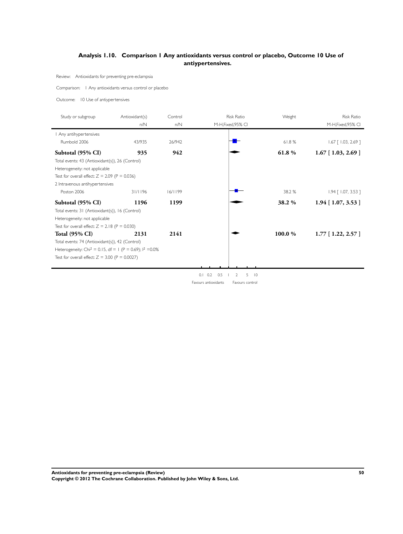## **Analysis 1.10. Comparison 1 Any antioxidants versus control or placebo, Outcome 10 Use of antiypertensives.**

<span id="page-52-0"></span>Review: Antioxidants for preventing pre-eclampsia

Comparison: 1 Any antioxidants versus control or placebo

Outcome: 10 Use of antiyper tensives

| Study or subgroup                                                        | Antioxidant(s) | Control | Risk Ratio                                                                   | Weight     | Risk Ratio                 |  |
|--------------------------------------------------------------------------|----------------|---------|------------------------------------------------------------------------------|------------|----------------------------|--|
|                                                                          | n/N            | n/N     | M-H,Fixed,95% Cl                                                             |            | M-H,Fixed,95% Cl           |  |
| I Any antihypertensives                                                  |                |         |                                                                              |            |                            |  |
| Rumbold 2006                                                             | 43/935         | 26/942  |                                                                              | 61.8%      | 1.67 [ 1.03, 2.69 ]        |  |
| Subtotal (95% CI)                                                        | 935            | 942     |                                                                              | $61.8\ \%$ | $1.67$ [ $1.03$ , $2.69$ ] |  |
| Total events: 43 (Antioxidant(s)), 26 (Control)                          |                |         |                                                                              |            |                            |  |
| Heterogeneity: not applicable                                            |                |         |                                                                              |            |                            |  |
| Test for overall effect: $Z = 2.09$ (P = 0.036)                          |                |         |                                                                              |            |                            |  |
| 2 Intravenous antihypertensives                                          |                |         | ┻                                                                            |            |                            |  |
| Poston 2006                                                              | 31/1196        | 16/1199 |                                                                              | 38.2 %     | 1.94 [1.07, 3.53]          |  |
| Subtotal (95% CI)                                                        | 1196           | 1199    |                                                                              | 38.2%      | 1.94 [1.07, 3.53]          |  |
| Total events: 31 (Antioxidant(s)), 16 (Control)                          |                |         |                                                                              |            |                            |  |
| Heterogeneity: not applicable                                            |                |         |                                                                              |            |                            |  |
| Test for overall effect: $Z = 2.18$ (P = 0.030)<br><b>Total (95% CI)</b> |                |         |                                                                              | 100.0 %    |                            |  |
| Total events: 74 (Antioxidant(s)), 42 (Control)                          | 2131           | 2141    |                                                                              |            | 1.77 [ 1.22, 2.57 ]        |  |
| Heterogeneity: Chi <sup>2</sup> = 0.15, df = 1 (P = 0.69); $1^2$ =0.0%   |                |         |                                                                              |            |                            |  |
| Test for overall effect: $Z = 3.00$ (P = 0.0027)                         |                |         |                                                                              |            |                            |  |
|                                                                          |                |         |                                                                              |            |                            |  |
|                                                                          |                |         | $0.1 \quad 0.2$<br>$0.5\,$<br>$\overline{2}$<br>$5 \quad 10$<br>$\mathbf{I}$ |            |                            |  |
|                                                                          |                |         | Favours antioxidants<br>Favours control                                      |            |                            |  |
|                                                                          |                |         |                                                                              |            |                            |  |
|                                                                          |                |         |                                                                              |            |                            |  |
|                                                                          |                |         |                                                                              |            |                            |  |
|                                                                          |                |         |                                                                              |            |                            |  |
|                                                                          |                |         |                                                                              |            |                            |  |
|                                                                          |                |         |                                                                              |            |                            |  |
|                                                                          |                |         |                                                                              |            |                            |  |
|                                                                          |                |         |                                                                              |            |                            |  |
|                                                                          |                |         |                                                                              |            |                            |  |
|                                                                          |                |         |                                                                              |            |                            |  |
|                                                                          |                |         |                                                                              |            |                            |  |
|                                                                          |                |         |                                                                              |            |                            |  |
|                                                                          |                |         |                                                                              |            |                            |  |
|                                                                          |                |         |                                                                              |            |                            |  |
|                                                                          |                |         |                                                                              |            |                            |  |
|                                                                          |                |         |                                                                              |            |                            |  |
|                                                                          |                |         |                                                                              |            |                            |  |
|                                                                          |                |         |                                                                              |            |                            |  |
|                                                                          |                |         |                                                                              |            |                            |  |
|                                                                          |                |         |                                                                              |            |                            |  |
|                                                                          |                |         |                                                                              |            |                            |  |

**Antioxidants for preventing pre-eclampsia (Review) 50**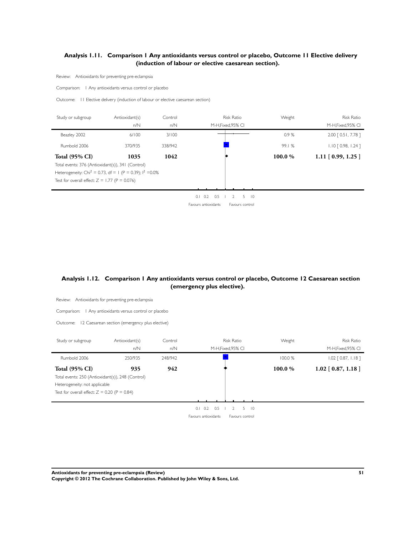#### <span id="page-53-0"></span>**Analysis 1.11. Comparison 1 Any antioxidants versus control or placebo, Outcome 11 Elective delivery (induction of labour or elective caesarean section).**

Review: Antioxidants for preventing pre-eclampsia

j.

Comparison: 1 Any antioxidants versus control or placebo

Outcome: 11 Elective delivery (induction of labour or elective caesarean section)

| Study or subgroup                                                      | Antioxidant(s) | Control |                        | <b>Risk Ratio</b>                       | Weight | <b>Risk Ratio</b>     |
|------------------------------------------------------------------------|----------------|---------|------------------------|-----------------------------------------|--------|-----------------------|
|                                                                        | n/N            | n/N     |                        | M-H, Fixed, 95% CI                      |        | M-H, Fixed, 95% CI    |
| Beazley 2002                                                           | 6/100          | 3/100   |                        |                                         | 0.9%   | $2.00$ [ 0.51, 7.78 ] |
| Rumbold 2006                                                           | 370/935        | 338/942 |                        |                                         | 99.1%  | $1.10$ $[0.98, 1.24]$ |
| <b>Total (95% CI)</b>                                                  | 1035           | 1042    |                        |                                         | 100.0% | $1.11$ [ 0.99, 1.25 ] |
| Total events: 376 (Antioxidant(s)), 341 (Control)                      |                |         |                        |                                         |        |                       |
| Heterogeneity: Chi <sup>2</sup> = 0.73, df = 1 (P = 0.39); $1^2$ =0.0% |                |         |                        |                                         |        |                       |
| Test for overall effect: $Z = 1.77$ (P = 0.076)                        |                |         |                        |                                         |        |                       |
|                                                                        |                |         |                        |                                         |        |                       |
|                                                                        |                |         | $0.1 \quad 0.2$<br>0.5 | $\overline{10}$<br>$\overline{2}$<br>5. |        |                       |
|                                                                        |                |         | Favours antioxidants   | Favours control                         |        |                       |
|                                                                        |                |         |                        |                                         |        |                       |
|                                                                        |                |         |                        |                                         |        |                       |

# **Analysis 1.12. Comparison 1 Any antioxidants versus control or placebo, Outcome 12 Caesarean section (emergency plus elective).**

| Review: Antioxidants for preventing pre-eclampsia       |                                            |                |                                                |                                                           |         |                                       |
|---------------------------------------------------------|--------------------------------------------|----------------|------------------------------------------------|-----------------------------------------------------------|---------|---------------------------------------|
| Comparison:                                             | Any antioxidants versus control or placebo |                |                                                |                                                           |         |                                       |
| Outcome: 12 Caesarean section (emergency plus elective) |                                            |                |                                                |                                                           |         |                                       |
| Study or subgroup                                       | Antioxidant(s)<br>n/N                      | Control<br>n/N |                                                | <b>Risk Ratio</b><br>M-H, Fixed, 95% CI                   | Weight  | <b>Risk Ratio</b><br>M-H,Fixed,95% CI |
| Rumbold 2006                                            | 250/935                                    | 248/942        |                                                |                                                           | 100.0 % | $1.02$ $[0.87, 1.18]$                 |
| <b>Total (95% CI)</b>                                   | 935                                        | 942            |                                                |                                                           | 100.0 % | $1.02$ [ 0.87, 1.18 ]                 |
| Total events: 250 (Antioxidant(s)), 248 (Control)       |                                            |                |                                                |                                                           |         |                                       |
| Heterogeneity: not applicable                           |                                            |                |                                                |                                                           |         |                                       |
| Test for overall effect: $Z = 0.20$ (P = 0.84)          |                                            |                |                                                |                                                           |         |                                       |
|                                                         |                                            |                | $0.1 \quad 0.2$<br>0.5<br>Favours antioxidants | 5<br>$\overline{10}$<br>$\overline{2}$<br>Favours control |         |                                       |
|                                                         |                                            |                |                                                |                                                           |         |                                       |

**Antioxidants for preventing pre-eclampsia (Review) 51**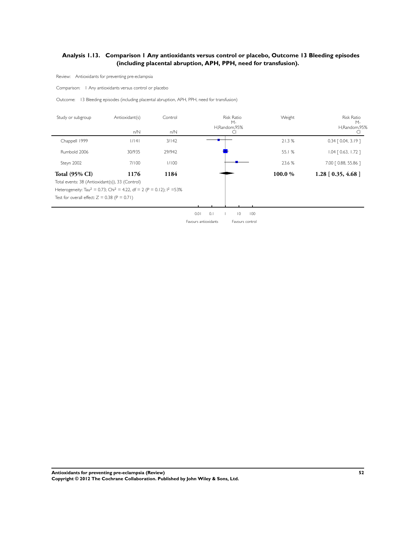#### **Analysis 1.13. Comparison 1 Any antioxidants versus control or placebo, Outcome 13 Bleeding episodes (including placental abruption, APH, PPH, need for transfusion).**

Review: Antioxidants for preventing pre-eclampsia

Comparison: 1 Any antioxidants versus control or placebo

Outcome: 13 Bleeding episodes (including placental abruption, APH, PPH, need for transfusion)

| Study or subgroup                               | Antioxidant(s)                                                                                  | Control |      | <b>Risk Ratio</b><br>$M -$ | Weight | <b>Risk Ratio</b><br>$M -$  |  |
|-------------------------------------------------|-------------------------------------------------------------------------------------------------|---------|------|----------------------------|--------|-----------------------------|--|
|                                                 | n/N                                                                                             | n/N     |      | H,Random,95%<br>C          |        | H,Random,95%                |  |
| Chappell 1999                                   | 1/141                                                                                           | 3/142   |      |                            | 21.3%  | $0.34$ $[0.04, 3.19]$       |  |
| Rumbold 2006                                    | 30/935                                                                                          | 29/942  |      |                            | 55.1 % | $1.04$ $[0.63, 1.72]$       |  |
| Steyn 2002                                      | 7/100                                                                                           | 1/100   |      |                            | 23.6 % | 7.00 [ 0.88, 55.86 ]        |  |
| <b>Total (95% CI)</b>                           | 1176                                                                                            | 1184    |      |                            | 100.0% | $1.28 \mid 0.35, 4.68 \mid$ |  |
| Total events: 38 (Antioxidant(s)), 33 (Control) |                                                                                                 |         |      |                            |        |                             |  |
|                                                 | Heterogeneity: Tau <sup>2</sup> = 0.73; Chi <sup>2</sup> = 4.22, df = 2 (P = 0.12); $1^2$ = 53% |         |      |                            |        |                             |  |
| Test for overall effect: $Z = 0.38$ (P = 0.71)  |                                                                                                 |         |      |                            |        |                             |  |
|                                                 |                                                                                                 |         |      |                            |        |                             |  |
|                                                 |                                                                                                 |         | 0.01 | 0.1<br>$ 0\rangle$         | 100    |                             |  |

Favours antioxidants Favours control

**Antioxidants for preventing pre-eclampsia (Review) 52**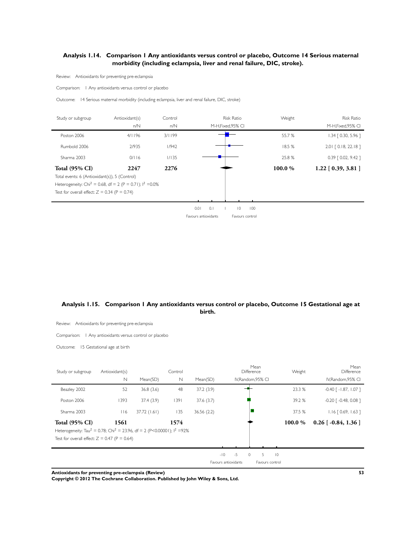#### <span id="page-55-0"></span>**Analysis 1.14. Comparison 1 Any antioxidants versus control or placebo, Outcome 14 Serious maternal morbidity (including eclampsia, liver and renal failure, DIC, stroke).**

Review: Antioxidants for preventing pre-eclampsia

Comparison: 1 Any antioxidants versus control or placebo

Outcome: 14 Serious maternal morbidity (including eclampsia, liver and renal failure, DIC, stroke)

| Study or subgroup                              | Antioxidant(s)                                                         | Control |                      | <b>Risk Ratio</b>  | Weight | <b>Risk Ratio</b>     |
|------------------------------------------------|------------------------------------------------------------------------|---------|----------------------|--------------------|--------|-----------------------|
|                                                | n/N                                                                    | n/N     |                      | M-H, Fixed, 95% CI |        | M-H, Fixed, 95% CI    |
| Poston 2006                                    | 4/1196                                                                 | 3/1199  |                      |                    | 55.7%  | $1.34$ $[0.30, 5.96]$ |
| Rumbold 2006                                   | 2/935                                                                  | 1/942   |                      |                    | 18.5 % | 2.01 [0.18, 22.18]    |
| Sharma 2003                                    | 0/116                                                                  | 1/135   |                      |                    | 25.8 % | $0.39$ $[0.02, 9.42]$ |
| <b>Total (95% CI)</b>                          | 2247                                                                   | 2276    |                      |                    | 100.0% | $1.22$ [ 0.39, 3.81 ] |
| Total events: 6 (Antioxidant(s)), 5 (Control)  |                                                                        |         |                      |                    |        |                       |
|                                                | Heterogeneity: Chi <sup>2</sup> = 0.68, df = 2 (P = 0.71); $1^2$ =0.0% |         |                      |                    |        |                       |
| Test for overall effect: $Z = 0.34$ (P = 0.74) |                                                                        |         |                      |                    |        |                       |
|                                                |                                                                        |         |                      |                    |        |                       |
|                                                |                                                                        |         | 0.01<br>0.1          | $ 0\rangle$<br>100 |        |                       |
|                                                |                                                                        |         | Favours antioxidants | Favours control    |        |                       |

#### **Analysis 1.15. Comparison 1 Any antioxidants versus control or placebo, Outcome 15 Gestational age at birth.**

Review: Antioxidants for preventing pre-eclampsia

Comparison: 1 Any antioxidants versus control or placebo

Outcome: 15 Gestational age at birth

l.

| Study or subgroup                                                                                                                                                           | Antioxidant(s) |              | Control     |            |                              | Mean<br>Difference                     | Weight  | Mean<br>Difference                  |
|-----------------------------------------------------------------------------------------------------------------------------------------------------------------------------|----------------|--------------|-------------|------------|------------------------------|----------------------------------------|---------|-------------------------------------|
|                                                                                                                                                                             | $\mathbb N$    | Mean(SD)     | $\mathbb N$ | Mean(SD)   |                              | IV, Random, 95% CI                     |         | IV, Random, 95% CI                  |
| Beazley 2002                                                                                                                                                                | 52             | 36.8(3.6)    | 48          | 37.2(3.9)  |                              |                                        | 23.3 %  | $-0.40$ $\lceil -1.87, 1.07 \rceil$ |
| Poston 2006                                                                                                                                                                 | 1393           | 37.4(3.9)    | 1391        | 37.6 (3.7) |                              |                                        | 39.2 %  | $-0.20$ $\lceil -0.48, 0.08 \rceil$ |
| Sharma 2003                                                                                                                                                                 | 116            | 37.72 (1.61) | 135         | 36.56(2.2) |                              |                                        | 37.5 %  | $1.16$ $[0.69, 1.63]$               |
| <b>Total (95% CI)</b><br>Heterogeneity: Tau <sup>2</sup> = 0.78; Chi <sup>2</sup> = 23.96, df = 2 (P<0.00001); $1^2$ =92%<br>Test for overall effect: $Z = 0.47$ (P = 0.64) | 1561           |              | 1574        |            |                              |                                        | 100.0 % | $0.26$ [ -0.84, 1.36 ]              |
|                                                                                                                                                                             |                |              |             | $-10$      | $-5$<br>Favours antioxidants | 5<br>$\overline{0}$<br>Favours control |         |                                     |

**Antioxidants for preventing pre-eclampsia (Review) 53**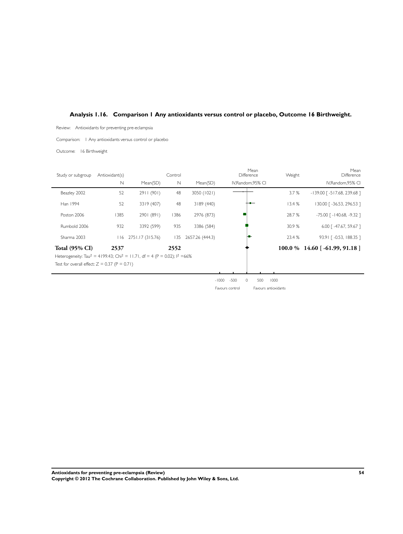# <span id="page-56-0"></span>**Analysis 1.16. Comparison 1 Any antioxidants versus control or placebo, Outcome 16 Birthweight.**

Review: Antioxidants for preventing pre-eclampsia

Comparison: 1 Any antioxidants versus control or placebo

Outcome: 16 Birthweight

| Study or subgroup                                                                                           | Antioxidant(s) |                  | Control |                 | Mean<br>Difference       | Weight | Mean<br>Difference                      |  |
|-------------------------------------------------------------------------------------------------------------|----------------|------------------|---------|-----------------|--------------------------|--------|-----------------------------------------|--|
|                                                                                                             | $\mathbb N$    | Mean(SD)         | N       | Mean(SD)        | IV, Random, 95% CI       |        | IV.Random.95% CI                        |  |
| Beazley 2002                                                                                                | 52             | 2911 (901)       | 48      | 3050 (1021)     |                          | 3.7%   | -139.00 [-517.68, 239.68]               |  |
| Han 1994                                                                                                    | 52             | 3319 (407)       | 48      | 3189 (440)      |                          | 13.4%  | 130.00 [ -36.53, 296.53 ]               |  |
| Poston 2006                                                                                                 | 1385           | 2901 (891)       | 1386    | 2976 (873)      |                          | 28.7 % | $-75.00$ $\lceil -140.68, -9.32 \rceil$ |  |
| Rumbold 2006                                                                                                | 932            | 3392 (599)       | 935     | 3386 (584)      |                          | 30.9%  | $6.00$ [ -47.67, 59.67 ]                |  |
| Sharma 2003                                                                                                 | 116            | 2751.17 (315.76) | 135     | 2657.26 (444.3) |                          | 23.4 % | 93.91 [-0.53, 188.35]                   |  |
| <b>Total (95% CI)</b>                                                                                       | 2537           |                  | 2552    |                 |                          |        | $100.0\%$ 14.60 [-61.99, 91.18]         |  |
| Heterogeneity: Tau <sup>2</sup> = 4199.43; Chi <sup>2</sup> = 11.71, df = 4 (P = 0.02); l <sup>2</sup> =66% |                |                  |         |                 |                          |        |                                         |  |
| Test for overall effect: $Z = 0.37$ (P = 0.71)                                                              |                |                  |         |                 |                          |        |                                         |  |
|                                                                                                             |                |                  |         |                 |                          |        |                                         |  |
|                                                                                                             |                |                  |         |                 | $-500$<br>$-1000$<br>500 | 1000   |                                         |  |

Favours control Favours antioxidants

**Antioxidants for preventing pre-eclampsia (Review) 54**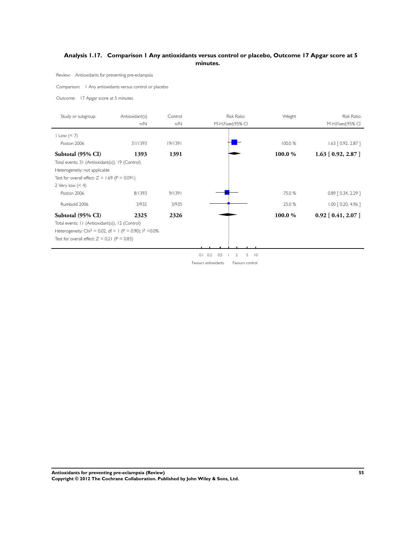## <span id="page-57-0"></span>**Analysis 1.17. Comparison 1 Any antioxidants versus control or placebo, Outcome 17 Apgar score at 5 minutes.**

Review: Antioxidants for preventing pre-eclampsia

Comparison: 1 Any antioxidants versus control or placebo

Outcome: 17 Apgar score at 5 minutes

| Study or subgroup                                                       | Antioxidant(s) | Control | <b>Risk Ratio</b>                       | Weight  | <b>Risk Ratio</b>       |
|-------------------------------------------------------------------------|----------------|---------|-----------------------------------------|---------|-------------------------|
|                                                                         | n/N            | n/N     | M-H, Fixed, 95% CI                      |         | M-H, Fixed, 95% CI      |
| Low $(< 7)$                                                             |                |         |                                         |         |                         |
| Poston 2006                                                             | 31/1393        | 19/1391 |                                         | 100.0 % | $1.63$ $[0.92, 2.87]$   |
| Subtotal (95% CI)                                                       | 1393           | 1391    |                                         | 100.0%  | $1.63$ [ 0.92, 2.87 ]   |
| Total events: 31 (Antioxidant(s)), 19 (Control)                         |                |         |                                         |         |                         |
| Heterogeneity: not applicable                                           |                |         |                                         |         |                         |
| Test for overall effect: $Z = 1.69$ (P = 0.091)                         |                |         |                                         |         |                         |
| 2 Very low $(< 4)$                                                      |                |         |                                         |         |                         |
| Poston 2006                                                             | 8/1393         | 9/1391  |                                         | 75.0 %  | $0.89$ $[0.34, 2.29]$   |
| Rumbold 2006                                                            | 3/932          | 3/935   |                                         | 25.0 %  | $1.00$ $[0.20, 4.96]$   |
| Subtotal (95% CI)                                                       | 2325           | 2326    |                                         | 100.0%  | $0.92$ [ $0.41, 2.07$ ] |
| Total events: II (Antioxidant(s)), I2 (Control)                         |                |         |                                         |         |                         |
| Heterogeneity: Chi <sup>2</sup> = 0.02, df = 1 (P = 0.90); $1^2$ = 0.0% |                |         |                                         |         |                         |
| Test for overall effect: $Z = 0.21$ (P = 0.83)                          |                |         |                                         |         |                         |
|                                                                         |                |         |                                         |         |                         |
|                                                                         |                |         | 0.2<br>0.5<br>0.1<br> 0<br>2<br>5       |         |                         |
|                                                                         |                |         | Favours antioxidants<br>Favours control |         |                         |

**Antioxidants for preventing pre-eclampsia (Review) 55**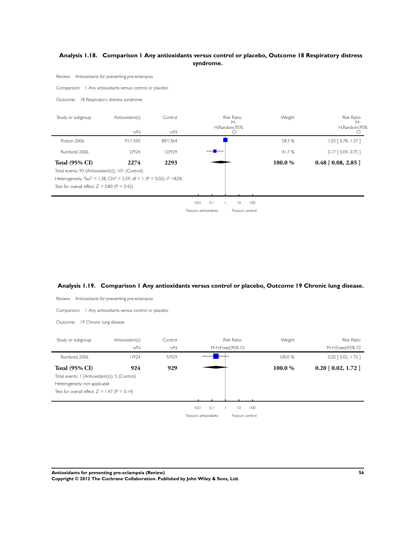## <span id="page-58-0"></span>**Analysis 1.18. Comparison 1 Any antioxidants versus control or placebo, Outcome 18 Respiratory distress syndrome.**

Review: Antioxidants for preventing pre-eclampsia

Comparison: 1 Any antioxidants versus control or placebo

Outcome: 18 Respiratory distress syndrome

 $\overline{a}$ 

| Study or subgroup                                                                              | Antioxidant(s) | Control                   |                      |     | <b>Risk Ratio</b><br>$M -$ |                 |     | Weight | <b>Risk Ratio</b><br>$M -$<br>H,Random,95% |  |
|------------------------------------------------------------------------------------------------|----------------|---------------------------|----------------------|-----|----------------------------|-----------------|-----|--------|--------------------------------------------|--|
|                                                                                                | n/N            | H,Random,95%<br>n/N<br>CI |                      |     |                            |                 |     |        | -CI                                        |  |
| Poston 2006                                                                                    | 91/1350        | 89/1364                   |                      |     |                            |                 |     | 58.3 % | $1.03$ $[0.78, 1.37]$                      |  |
| Rumbold 2006                                                                                   | 2/924          | 12/929                    |                      |     |                            |                 |     | 41.7%  | $0.17$ $[0.04, 0.75]$                      |  |
| <b>Total (95% CI)</b>                                                                          | 2274           | 2293                      |                      |     |                            |                 |     | 100.0% | $0.48$ [ 0.08, 2.85 ]                      |  |
| Total events: 93 (Antioxidant(s)), 101 (Control)                                               |                |                           |                      |     |                            |                 |     |        |                                            |  |
| Heterogeneity: Tau <sup>2</sup> = 1.38; Chi <sup>2</sup> = 5.59, df = 1 (P = 0.02); $1^2$ =82% |                |                           |                      |     |                            |                 |     |        |                                            |  |
| Test for overall effect: $Z = 0.80$ (P = 0.42)                                                 |                |                           |                      |     |                            |                 |     |        |                                            |  |
|                                                                                                |                |                           |                      |     |                            |                 |     |        |                                            |  |
|                                                                                                |                |                           | 0.01                 | 0.1 |                            | $\overline{0}$  | 100 |        |                                            |  |
|                                                                                                |                |                           | Favours antioxidants |     |                            | Favours control |     |        |                                            |  |

#### **Analysis 1.19. Comparison 1 Any antioxidants versus control or placebo, Outcome 19 Chronic lung disease.**

|                                                                                                                                  | Review: Antioxidants for preventing pre-eclampsia |                |                                     |                                       |         |                                  |
|----------------------------------------------------------------------------------------------------------------------------------|---------------------------------------------------|----------------|-------------------------------------|---------------------------------------|---------|----------------------------------|
| Comparison:                                                                                                                      | I Any antioxidants versus control or placebo      |                |                                     |                                       |         |                                  |
| Outcome: 19 Chronic lung disease                                                                                                 |                                                   |                |                                     |                                       |         |                                  |
| Study or subgroup                                                                                                                | Antioxidant(s)<br>n/N                             | Control<br>n/N |                                     | Risk Ratio<br>M-H, Fixed, 95% CI      | Weight  | Risk Ratio<br>M-H, Fixed, 95% CI |
| Rumbold 2006                                                                                                                     | 1/924                                             | 5/929          |                                     |                                       | 100.0 % | $0.20$ $[0.02, 1.72]$            |
| <b>Total (95% CI)</b>                                                                                                            | 924                                               | 929            |                                     |                                       | 100.0%  | $0.20$ [ 0.02, 1.72 ]            |
| Total events: I (Antioxidant(s)), 5 (Control)<br>Heterogeneity: not applicable<br>Test for overall effect: $Z = 1.47$ (P = 0.14) |                                                   |                |                                     |                                       |         |                                  |
|                                                                                                                                  |                                                   |                | 0.1<br>0.01<br>Favours antioxidants | 100<br>$ 0\rangle$<br>Favours control |         |                                  |
|                                                                                                                                  |                                                   |                |                                     |                                       |         |                                  |

**Antioxidants for preventing pre-eclampsia (Review) 56**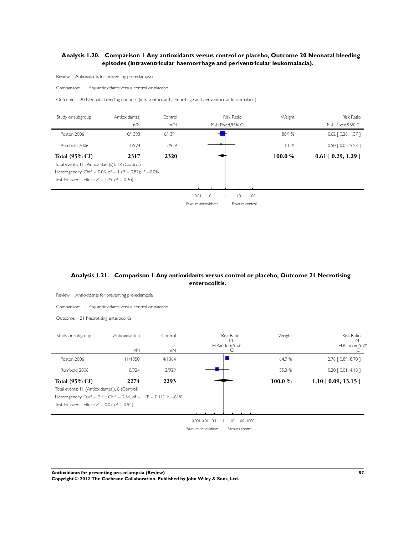#### <span id="page-59-0"></span>**Analysis 1.20. Comparison 1 Any antioxidants versus control or placebo, Outcome 20 Neonatal bleeding episodes (intraventricular haemorrhage and periventricular leukomalacia).**

Review: Antioxidants for preventing pre-eclampsia

Comparison: 1 Any antioxidants versus control or placebo

Outcome: 20 Neonatal bleeding episodes (intraventricular haemorrhage and periventricular leukomalacia)

| Study or subgroup                                                       | Antioxidant(s) | Control |                      |     | <b>Risk Ratio</b>  |     | Weight | <b>Risk Ratio</b>     |
|-------------------------------------------------------------------------|----------------|---------|----------------------|-----|--------------------|-----|--------|-----------------------|
|                                                                         | n/N            | n/N     |                      |     | M-H, Fixed, 95% CI |     |        | M-H, Fixed, 95% CI    |
| Poston 2006                                                             | 10/1393        | 16/1391 |                      |     |                    |     | 88.9%  | $0.62$ $[0.28, 1.37]$ |
| Rumbold 2006                                                            | 1/924          | 2/929   |                      |     |                    |     | 11.1%  | $0.50$ $[0.05, 5.53]$ |
| <b>Total (95% CI)</b>                                                   | 2317           | 2320    |                      |     |                    |     | 100.0% | $0.61$ [ 0.29, 1.29 ] |
| Total events: 11 (Antioxidant(s)), 18 (Control)                         |                |         |                      |     |                    |     |        |                       |
| Heterogeneity: Chi <sup>2</sup> = 0.03, df = 1 (P = 0.87); $1^2$ = 0.0% |                |         |                      |     |                    |     |        |                       |
| Test for overall effect: $Z = 1.29$ (P = 0.20)                          |                |         |                      |     |                    |     |        |                       |
|                                                                         |                |         |                      |     |                    |     |        |                       |
|                                                                         |                |         | 0.01                 | 0.1 | $\overline{0}$     | 100 |        |                       |
|                                                                         |                |         | Favours antioxidants |     | Favours control    |     |        |                       |
|                                                                         |                |         |                      |     |                    |     |        |                       |
|                                                                         |                |         |                      |     |                    |     |        |                       |
|                                                                         |                |         |                      |     |                    |     |        |                       |

#### **Analysis 1.21. Comparison 1 Any antioxidants versus control or placebo, Outcome 21 Necrotising enterocolitis.**

Review: Antioxidants for preventing pre-eclampsia Comparison: 1 Any antioxidants versus control or placebo Outcome: 21 Necrotising enterocolitis Study or subgroup Antioxidant(s) Control Risk Ratio Neight Weight Risk Ratio n/N n/N M-H,Random,95% CI M-H,Random,95% CI Poston 2006 11/1350 4/1364 <del>11</del> 64.7 % 2.78 [ 0.89, 8.70 ] Rumbold 2006 0/924 2/929 35.3 % 0.20 [ 0.01, 4.18 ] **Total (95% CI)** 2274 2293 100.0 % 1.10 [ 0.09, 13.15 ] Total events: 11 (Antioxidant(s)), 6 (Control) Heterogeneity: Tau<sup>2</sup> = 2.14; Chi<sup>2</sup> = 2.56, df = 1 (P = 0.11);  $1^2$  =61% Test for overall effect:  $Z = 0.07$  (P = 0.94) 0.001 0.01 10 100 1000 Favours antioxidants Favours control

**Antioxidants for preventing pre-eclampsia (Review) 57**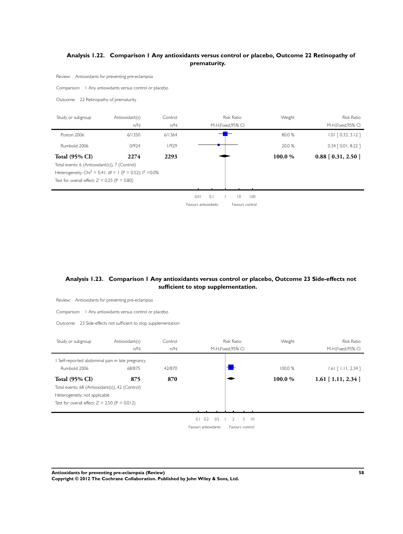## <span id="page-60-0"></span>**Analysis 1.22. Comparison 1 Any antioxidants versus control or placebo, Outcome 22 Retinopathy of prematurity.**

Review: Antioxidants for preventing pre-eclampsia

Comparison: 1 Any antioxidants versus control or placebo

Outcome: 22 Retinopathy of prematurity

| Study or subgroup                              | Antioxidant(s)                                                         | Control |                      | <b>Risk Ratio</b>     | Weight | <b>Risk Ratio</b>       |
|------------------------------------------------|------------------------------------------------------------------------|---------|----------------------|-----------------------|--------|-------------------------|
|                                                | n/N                                                                    | n/N     |                      | M-H, Fixed, 95% CI    |        | M-H, Fixed, 95% CI      |
| Poston 2006                                    | 6/1350                                                                 | 6/1364  |                      |                       | 80.0 % | $1.01$ $[0.33, 3.12]$   |
| Rumbold 2006                                   | 0/924                                                                  | 1/929   |                      |                       | 20.0 % | $0.34$ $[0.01, 8.22]$   |
| Total $(95\% \text{ CI})$                      | 2274                                                                   | 2293    |                      |                       | 100.0% | $0.88$ [ $0.31, 2.50$ ] |
| Total events: 6 (Antioxidant(s)), 7 (Control)  |                                                                        |         |                      |                       |        |                         |
|                                                | Heterogeneity: Chi <sup>2</sup> = 0.41, df = 1 (P = 0.52); $1^2$ =0.0% |         |                      |                       |        |                         |
| Test for overall effect: $Z = 0.25$ (P = 0.80) |                                                                        |         |                      |                       |        |                         |
|                                                |                                                                        |         |                      |                       |        |                         |
|                                                |                                                                        |         | 0.01<br>0.1          | $\overline{0}$<br>100 |        |                         |
|                                                |                                                                        |         | Favours antioxidants | Favours control       |        |                         |

## **Analysis 1.23. Comparison 1 Any antioxidants versus control or placebo, Outcome 23 Side-effects not sufficient to stop supplementation.**

|                                                                                                                                                              | Review: Antioxidants for preventing pre-eclampsia               |                |                                                |                                         |         |                                         |
|--------------------------------------------------------------------------------------------------------------------------------------------------------------|-----------------------------------------------------------------|----------------|------------------------------------------------|-----------------------------------------|---------|-----------------------------------------|
| Comparison:                                                                                                                                                  | Any antioxidants versus control or placebo                      |                |                                                |                                         |         |                                         |
|                                                                                                                                                              | Outcome: 23 Side-effects not sufficient to stop supplementation |                |                                                |                                         |         |                                         |
| Study or subgroup                                                                                                                                            | Antioxidant(s)<br>n/N                                           | Control<br>n/N |                                                | <b>Risk Ratio</b><br>M-H, Fixed, 95% CI | Weight  | <b>Risk Ratio</b><br>M-H, Fixed, 95% CI |
| Self-reported abdominal pain in late pregnancy<br>Rumbold 2006                                                                                               | 68/875                                                          | 42/870         |                                                |                                         | 100.0 % | $1.61$ $[$ $1.11$ , 2.34 $]$            |
| <b>Total (95% CI)</b><br>Total events: 68 (Antioxidant(s)), 42 (Control)<br>Heterogeneity: not applicable<br>Test for overall effect: $Z = 2.50$ (P = 0.012) | 875                                                             | 870            |                                                |                                         | 100.0%  | $1.61$ [ 1.11, 2.34 ]                   |
|                                                                                                                                                              |                                                                 |                | $0.1 \quad 0.2$<br>0.5<br>Favours antioxidants | $5$ $10$<br>2<br>Favours control        |         |                                         |

**Antioxidants for preventing pre-eclampsia (Review) 58**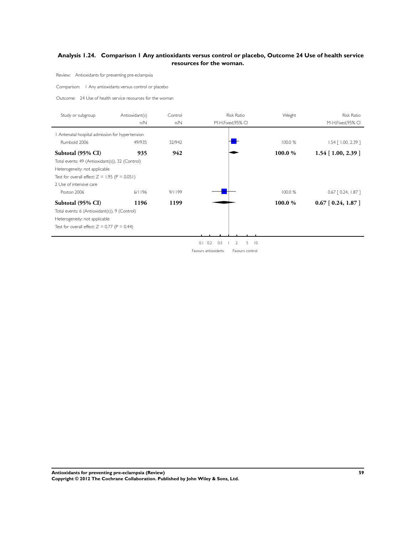## **Analysis 1.24. Comparison 1 Any antioxidants versus control or placebo, Outcome 24 Use of health service resources for the woman.**

Review: Antioxidants for preventing pre-eclampsia

Comparison: 1 Any antioxidants versus control or placebo

Outcome: 24 Use of health service resources for the woman

| Study or subgroup                               | Antioxidant(s) | Control | <b>Risk Ratio</b>                                   | Weight  | <b>Risk Ratio</b>        |
|-------------------------------------------------|----------------|---------|-----------------------------------------------------|---------|--------------------------|
|                                                 | n/N            | n/N     | M-H, Fixed, 95% CI                                  |         | M-H, Fixed, 95% CI       |
| Antenatal hospital admission for hypertension   |                |         |                                                     |         |                          |
| Rumbold 2006                                    | 49/935         | 32/942  |                                                     | 100.0 % | $1.54$ [ $1.00$ , 2.39 ] |
| Subtotal (95% CI)                               | 935            | 942     |                                                     | 100.0%  | $1.54$ [ 1.00, 2.39 ]    |
| Total events: 49 (Antioxidant(s)), 32 (Control) |                |         |                                                     |         |                          |
| Heterogeneity: not applicable                   |                |         |                                                     |         |                          |
| Test for overall effect: $Z = 1.95$ (P = 0.051) |                |         |                                                     |         |                          |
| 2 Use of intensive care                         |                |         |                                                     |         |                          |
| Poston 2006                                     | 6/1196         | 9/1199  |                                                     | 100.0 % | $0.67$ [ 0.24, 1.87 ]    |
| Subtotal (95% CI)                               | 1196           | 1199    |                                                     | 100.0%  | $0.67$ [ $0.24$ , 1.87 ] |
| Total events: 6 (Antioxidant(s)), 9 (Control)   |                |         |                                                     |         |                          |
| Heterogeneity: not applicable                   |                |         |                                                     |         |                          |
| Test for overall effect: $Z = 0.77$ (P = 0.44)  |                |         |                                                     |         |                          |
|                                                 |                |         |                                                     |         |                          |
|                                                 |                |         | $0.1 \quad 0.2$<br>0.5<br>5<br>$\overline{10}$<br>2 |         |                          |
|                                                 |                |         | Favours antioxidants<br>Favours control             |         |                          |

**Antioxidants for preventing pre-eclampsia (Review) 59**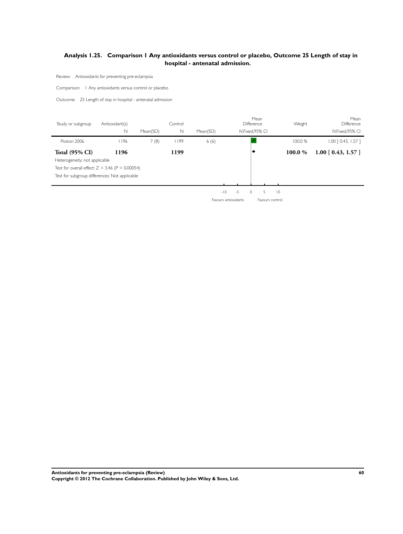## <span id="page-62-0"></span>**Analysis 1.25. Comparison 1 Any antioxidants versus control or placebo, Outcome 25 Length of stay in hospital - antenatal admission.**

Review: Antioxidants for preventing pre-eclampsia

Comparison: 1 Any antioxidants versus control or placebo

Outcome: 25 Length of stay in hospital - antenatal admission

| Study or subgroup                                                                                    | Antioxidant(s)<br>$\hbox{N}$ | Mean(SD) | Control<br>$\mathbb N$ | Mean(SD)   | Mean<br>Difference<br>IV, Fixed, 95% CI                                               | Weight     | Mean<br>Difference<br>IV,Fixed,95% CI |
|------------------------------------------------------------------------------------------------------|------------------------------|----------|------------------------|------------|---------------------------------------------------------------------------------------|------------|---------------------------------------|
| Poston 2006                                                                                          | 1196                         | 7(8)     | 1199                   | $6(6)$     | ÷                                                                                     | 100.0%     | $1.00$ [ 0.43, 1.57 ]                 |
| Total (95% CI)<br>Heterogeneity: not applicable<br>Test for overall effect: $Z = 3.46$ (P = 0.00054) | 1196                         |          | 1199                   |            | ٠                                                                                     | 100.0 $\%$ | 1.00 [0.43, 1.57]                     |
| Test for subgroup differences: Not applicable                                                        |                              |          |                        |            |                                                                                       |            |                                       |
|                                                                                                      |                              |          |                        | $\sim\!10$ | $\vert$ O<br>$-5$<br>$\circ$<br>$\sqrt{5}$<br>Favours antioxidants<br>Favours control |            |                                       |
|                                                                                                      |                              |          |                        |            |                                                                                       |            |                                       |
|                                                                                                      |                              |          |                        |            |                                                                                       |            |                                       |
|                                                                                                      |                              |          |                        |            |                                                                                       |            |                                       |
|                                                                                                      |                              |          |                        |            |                                                                                       |            |                                       |
|                                                                                                      |                              |          |                        |            |                                                                                       |            |                                       |

**Antioxidants for preventing pre-eclampsia (Review) 60 Copyright © 2012 The Cochrane Collaboration. Published by John Wiley & Sons, Ltd.**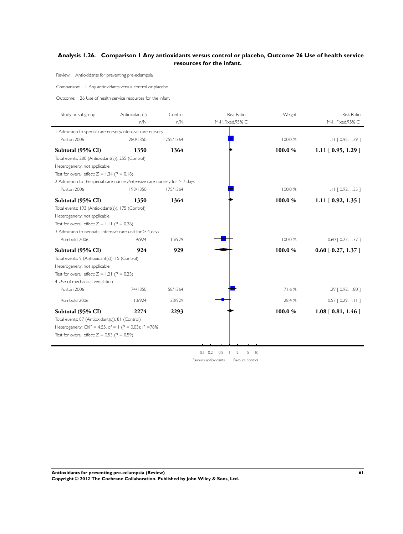## <span id="page-63-0"></span>**Analysis 1.26. Comparison 1 Any antioxidants versus control or placebo, Outcome 26 Use of health service resources for the infant.**

Review: Antioxidants for preventing pre-eclampsia

Comparison: 1 Any antioxidants versus control or placebo

Outcome: 26 Use of health service resources for the infant

| Study or subgroup                                                                          | Antioxidant(s) | Control  | <b>Risk Ratio</b>                                           | Weight  | Risk Ratio              |
|--------------------------------------------------------------------------------------------|----------------|----------|-------------------------------------------------------------|---------|-------------------------|
|                                                                                            | n/N            | n/N      | M-H,Fixed,95% CI                                            |         | M-H, Fixed, 95% CI      |
| I Admission to special care nursery/intensive care nursery                                 |                |          |                                                             |         |                         |
| Poston 2006                                                                                | 280/1350       | 255/1364 |                                                             | 100.0 % | $1.11$ $[0.95, 1.29]$   |
| Subtotal (95% CI)                                                                          | 1350           | 1364     |                                                             | 100.0%  | $1.11$ [ 0.95, 1.29 ]   |
| Total events: 280 (Antioxidant(s)), 255 (Control)                                          |                |          |                                                             |         |                         |
| Heterogeneity: not applicable                                                              |                |          |                                                             |         |                         |
| Test for overall effect: $Z = 1.34$ (P = 0.18)                                             |                |          |                                                             |         |                         |
| 2 Admission to the special care nursery/intensive care nursery for > 7 days<br>Poston 2006 | 193/1350       | 175/1364 |                                                             | 100.0 % | $1.11$ $[0.92, 1.35]$   |
|                                                                                            |                |          |                                                             |         |                         |
| Subtotal (95% CI)                                                                          | 1350           | 1364     |                                                             | 100.0%  | $1.11$ [ 0.92, 1.35 ]   |
| Total events: 193 (Antioxidant(s)), 175 (Control)<br>Heterogeneity: not applicable         |                |          |                                                             |         |                         |
| Test for overall effect: $Z = 1.11$ (P = 0.26)                                             |                |          |                                                             |         |                         |
| 3 Admission to neonatal intensive care unit for > 4 days                                   |                |          |                                                             |         |                         |
| Rumbold 2006                                                                               | 9/924          | 15/929   |                                                             | 100.0 % | $0.60$ $[0.27, 1.37]$   |
| Subtotal (95% CI)                                                                          | 924            | 929      |                                                             | 100.0%  | $0.60$ [ $0.27, 1.37$ ] |
| Total events: 9 (Antioxidant(s)), 15 (Control)                                             |                |          |                                                             |         |                         |
| Heterogeneity: not applicable                                                              |                |          |                                                             |         |                         |
| Test for overall effect: $Z = 1.21$ (P = 0.23)                                             |                |          |                                                             |         |                         |
| 4 Use of mechanical ventilation                                                            |                |          |                                                             |         |                         |
| Poston 2006                                                                                | 74/1350        | 58/1364  |                                                             | 71.6%   | 1.29 [ 0.92, 1.80 ]     |
| Rumbold 2006                                                                               | 13/924         | 23/929   |                                                             | 28.4%   | $0.57$ [ 0.29, 1.11 ]   |
| Subtotal (95% CI)                                                                          | 2274           | 2293     |                                                             | 100.0%  | $1.08$ [ 0.81, 1.46 ]   |
| Total events: 87 (Antioxidant(s)), 81 (Control)                                            |                |          |                                                             |         |                         |
| Heterogeneity: Chi <sup>2</sup> = 4.55, df = 1 (P = 0.03); $1^2$ =78%                      |                |          |                                                             |         |                         |
| Test for overall effect: $Z = 0.53$ (P = 0.59)                                             |                |          |                                                             |         |                         |
|                                                                                            |                |          |                                                             |         |                         |
|                                                                                            |                |          | $0.1$ $0.2$ $0.5$<br>$\overline{2}$<br>5<br>$\overline{10}$ |         |                         |
|                                                                                            |                |          | Favours antioxidants<br>Favours control                     |         |                         |
|                                                                                            |                |          |                                                             |         |                         |
|                                                                                            |                |          |                                                             |         |                         |
|                                                                                            |                |          |                                                             |         |                         |
|                                                                                            |                |          |                                                             |         |                         |
|                                                                                            |                |          |                                                             |         |                         |

**Antioxidants for preventing pre-eclampsia (Review) 61**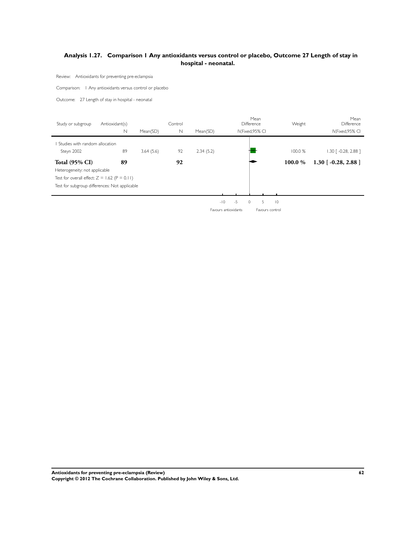## <span id="page-64-0"></span>**Analysis 1.27. Comparison 1 Any antioxidants versus control or placebo, Outcome 27 Length of stay in hospital - neonatal.**

Review: Antioxidants for preventing pre-eclampsia

Comparison: 1 Any antioxidants versus control or placebo

Outcome: 27 Length of stay in hospital - neonatal

| Study or subgroup                                                                                                                                  | Antioxidant(s)<br>$\hbox{N}$ | Mean(SD)  | Control<br>$\hbox{N}$ | Mean(SD)                     | Mean<br>Difference<br>IV,Fixed,95% CI        | Weight                      | Mean<br>Difference<br>IV, Fixed, 95% CI |
|----------------------------------------------------------------------------------------------------------------------------------------------------|------------------------------|-----------|-----------------------|------------------------------|----------------------------------------------|-----------------------------|-----------------------------------------|
| I Studies with random allocation<br>Steyn 2002                                                                                                     | 89                           | 3.64(5.6) | 92                    | 2.34(5.2)                    |                                              | 100.0 %                     | 1.30 [ -0.28, 2.88 ]                    |
| Total (95% CI)<br>Heterogeneity: not applicable<br>Test for overall effect: $Z = 1.62$ (P = 0.11)<br>Test for subgroup differences: Not applicable | 89                           |           | 92                    |                              |                                              | $100.0~\%$                  | $1.30$ [ -0.28, 2.88 ]                  |
|                                                                                                                                                    |                              |           |                       | $\overline{\phantom{a}}$   0 | $-5$<br>5<br>$\circ$<br>Favours antioxidants | $\rm I0$<br>Favours control |                                         |
|                                                                                                                                                    |                              |           |                       |                              |                                              |                             |                                         |
|                                                                                                                                                    |                              |           |                       |                              |                                              |                             |                                         |
|                                                                                                                                                    |                              |           |                       |                              |                                              |                             |                                         |
|                                                                                                                                                    |                              |           |                       |                              |                                              |                             |                                         |
|                                                                                                                                                    |                              |           |                       |                              |                                              |                             |                                         |
|                                                                                                                                                    |                              |           |                       |                              |                                              |                             |                                         |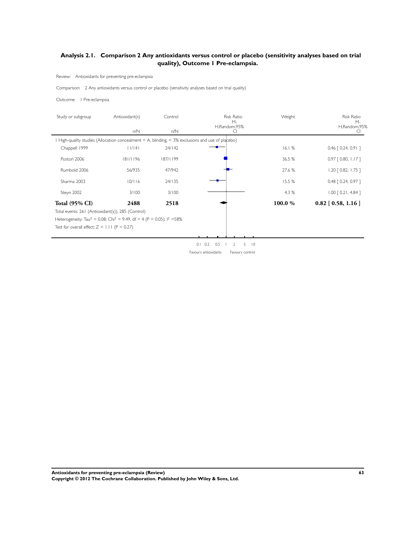## <span id="page-65-0"></span>**Analysis 2.1. Comparison 2 Any antioxidants versus control or placebo (sensitivity analyses based on trial quality), Outcome 1 Pre-eclampsia.**

Review: Antioxidants for preventing pre-eclampsia

Comparison: 2 Any antioxidants versus control or placebo (sensitivity analyses based on trial quality)

Outcome: 1 Pre-eclampsia

| Study or subgroup                                 | Antioxidant(s)                                                                                  | Control  | <b>Risk Ratio</b><br>$M -$                         | Weight  | <b>Risk Ratio</b><br>$M -$ |  |
|---------------------------------------------------|-------------------------------------------------------------------------------------------------|----------|----------------------------------------------------|---------|----------------------------|--|
|                                                   | n/N                                                                                             | n/N      | H,Random,95%                                       |         | H,Random,95%               |  |
|                                                   | High-quality studies (Allocation concealment = A, blinding, < 3% exclusions and use of placebo) |          |                                                    |         |                            |  |
| Chappell 1999                                     | 11/141                                                                                          | 24/142   |                                                    | 16.1%   | $0.46$ $[0.24, 0.91]$      |  |
| Poston 2006                                       | 181/1196                                                                                        | 187/1199 |                                                    | 36.5 %  | $0.97$ $[0.80, 1.17]$      |  |
| Rumbold 2006                                      | 56/935                                                                                          | 47/942   |                                                    | 27.6 %  | $1.20$ $[0.82, 1.75]$      |  |
| Sharma 2003                                       | 10/116                                                                                          | 24/135   |                                                    | 15.5 %  | $0.48$ $[0.24, 0.97]$      |  |
| Steyn 2002                                        | 3/100                                                                                           | 3/100    |                                                    | 4.3 %   | $1.00$ $[0.21, 4.84]$      |  |
| <b>Total (95% CI)</b>                             | 2488                                                                                            | 2518     |                                                    | 100.0 % | $0.82$ [ 0.58, 1.16 ]      |  |
| Total events: 261 (Antioxidant(s)), 285 (Control) |                                                                                                 |          |                                                    |         |                            |  |
|                                                   | Heterogeneity: Tau <sup>2</sup> = 0.08; Chi <sup>2</sup> = 9.49, df = 4 (P = 0.05); $1^2$ =58%  |          |                                                    |         |                            |  |
| Test for overall effect: $Z = 1.11$ (P = 0.27)    |                                                                                                 |          |                                                    |         |                            |  |
|                                                   |                                                                                                 |          |                                                    |         |                            |  |
|                                                   |                                                                                                 |          | $0.1 \quad 0.2$<br>0.5<br>5<br>$\overline{0}$<br>2 |         |                            |  |

Favours antioxidants Favours control

**Antioxidants for preventing pre-eclampsia (Review) 63**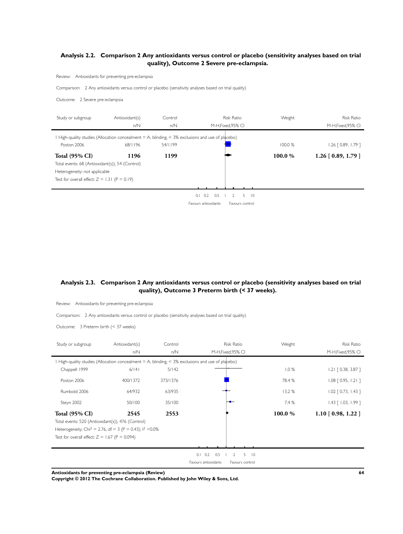#### <span id="page-66-0"></span>**Analysis 2.2. Comparison 2 Any antioxidants versus control or placebo (sensitivity analyses based on trial quality), Outcome 2 Severe pre-eclampsia.**

Review: Antioxidants for preventing pre-eclampsia

Comparison: 2 Any antioxidants versus control or placebo (sensitivity analyses based on trial quality)

Outcome: 2 Severe pre-eclampsia

| Study or subgroup                               | Antioxidant(s)                                                                                         | Control |                        | <b>Risk Ratio</b>                      | Weight  | <b>Risk Ratio</b>     |
|-------------------------------------------------|--------------------------------------------------------------------------------------------------------|---------|------------------------|----------------------------------------|---------|-----------------------|
|                                                 | n/N                                                                                                    | n/N     |                        | M-H, Fixed, 95% CI                     |         | M-H, Fixed, 95% CI    |
|                                                 | High-quality studies (Allocation concealment $=$ A, blinding, $\leq$ 3% exclusions and use of placebo) |         |                        |                                        |         |                       |
| Poston 2006                                     | 68/1196                                                                                                | 54/1199 |                        |                                        | 100.0 % | $1.26$ [ 0.89, 1.79 ] |
| <b>Total (95% CI)</b>                           | 1196                                                                                                   | 1199    |                        |                                        | 100.0%  | $1.26$ [ 0.89, 1.79 ] |
| Total events: 68 (Antioxidant(s)), 54 (Control) |                                                                                                        |         |                        |                                        |         |                       |
| Heterogeneity: not applicable                   |                                                                                                        |         |                        |                                        |         |                       |
| Test for overall effect: $Z = 1.31$ (P = 0.19)  |                                                                                                        |         |                        |                                        |         |                       |
|                                                 |                                                                                                        |         |                        |                                        |         |                       |
|                                                 |                                                                                                        |         | $0.1 \quad 0.2$<br>0.5 | 5<br>$\overline{2}$<br>$\overline{10}$ |         |                       |
|                                                 |                                                                                                        |         | Favours antioxidants   | Favours control                        |         |                       |
|                                                 |                                                                                                        |         |                        |                                        |         |                       |
|                                                 |                                                                                                        |         |                        |                                        |         |                       |
|                                                 |                                                                                                        |         |                        |                                        |         |                       |
|                                                 |                                                                                                        |         |                        |                                        |         |                       |
|                                                 |                                                                                                        |         |                        |                                        |         |                       |

#### **Analysis 2.3. Comparison 2 Any antioxidants versus control or placebo (sensitivity analyses based on trial quality), Outcome 3 Preterm birth (< 37 weeks).**

Review: Antioxidants for preventing pre-eclampsia

Comparison: 2 Any antioxidants versus control or placebo (sensitivity analyses based on trial quality)

Outcome: 3 Preterm birth (< 37 weeks)

| Study or subgroup                                 | Antioxidant(s)                                                          | Control  | <b>Risk Ratio</b>                                                                                      | Weight  | <b>Risk Ratio</b>          |
|---------------------------------------------------|-------------------------------------------------------------------------|----------|--------------------------------------------------------------------------------------------------------|---------|----------------------------|
|                                                   | n/N                                                                     | n/N      | M-H, Fixed, 95% CI                                                                                     |         | M-H, Fixed, 95% CI         |
|                                                   |                                                                         |          | High-quality studies (Allocation concealment $=$ A, blinding, $\leq$ 3% exclusions and use of placebo) |         |                            |
| Chappell 1999                                     | 6/141                                                                   | 5/142    |                                                                                                        | 1.0%    | $1.21$ $[0.38, 3.87]$      |
| Poston 2006                                       | 400/1372                                                                | 373/1376 |                                                                                                        | 78.4 %  | $1.08$ $[0.95, 1.21]$      |
| Rumbold 2006                                      | 64/932                                                                  | 63/935   |                                                                                                        | 13.2%   | $1.02$ $[0.73, 1.43]$      |
| Steyn 2002                                        | 50/100                                                                  | 35/100   |                                                                                                        | 7.4 %   | $1.43$ [ $1.03$ , $1.99$ ] |
| <b>Total (95% CI)</b>                             | 2545                                                                    | 2553     |                                                                                                        | 100.0 % | $1.10$ [ 0.98, 1.22 ]      |
| Total events: 520 (Antioxidant(s)), 476 (Control) |                                                                         |          |                                                                                                        |         |                            |
|                                                   | Heterogeneity: Chi <sup>2</sup> = 2.76, df = 3 (P = 0.43); $1^2$ = 0.0% |          |                                                                                                        |         |                            |
| Test for overall effect: $Z = 1.67$ (P = 0.094)   |                                                                         |          |                                                                                                        |         |                            |
|                                                   |                                                                         |          |                                                                                                        |         |                            |
|                                                   |                                                                         |          |                                                                                                        |         |                            |
|                                                   |                                                                         |          | $5 \quad 10$<br>$0.1 \quad 0.2$<br>0.5<br>$\mathcal{L}$                                                |         |                            |
|                                                   |                                                                         |          | Favours antioxidants<br>Favours control                                                                |         |                            |

**Antioxidants for preventing pre-eclampsia (Review) 64**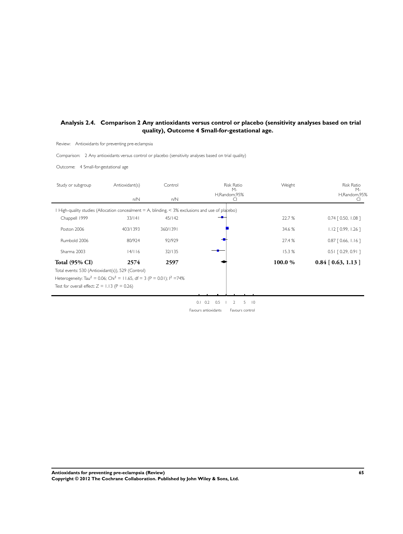#### <span id="page-67-0"></span>**Analysis 2.4. Comparison 2 Any antioxidants versus control or placebo (sensitivity analyses based on trial quality), Outcome 4 Small-for-gestational age.**

Review: Antioxidants for preventing pre-eclampsia

Comparison: 2 Any antioxidants versus control or placebo (sensitivity analyses based on trial quality)

Outcome: 4 Small-for-gestational age

| Study or subgroup                                                                                                            | Antioxidant(s)                                                                                           | Control  | <b>Risk Ratio</b><br>$M -$ | Weight  | <b>Risk Ratio</b><br>$M -$ |
|------------------------------------------------------------------------------------------------------------------------------|----------------------------------------------------------------------------------------------------------|----------|----------------------------|---------|----------------------------|
|                                                                                                                              | n/N                                                                                                      | n/N      | H,Random,95%               |         | H,Random,95%               |
|                                                                                                                              | High-quality studies (Allocation concealment $= A$ , blinding, $\leq 3\%$ exclusions and use of placebo) |          |                            |         |                            |
| Chappell 1999                                                                                                                | 33/141                                                                                                   | 45/142   |                            | 22.7 %  | $0.74$ $[0.50, 1.08]$      |
| Poston 2006                                                                                                                  | 403/1393                                                                                                 | 360/1391 |                            | 34.6 %  | $1.12$ $[0.99, 1.26]$      |
| Rumbold 2006                                                                                                                 | 80/924                                                                                                   | 92/929   |                            | 27.4 %  | $0.87$ [ 0.66, 1.16 ]      |
| Sharma 2003                                                                                                                  | 14/116                                                                                                   | 32/135   |                            | 15.3%   | $0.51$ $[0.29, 0.91]$      |
| <b>Total (95% CI)</b><br>Total events: 530 (Antioxidant(s)), 529 (Control)<br>Test for overall effect: $Z = 1.13$ (P = 0.26) | 2574<br>Heterogeneity: Tau <sup>2</sup> = 0.06; Chi <sup>2</sup> = 11.65, df = 3 (P = 0.01); $1^2$ =74%  | 2597     |                            | 100.0 % | $0.84$ [ 0.63, 1.13 ]      |

0.1 0.2 0.5 1 2 5 10 Favours antioxidants Favours control

**Antioxidants for preventing pre-eclampsia (Review) 65**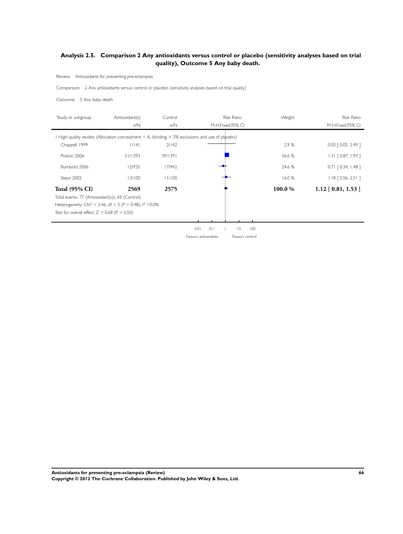#### <span id="page-68-0"></span>**Analysis 2.5. Comparison 2 Any antioxidants versus control or placebo (sensitivity analyses based on trial quality), Outcome 5 Any baby death.**

Review: Antioxidants for preventing pre-eclampsia

Comparison: 2 Any antioxidants versus control or placebo (sensitivity analyses based on trial quality)

Outcome: 5 Any baby death

| Study or subgroup                               | Antioxidant(s)                                                          | Control | <b>Risk Ratio</b>                                                                                      | Weight          | <b>Risk Ratio</b>     |
|-------------------------------------------------|-------------------------------------------------------------------------|---------|--------------------------------------------------------------------------------------------------------|-----------------|-----------------------|
|                                                 | n/N                                                                     | n/N     | M-H, Fixed, 95% CI                                                                                     |                 | M-H, Fixed, 95% CI    |
|                                                 |                                                                         |         | High-quality studies (Allocation concealment $=$ A, blinding, $\leq$ 3% exclusions and use of placebo) |                 |                       |
| Chappell 1999                                   | 1/141                                                                   | 2/142   |                                                                                                        | 2.9 %           | $0.50$ $[0.05, 5.49]$ |
| Poston 2006                                     | 51/1393                                                                 | 39/1391 |                                                                                                        | 56.6 %          | $1.31$ $[0.87, 1.97]$ |
| Rumbold 2006                                    | 12/935                                                                  | 17/942  |                                                                                                        | 24.6 %          | $0.71$ $[0.34, 1.48]$ |
| Steyn 2002                                      | 13/100                                                                  | 11/100  |                                                                                                        | 16.0%           | $1.18$ $[0.56, 2.51]$ |
| <b>Total (95% CI)</b>                           | 2569                                                                    | 2575    |                                                                                                        | 100.0%          | $1.12$ [ 0.81, 1.53 ] |
| Total events: 77 (Antioxidant(s)), 69 (Control) |                                                                         |         |                                                                                                        |                 |                       |
|                                                 | Heterogeneity: Chi <sup>2</sup> = 2.46, df = 3 (P = 0.48); $1^2$ = 0.0% |         |                                                                                                        |                 |                       |
| Test for overall effect: $Z = 0.68$ (P = 0.50)  |                                                                         |         |                                                                                                        |                 |                       |
|                                                 |                                                                         |         |                                                                                                        |                 |                       |
|                                                 |                                                                         |         | 0.1<br>0.01<br>$ 0\rangle$                                                                             | 100             |                       |
|                                                 |                                                                         |         | Favours antioxidants                                                                                   | Favours control |                       |

**Antioxidants for preventing pre-eclampsia (Review) 66**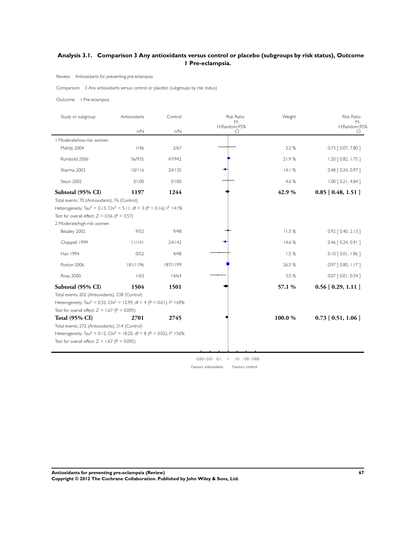## <span id="page-69-0"></span>**Analysis 3.1. Comparison 3 Any antioxidants versus control or placebo (subgroups by risk status), Outcome 1 Pre-eclampsia.**

Review: Antioxidants for preventing pre-eclampsia

Comparison: 3 Any antioxidants versus control or placebo (subgroups by risk status)

Outcome: 1 Pre-eclampsia

| Study or subgroup                                                                                                                                                                                               | Antioxidants<br>Control<br>n/N<br>n/N |          | <b>Risk Ratio</b>                       | Weight | <b>Risk Ratio</b><br>$M -$<br>H,Random,95%<br>CI |  |
|-----------------------------------------------------------------------------------------------------------------------------------------------------------------------------------------------------------------|---------------------------------------|----------|-----------------------------------------|--------|--------------------------------------------------|--|
|                                                                                                                                                                                                                 |                                       |          | $M -$<br>H,Random,95%<br>CI             |        |                                                  |  |
| I Moderate/low-risk women                                                                                                                                                                                       |                                       |          |                                         |        |                                                  |  |
| Mahdy 2004                                                                                                                                                                                                      | 1/46                                  | 2/67     |                                         | 2.2 %  | 0.73 [ 0.07, 7.80 ]                              |  |
| Rumbold 2006                                                                                                                                                                                                    | 56/935                                | 47/942   |                                         | 21.9%  | $1.20$ $[0.82, 1.75]$                            |  |
| Sharma 2003                                                                                                                                                                                                     | 10/116                                | 24/135   |                                         | 14.1%  | 0.48 [ 0.24, 0.97 ]                              |  |
| Steyn 2002                                                                                                                                                                                                      | 3/100                                 | 3/100    |                                         | 4.6 %  | $1.00$ $[0.21, 4.84]$                            |  |
| Subtotal (95% CI)                                                                                                                                                                                               | 1197                                  | 1244     |                                         | 42.9%  | $0.85$ [ $0.48$ , $1.51$ ]                       |  |
| Total events: 70 (Antioxidants), 76 (Control)<br>Heterogeneity: Tau <sup>2</sup> = 0.13; Chi <sup>2</sup> = 5.11, df = 3 (P = 0.16); $1^2$ =41%<br>Test for overall effect: $Z = 0.56$ (P = 0.57)               |                                       |          |                                         |        |                                                  |  |
| 2 Moderate/high-risk women<br>Beazley 2002                                                                                                                                                                      | 9/52                                  | 9/48     |                                         | 11.5 % | $0.92$ $[0.40, 2.13]$                            |  |
| Chappell 1999                                                                                                                                                                                                   | 11/141                                | 24/142   |                                         | 14.6 % | $0.46$ $[0.24, 0.91]$                            |  |
| Han 1994                                                                                                                                                                                                        | 0/52                                  | 4/48     |                                         | 1.5%   | $0.10$ $[0.01, 1.86]$                            |  |
| Poston 2006                                                                                                                                                                                                     | 181/1196                              | 187/1199 |                                         | 26.5 % | $0.97$ [ 0.80, 1.17 ]                            |  |
| Rivas 2000                                                                                                                                                                                                      | 1/63                                  | 14/64    |                                         | 3.0 %  | $0.07$ $[0.01, 0.54]$                            |  |
| Subtotal (95% CI)                                                                                                                                                                                               | 1504                                  | 1501     |                                         | 57.1 % | $0.56$ [ $0.29$ , $1.11$ ]                       |  |
| Total events: 202 (Antioxidants), 238 (Control)<br>Heterogeneity: Tau <sup>2</sup> = 0.32; Chi <sup>2</sup> = 12.99, df = 4 (P = 0.01); l <sup>2</sup> =69%<br>Test for overall effect: $Z = 1.67$ (P = 0.095)  |                                       |          |                                         |        |                                                  |  |
| <b>Total (95% CI)</b>                                                                                                                                                                                           | 2701                                  | 2745     |                                         | 100.0% | $0.73$ [ $0.51$ , 1.06 ]                         |  |
| Total events: 272 (Antioxidants), 314 (Control)<br>Heterogeneity: Tau <sup>2</sup> = 0.12; Chi <sup>2</sup> = 18.20, df = 8 (P = 0.02); l <sup>2</sup> = 56%<br>Test for overall effect: $Z = 1.67$ (P = 0.095) |                                       |          |                                         |        |                                                  |  |
|                                                                                                                                                                                                                 |                                       |          | 0.0010.010.1<br>10 100 1000             |        |                                                  |  |
|                                                                                                                                                                                                                 |                                       |          | Favours antioxidants<br>Favours control |        |                                                  |  |
|                                                                                                                                                                                                                 |                                       |          |                                         |        |                                                  |  |
|                                                                                                                                                                                                                 |                                       |          |                                         |        |                                                  |  |
|                                                                                                                                                                                                                 |                                       |          |                                         |        |                                                  |  |
|                                                                                                                                                                                                                 |                                       |          |                                         |        |                                                  |  |
|                                                                                                                                                                                                                 |                                       |          |                                         |        |                                                  |  |

**Antioxidants for preventing pre-eclampsia (Review) 67**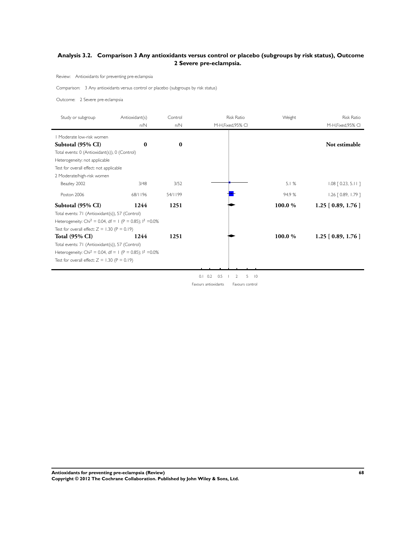## <span id="page-70-0"></span>**Analysis 3.2. Comparison 3 Any antioxidants versus control or placebo (subgroups by risk status), Outcome 2 Severe pre-eclampsia.**

Review: Antioxidants for preventing pre-eclampsia

Comparison: 3 Any antioxidants versus control or placebo (subgroups by risk status)

Outcome: 2 Severe pre-eclampsia

| Antioxidant(s)<br>Control<br>Risk Ratio<br>Weight<br>Study or subgroup           | Risk Ratio            |
|----------------------------------------------------------------------------------|-----------------------|
| n/N<br>M-H,Fixed,95% Cl<br>n/N                                                   | M-H,Fixed,95% Cl      |
| I Moderate low-risk women                                                        |                       |
| Subtotal (95% CI)<br>$\bf{0}$<br>$\bf{0}$                                        | Not estimable         |
| Total events: 0 (Antioxidant(s)), 0 (Control)                                    |                       |
| Heterogeneity: not applicable                                                    |                       |
| Test for overall effect: not applicable                                          |                       |
| 2 Moderate/high-risk women                                                       |                       |
| 3/52<br>5.1%<br>Beazley 2002<br>3/48                                             | $1.08$ $[0.23, 5.11]$ |
| 54/1199<br>Poston 2006<br>68/1196<br>94.9%                                       | 1.26 [ 0.89, 1.79 ]   |
| Subtotal (95% CI)<br>1251<br>100.0%<br>1244                                      | $1.25$ [ 0.89, 1.76 ] |
| Total events: 71 (Antioxidant(s)), 57 (Control)                                  |                       |
| Heterogeneity: Chi <sup>2</sup> = 0.04, df = 1 (P = 0.85); $1^2$ = 0.0%          |                       |
| Test for overall effect: $Z = 1.30$ (P = 0.19)                                   |                       |
| <b>Total (95% CI)</b><br>1244<br>1251<br>100.0%                                  | $1.25$ [ 0.89, 1.76 ] |
| Total events: 71 (Antioxidant(s)), 57 (Control)                                  |                       |
| Heterogeneity: Chi <sup>2</sup> = 0.04, df = 1 (P = 0.85); l <sup>2</sup> = 0.0% |                       |
| Test for overall effect: $Z = 1.30$ (P = 0.19)                                   |                       |
| $5 - 10$<br>$0.1$ $0.2$ $0.5$<br>$\overline{2}$<br>- 1                           |                       |
| Favours antioxidants<br>Favours control                                          |                       |
|                                                                                  |                       |
|                                                                                  |                       |
|                                                                                  |                       |
|                                                                                  |                       |
|                                                                                  |                       |
|                                                                                  |                       |
|                                                                                  |                       |
|                                                                                  |                       |
|                                                                                  |                       |
|                                                                                  |                       |
|                                                                                  |                       |
|                                                                                  |                       |
|                                                                                  |                       |

**Antioxidants for preventing pre-eclampsia (Review) 68**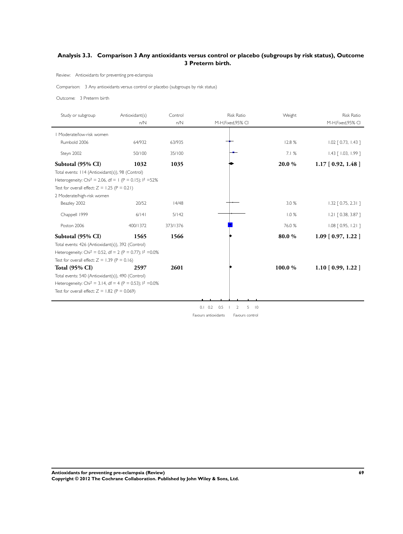## <span id="page-71-0"></span>**Analysis 3.3. Comparison 3 Any antioxidants versus control or placebo (subgroups by risk status), Outcome 3 Preterm birth.**

Review: Antioxidants for preventing pre-eclampsia

Comparison: 3 Any antioxidants versus control or placebo (subgroups by risk status)

Outcome: 3 Preterm birth

| Study or subgroup                                                      | Antioxidant(s) | Control  | <b>Risk Ratio</b>  | Weight | <b>Risk Ratio</b>       |
|------------------------------------------------------------------------|----------------|----------|--------------------|--------|-------------------------|
|                                                                        | n/N            | n/N      | M-H, Fixed, 95% CI |        | M-H,Fixed,95% CI        |
| Moderate/low-risk women                                                |                |          |                    |        |                         |
| Rumbold 2006                                                           | 64/932         | 63/935   |                    | 12.8%  | $1.02$ $[0.73, 1.43]$   |
| Steyn 2002                                                             | 50/100         | 35/100   |                    | 7.1%   | $1.43$ $[$ 1.03, 1.99 ] |
| Subtotal (95% CI)                                                      | 1032           | 1035     |                    | 20.0 % | $1.17$ [ 0.92, 1.48 ]   |
| Total events: 114 (Antioxidant(s)), 98 (Control)                       |                |          |                    |        |                         |
| Heterogeneity: Chi <sup>2</sup> = 2.06, df = 1 (P = 0.15); $1^2$ =52%  |                |          |                    |        |                         |
| Test for overall effect: $Z = 1.25$ (P = 0.21)                         |                |          |                    |        |                         |
| 2 Moderate/high-risk women                                             |                |          |                    |        |                         |
| Beazley 2002                                                           | 20/52          | 14/48    |                    | 3.0 %  | $1.32$ $[0.75, 2.31]$   |
| Chappell 1999                                                          | 6/141          | 5/142    |                    | 1.0%   | $1.21$ $[0.38, 3.87]$   |
| Poston 2006                                                            | 400/1372       | 373/1376 |                    | 76.0 % | $1.08$ $[0.95, 1.21]$   |
| Subtotal (95% CI)                                                      | 1565           | 1566     |                    | 80.0%  | $1.09$ [ 0.97, 1.22 ]   |
| Total events: 426 (Antioxidant(s)), 392 (Control)                      |                |          |                    |        |                         |
| Heterogeneity: Chi <sup>2</sup> = 0.52, df = 2 (P = 0.77); $1^2$ =0.0% |                |          |                    |        |                         |
| Test for overall effect: $Z = 1.39$ (P = 0.16)                         |                |          |                    |        |                         |
| <b>Total (95% CI)</b>                                                  | 2597           | 2601     |                    | 100.0% | $1.10$ [ 0.99, 1.22 ]   |
| Total events: 540 (Antioxidant(s)), 490 (Control)                      |                |          |                    |        |                         |
| Heterogeneity: Chi <sup>2</sup> = 3.14, df = 4 (P = 0.53); $1^2$ =0.0% |                |          |                    |        |                         |
| Test for overall effect: $Z = 1.82$ (P = 0.069)                        |                |          |                    |        |                         |
|                                                                        |                |          |                    |        |                         |

0.1 0.2 0.5 2 5 10

Favours antioxidants Favours control

**Antioxidants for preventing pre-eclampsia (Review) 69**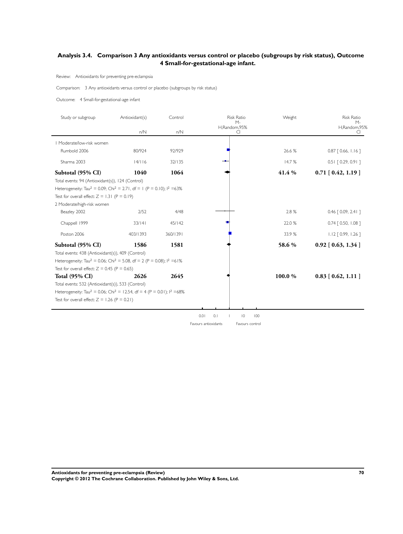## **Analysis 3.4. Comparison 3 Any antioxidants versus control or placebo (subgroups by risk status), Outcome 4 Small-for-gestational-age infant.**

Review: Antioxidants for preventing pre-eclampsia

Comparison: 3 Any antioxidants versus control or placebo (subgroups by risk status)

Outcome: 4 Small-for-gestational-age infant

| Study or subgroup                                                                               | Antioxidant(s) | Control  | <b>Risk Ratio</b>                     | Weight | <b>Risk Ratio</b>        |
|-------------------------------------------------------------------------------------------------|----------------|----------|---------------------------------------|--------|--------------------------|
|                                                                                                 | n/N            | n/N      | М-<br>H,Random,95%<br><sup>C</sup>    |        | м.<br>H,Random,95%<br>C  |
| I Moderate/low-risk women                                                                       |                |          |                                       |        |                          |
| Rumbold 2006                                                                                    | 80/924         | 92/929   |                                       | 26.6 % | $0.87$ [ 0.66, 1.16 ]    |
| Sharma 2003                                                                                     | 14/116         | 32/135   |                                       | 14.7 % | $0.51$ $[0.29, 0.91]$    |
| Subtotal (95% CI)                                                                               | 1040           | 1064     |                                       | 41.4 % | $0.71$ [ $0.42$ , 1.19 ] |
| Total events: 94 (Antioxidant(s)), 124 (Control)                                                |                |          |                                       |        |                          |
| Heterogeneity: Tau <sup>2</sup> = 0.09; Chi <sup>2</sup> = 2.71, df = 1 (P = 0.10); $1^2$ =63%  |                |          |                                       |        |                          |
| Test for overall effect: $Z = 1.31$ (P = 0.19)                                                  |                |          |                                       |        |                          |
| 2 Moderate/high-risk women                                                                      |                |          |                                       |        |                          |
| Beazley 2002                                                                                    | 2/52           | 4/48     |                                       | 2.8 %  | $0.46$ $[0.09, 2.41]$    |
| Chappell 1999                                                                                   | 33/141         | 45/142   |                                       | 22.0 % | $0.74$ $[0.50, 1.08]$    |
| Poston 2006                                                                                     | 403/1393       | 360/1391 |                                       | 33.9%  | $1.12$ $[0.99, 1.26]$    |
| Subtotal (95% CI)                                                                               | 1586           | 1581     |                                       | 58.6 % | $0.92$ [ 0.63, 1.34 ]    |
| Total events: 438 (Antioxidant(s)), 409 (Control)                                               |                |          |                                       |        |                          |
| Heterogeneity: Tau <sup>2</sup> = 0.06; Chi <sup>2</sup> = 5.08, df = 2 (P = 0.08); $1^2$ =61%  |                |          |                                       |        |                          |
| Test for overall effect: $Z = 0.45$ (P = 0.65)                                                  |                |          |                                       |        |                          |
| <b>Total (95% CI)</b>                                                                           | 2626           | 2645     |                                       | 100.0% | $0.83$ [ 0.62, 1.11 ]    |
| Total events: 532 (Antioxidant(s)), 533 (Control)                                               |                |          |                                       |        |                          |
| Heterogeneity: Tau <sup>2</sup> = 0.06; Chi <sup>2</sup> = 12.54, df = 4 (P = 0.01); $1^2$ =68% |                |          |                                       |        |                          |
| Test for overall effect: $Z = 1.26$ (P = 0.21)                                                  |                |          |                                       |        |                          |
|                                                                                                 |                |          |                                       |        |                          |
|                                                                                                 |                |          | 0.01<br>0.1<br>$\overline{10}$<br>100 |        |                          |

Favours antioxidants Favours control

**Antioxidants for preventing pre-eclampsia (Review) 70**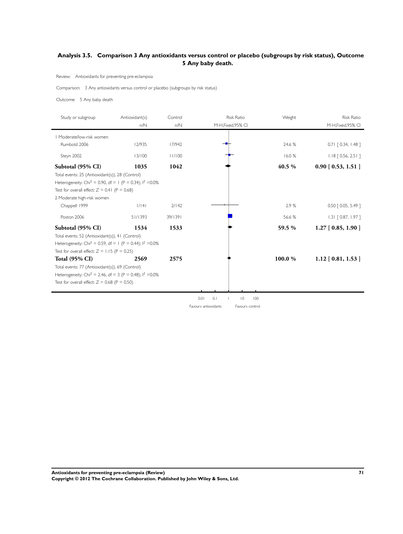## **Analysis 3.5. Comparison 3 Any antioxidants versus control or placebo (subgroups by risk status), Outcome 5 Any baby death.**

Review: Antioxidants for preventing pre-eclampsia

Comparison: 3 Any antioxidants versus control or placebo (subgroups by risk status)

Outcome: 5 Any baby death

| Study or subgroup                                                        | Antioxidant(s) | Control | Risk Ratio                              | Weight | Risk Ratio                 |
|--------------------------------------------------------------------------|----------------|---------|-----------------------------------------|--------|----------------------------|
|                                                                          | n/N            | n/N     | M-H,Fixed,95% Cl                        |        | M-H,Fixed,95% Cl           |
| I Moderate/low-risk women                                                |                |         |                                         |        |                            |
| Rumbold 2006                                                             | 12/935         | 17/942  |                                         | 24.6 % | $0.71$ $[0.34, 1.48]$      |
| Steyn 2002                                                               | 13/100         | 11/100  |                                         | 16.0%  | $1.18$ [ 0.56, 2.51 ]      |
| Subtotal (95% CI)                                                        | 1035           | 1042    |                                         | 40.5 % | $0.90$ [ $0.53$ , $1.51$ ] |
| Total events: 25 (Antioxidant(s)), 28 (Control)                          |                |         |                                         |        |                            |
| Heterogeneity: Chi <sup>2</sup> = 0.90, df = 1 (P = 0.34); $1^2$ =0.0%   |                |         |                                         |        |                            |
| Test for overall effect: $Z = 0.41$ (P = 0.68)                           |                |         |                                         |        |                            |
| 2 Moderate high-risk women                                               |                |         |                                         |        |                            |
| Chappell 1999                                                            | 1/141          | 2/142   |                                         | 2.9 %  | 0.50 [ 0.05, 5.49 ]        |
| Poston 2006                                                              | 51/1393        | 39/1391 |                                         | 56.6 % | $1.31$ [ 0.87, 1.97 ]      |
| Subtotal (95% CI)                                                        | 1534           | 1533    |                                         | 59.5 % | $1.27$ [ 0.85, 1.90 ]      |
| Total events: 52 (Antioxidant(s)), 41 (Control)                          |                |         |                                         |        |                            |
| Heterogeneity: Chi <sup>2</sup> = 0.59, df = 1 (P = 0.44); $1^2$ =0.0%   |                |         |                                         |        |                            |
| Test for overall effect: $Z = 1.15$ (P = 0.25)                           |                |         |                                         |        |                            |
| <b>Total (95% CI)</b><br>Total events: 77 (Antioxidant(s)), 69 (Control) | 2569           | 2575    |                                         | 100.0% | $1.12$ [ 0.81, 1.53 ]      |
| Heterogeneity: Chi <sup>2</sup> = 2.46, df = 3 (P = 0.48); $1^2$ = 0.0%  |                |         |                                         |        |                            |
| Test for overall effect: $Z = 0.68$ (P = 0.50)                           |                |         |                                         |        |                            |
|                                                                          |                |         |                                         |        |                            |
|                                                                          |                |         | 0.1<br>$\vert$ O<br>100<br>0.01<br>Ť,   |        |                            |
|                                                                          |                |         | Favours antioxidants<br>Favours control |        |                            |
|                                                                          |                |         |                                         |        |                            |
|                                                                          |                |         |                                         |        |                            |
|                                                                          |                |         |                                         |        |                            |
|                                                                          |                |         |                                         |        |                            |
|                                                                          |                |         |                                         |        |                            |
|                                                                          |                |         |                                         |        |                            |
|                                                                          |                |         |                                         |        |                            |
|                                                                          |                |         |                                         |        |                            |
|                                                                          |                |         |                                         |        |                            |
|                                                                          |                |         |                                         |        |                            |
|                                                                          |                |         |                                         |        |                            |
|                                                                          |                |         |                                         |        |                            |
|                                                                          |                |         |                                         |        |                            |
|                                                                          |                |         |                                         |        |                            |
|                                                                          |                |         |                                         |        |                            |
|                                                                          |                |         |                                         |        |                            |
|                                                                          |                |         |                                         |        |                            |
|                                                                          |                |         |                                         |        |                            |

**Antioxidants for preventing pre-eclampsia (Review) 71**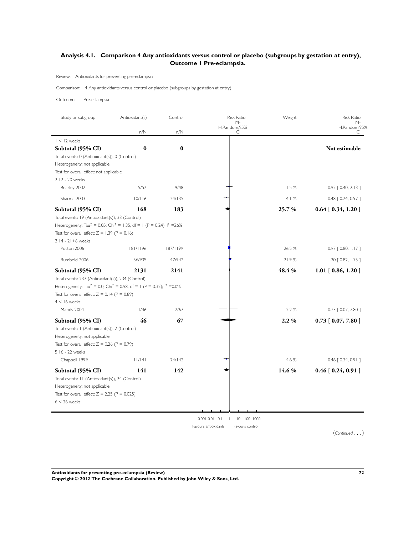# **Analysis 4.1. Comparison 4 Any antioxidants versus control or placebo (subgroups by gestation at entry), Outcome 1 Pre-eclampsia.**

Review: Antioxidants for preventing pre-eclampsia

Comparison: 4 Any antioxidants versus control or placebo (subgroups by gestation at entry)

Outcome: 1 Pre-eclampsia

| Study or subgroup                                                                                        | Antioxidant(s) | Control  | <b>Risk Ratio</b><br>$M -$              | Weight  | <b>Risk Ratio</b><br>$M -$ |
|----------------------------------------------------------------------------------------------------------|----------------|----------|-----------------------------------------|---------|----------------------------|
|                                                                                                          | n/N            | n/N      | H,Random,95%<br>CI                      |         | H,Random,95%<br>CI         |
| $1 < 12$ weeks                                                                                           |                |          |                                         |         |                            |
| Subtotal (95% CI)                                                                                        | $\bf{0}$       | $\bf{0}$ |                                         |         | Not estimable              |
| Total events: 0 (Antioxidant(s)), 0 (Control)                                                            |                |          |                                         |         |                            |
| Heterogeneity: not applicable                                                                            |                |          |                                         |         |                            |
| Test for overall effect: not applicable                                                                  |                |          |                                         |         |                            |
| 2 12 - 20 weeks                                                                                          |                |          |                                         |         |                            |
| Beazley 2002                                                                                             | 9/52           | 9/48     |                                         | 11.5%   | $0.92$ $[0.40, 2.13]$      |
| Sharma 2003                                                                                              | 10/116         | 24/135   |                                         | 14.1%   | 0.48 [ 0.24, 0.97 ]        |
| Subtotal (95% CI)                                                                                        | 168            | 183      |                                         | 25.7 %  | $0.64$ [ $0.34$ , 1.20 ]   |
| Total events: 19 (Antioxidant(s)), 33 (Control)                                                          |                |          |                                         |         |                            |
| Heterogeneity: Tau <sup>2</sup> = 0.05; Chi <sup>2</sup> = 1.35, df = 1 (P = 0.24); l <sup>2</sup> = 26% |                |          |                                         |         |                            |
| Test for overall effect: $Z = 1.39$ (P = 0.16)                                                           |                |          |                                         |         |                            |
| 3 14 - 21 + 6 weeks                                                                                      |                |          |                                         |         |                            |
| Poston 2006                                                                                              | 181/1196       | 187/1199 |                                         | 26.5 %  | $0.97$ [ 0.80, 1.17 ]      |
| Rumbold 2006                                                                                             | 56/935         | 47/942   |                                         | 21.9%   | 1.20 [ 0.82, 1.75 ]        |
| Subtotal (95% CI)                                                                                        | 2131           | 2141     |                                         | 48.4 %  | $1.01$ [ 0.86, 1.20 ]      |
| Total events: 237 (Antioxidant(s)), 234 (Control)                                                        |                |          |                                         |         |                            |
| Heterogeneity: Tau <sup>2</sup> = 0.0; Chi <sup>2</sup> = 0.98, df = 1 (P = 0.32); $1^2$ = 0.0%          |                |          |                                         |         |                            |
| Test for overall effect: $Z = 0.14$ (P = 0.89)                                                           |                |          |                                         |         |                            |
| $4 < 16$ weeks                                                                                           |                |          |                                         |         |                            |
| Mahdy 2004                                                                                               | 1/46           | 2/67     |                                         | 2.2%    | $0.73$ $[0.07, 7.80]$      |
| Subtotal (95% CI)                                                                                        | 46             | 67       |                                         | $2.2\%$ | $0.73$ [ $0.07, 7.80$ ]    |
| Total events: I (Antioxidant(s)), 2 (Control)                                                            |                |          |                                         |         |                            |
| Heterogeneity: not applicable                                                                            |                |          |                                         |         |                            |
| Test for overall effect: $Z = 0.26$ (P = 0.79)                                                           |                |          |                                         |         |                            |
| 5 16 - 22 weeks                                                                                          |                |          |                                         |         |                            |
| Chappell 1999                                                                                            | 11/141         | 24/142   |                                         | 14.6 %  | $0.46$ $[0.24, 0.91]$      |
| Subtotal (95% CI)                                                                                        | 141            | 142      |                                         | 14.6 %  | $0.46$ [ $0.24$ , $0.91$ ] |
| Total events: II (Antioxidant(s)), 24 (Control)                                                          |                |          |                                         |         |                            |
| Heterogeneity: not applicable                                                                            |                |          |                                         |         |                            |
| Test for overall effect: $Z = 2.25$ (P = 0.025)                                                          |                |          |                                         |         |                            |
| $6 < 26$ weeks                                                                                           |                |          |                                         |         |                            |
|                                                                                                          |                |          |                                         |         |                            |
|                                                                                                          |                |          | $0.001$ $0.01$ $0.1$<br>10 100 1000     |         |                            |
|                                                                                                          |                |          | Favours antioxidants<br>Favours control |         |                            |

(*Continued* . . . )

**Antioxidants for preventing pre-eclampsia (Review) 72**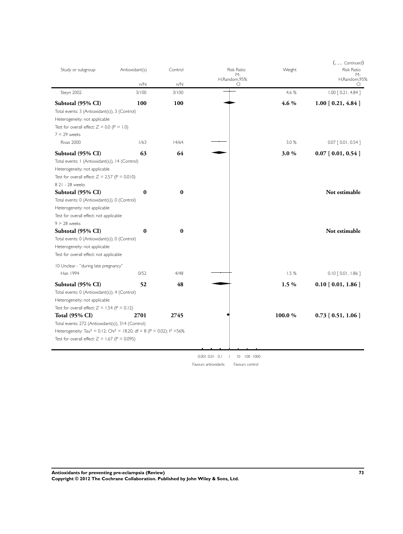| Study or subgroup                                                                                         | Antioxidant(s) | Control  | <b>Risk Ratio</b>                       | Weight | $(\ldots$ Continued)<br><b>Risk Ratio</b> |
|-----------------------------------------------------------------------------------------------------------|----------------|----------|-----------------------------------------|--------|-------------------------------------------|
|                                                                                                           |                |          | $M -$<br>H,Random,95%                   |        | $M -$<br>H,Random,95%                     |
|                                                                                                           | n/N            | n/N      | CI                                      |        | СI                                        |
| Steyn 2002                                                                                                | 3/100          | 3/100    |                                         | 4.6 %  | $1.00$ $[0.21, 4.84]$                     |
| Subtotal (95% CI)                                                                                         | 100            | 100      |                                         | 4.6 %  | $1.00$ [ 0.21, 4.84 ]                     |
| Total events: 3 (Antioxidant(s)), 3 (Control)                                                             |                |          |                                         |        |                                           |
| Heterogeneity: not applicable                                                                             |                |          |                                         |        |                                           |
| Test for overall effect: $Z = 0.0$ (P = 1.0)                                                              |                |          |                                         |        |                                           |
| $7 < 29$ weeks                                                                                            |                |          |                                         |        |                                           |
| <b>Rivas 2000</b>                                                                                         | 1/63           | 14/64    |                                         | 3.0 %  | $0.07$ $[0.01, 0.54]$                     |
| Subtotal (95% CI)                                                                                         | 63             | 64       |                                         | 3.0%   | $0.07$ [ $0.01, 0.54$ ]                   |
| Total events: I (Antioxidant(s)), 14 (Control)                                                            |                |          |                                         |        |                                           |
| Heterogeneity: not applicable                                                                             |                |          |                                         |        |                                           |
| Test for overall effect: $Z = 2.57$ (P = 0.010)                                                           |                |          |                                         |        |                                           |
| 8 21 - 28 weeks                                                                                           |                |          |                                         |        |                                           |
| Subtotal (95% CI)                                                                                         | $\bf{0}$       | $\bf{0}$ |                                         |        | Not estimable                             |
| Total events: 0 (Antioxidant(s)), 0 (Control)                                                             |                |          |                                         |        |                                           |
| Heterogeneity: not applicable                                                                             |                |          |                                         |        |                                           |
| Test for overall effect: not applicable                                                                   |                |          |                                         |        |                                           |
| $9 > 28$ weeks                                                                                            |                |          |                                         |        |                                           |
| Subtotal (95% CI)                                                                                         | $\bf{0}$       | $\bf{0}$ |                                         |        | Not estimable                             |
| Total events: 0 (Antioxidant(s)), 0 (Control)                                                             |                |          |                                         |        |                                           |
| Heterogeneity: not applicable                                                                             |                |          |                                         |        |                                           |
| Test for overall effect: not applicable                                                                   |                |          |                                         |        |                                           |
| 10 Unclear - "during late pregnancy"                                                                      |                |          |                                         |        |                                           |
| Han 1994                                                                                                  | 0/52           | 4/48     |                                         | 1.5%   | $0.10$ $[0.01, 1.86]$                     |
| Subtotal (95% CI)                                                                                         | 52             | 48       |                                         | 1.5%   | $0.10$ [ $0.01$ , 1.86 ]                  |
| Total events: 0 (Antioxidant(s)), 4 (Control)                                                             |                |          |                                         |        |                                           |
| Heterogeneity: not applicable                                                                             |                |          |                                         |        |                                           |
| Test for overall effect: $Z = 1.54$ (P = 0.12)                                                            |                |          |                                         |        |                                           |
| <b>Total (95% CI)</b>                                                                                     | 2701           | 2745     |                                         | 100.0% | $0.73$ [ $0.51$ , 1.06 ]                  |
| Total events: 272 (Antioxidant(s)), 314 (Control)                                                         |                |          |                                         |        |                                           |
| Heterogeneity: Tau <sup>2</sup> = 0.12; Chi <sup>2</sup> = 18.20, df = 8 (P = 0.02); l <sup>2</sup> = 56% |                |          |                                         |        |                                           |
| Test for overall effect: $Z = 1.67$ (P = 0.095)                                                           |                |          |                                         |        |                                           |
|                                                                                                           |                |          |                                         |        |                                           |
|                                                                                                           |                |          | $0.001$ $0.01$ $0.1$<br>10 100 1000     |        |                                           |
|                                                                                                           |                |          | Favours antioxidants<br>Favours control |        |                                           |
|                                                                                                           |                |          |                                         |        |                                           |
|                                                                                                           |                |          |                                         |        |                                           |
|                                                                                                           |                |          |                                         |        |                                           |
|                                                                                                           |                |          |                                         |        |                                           |

**Antioxidants for preventing pre-eclampsia (Review) 73**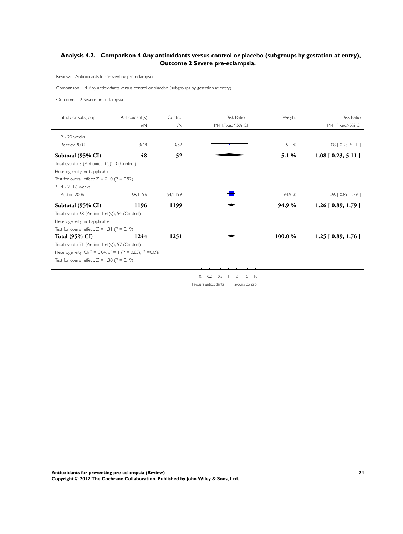#### **Analysis 4.2. Comparison 4 Any antioxidants versus control or placebo (subgroups by gestation at entry), Outcome 2 Severe pre-eclampsia.**

Review: Antioxidants for preventing pre-eclampsia

Comparison: 4 Any antioxidants versus control or placebo (subgroups by gestation at entry)

Outcome: 2 Severe pre-eclampsia

| Study or subgroup                                                                | Antioxidant(s)<br>n/N | Control<br>n/N | Risk Ratio<br>M-H,Fixed,95% CI                                                                   | Weight | Risk Ratio<br>M-H,Fixed,95% CI |
|----------------------------------------------------------------------------------|-----------------------|----------------|--------------------------------------------------------------------------------------------------|--------|--------------------------------|
|                                                                                  |                       |                |                                                                                                  |        |                                |
| 2 - 20 weeks<br>Beazley 2002                                                     | 3/48                  | 3/52           |                                                                                                  | 5.1%   | $1.08$ $[0.23, 5.11]$          |
|                                                                                  |                       |                |                                                                                                  |        |                                |
| Subtotal (95% CI)                                                                | 48                    | 52             |                                                                                                  | 5.1%   | $1.08$ [ 0.23, 5.11 ]          |
| Total events: 3 (Antioxidant(s)), 3 (Control)                                    |                       |                |                                                                                                  |        |                                |
| Heterogeneity: not applicable<br>Test for overall effect: $Z = 0.10$ (P = 0.92)  |                       |                |                                                                                                  |        |                                |
| 2   4 - 2   +6 weeks                                                             |                       |                |                                                                                                  |        |                                |
| Poston 2006                                                                      | 68/1196               | 54/1199        |                                                                                                  | 94.9%  | $1.26$ [ 0.89, 1.79 ]          |
| Subtotal (95% CI)                                                                | 1196                  | 1199           |                                                                                                  | 94.9%  | $1.26$ [ 0.89, 1.79 ]          |
| Total events: 68 (Antioxidant(s)), 54 (Control)                                  |                       |                |                                                                                                  |        |                                |
| Heterogeneity: not applicable                                                    |                       |                |                                                                                                  |        |                                |
| Test for overall effect: $Z = 1.31$ (P = 0.19)                                   |                       |                |                                                                                                  |        |                                |
| <b>Total (95% CI)</b>                                                            | 1244                  | 1251           |                                                                                                  | 100.0% | $1.25$ [ 0.89, 1.76 ]          |
| Total events: 71 (Antioxidant(s)), 57 (Control)                                  |                       |                |                                                                                                  |        |                                |
| Heterogeneity: Chi <sup>2</sup> = 0.04, df = 1 (P = 0.85); l <sup>2</sup> = 0.0% |                       |                |                                                                                                  |        |                                |
| Test for overall effect: $Z = 1.30$ (P = 0.19)                                   |                       |                |                                                                                                  |        |                                |
|                                                                                  |                       |                |                                                                                                  |        |                                |
|                                                                                  |                       |                | $5 - 10$<br>$0.1$ $0.2$ $0.5$<br>$\overline{2}$<br>J.<br>Favours antioxidants<br>Favours control |        |                                |
|                                                                                  |                       |                |                                                                                                  |        |                                |
|                                                                                  |                       |                |                                                                                                  |        |                                |
|                                                                                  |                       |                |                                                                                                  |        |                                |
|                                                                                  |                       |                |                                                                                                  |        |                                |
|                                                                                  |                       |                |                                                                                                  |        |                                |
|                                                                                  |                       |                |                                                                                                  |        |                                |
|                                                                                  |                       |                |                                                                                                  |        |                                |
|                                                                                  |                       |                |                                                                                                  |        |                                |
|                                                                                  |                       |                |                                                                                                  |        |                                |
|                                                                                  |                       |                |                                                                                                  |        |                                |
|                                                                                  |                       |                |                                                                                                  |        |                                |
|                                                                                  |                       |                |                                                                                                  |        |                                |
|                                                                                  |                       |                |                                                                                                  |        |                                |
|                                                                                  |                       |                |                                                                                                  |        |                                |
|                                                                                  |                       |                |                                                                                                  |        |                                |

**Antioxidants for preventing pre-eclampsia (Review) 74**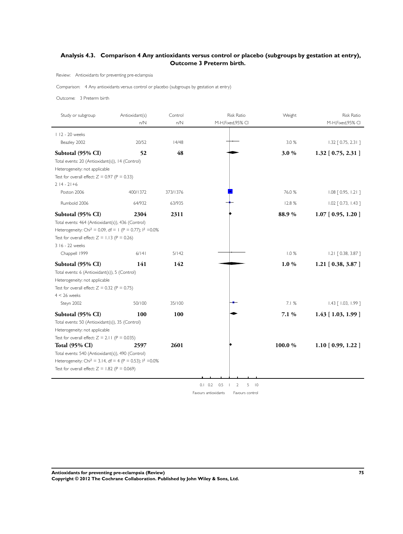# **Analysis 4.3. Comparison 4 Any antioxidants versus control or placebo (subgroups by gestation at entry), Outcome 3 Preterm birth.**

Review: Antioxidants for preventing pre-eclampsia

Comparison: 4 Any antioxidants versus control or placebo (subgroups by gestation at entry)

Outcome: 3 Preterm birth

| Study or subgroup                                                                | Antioxidant(s) | Control  | <b>Risk Ratio</b>                                           | Weight | <b>Risk Ratio</b>          |
|----------------------------------------------------------------------------------|----------------|----------|-------------------------------------------------------------|--------|----------------------------|
|                                                                                  | n/N            | n/N      | M-H,Fixed,95% CI                                            |        | M-H,Fixed,95% CI           |
| 2 - 20 weeks                                                                     |                |          |                                                             |        |                            |
| Beazley 2002                                                                     | 20/52          | 14/48    |                                                             | 3.0 %  | $1.32$ [ 0.75, 2.31 ]      |
| Subtotal (95% CI)                                                                | 52             | 48       |                                                             | 3.0%   | $1.32$ [ 0.75, 2.31 ]      |
| Total events: 20 (Antioxidant(s)), 14 (Control)                                  |                |          |                                                             |        |                            |
| Heterogeneity: not applicable                                                    |                |          |                                                             |        |                            |
| Test for overall effect: $Z = 0.97$ (P = 0.33)                                   |                |          |                                                             |        |                            |
| $214 - 21 + 6$                                                                   |                |          |                                                             |        |                            |
| Poston 2006                                                                      | 400/1372       | 373/1376 |                                                             | 76.0%  | $1.08$ $[0.95, 1.21]$      |
| Rumbold 2006                                                                     | 64/932         | 63/935   |                                                             | 12.8%  | $1.02$ $[0.73, 1.43]$      |
| Subtotal (95% CI)                                                                | 2304           | 2311     |                                                             | 88.9%  | $1.07$ [ 0.95, 1.20 ]      |
| Total events: 464 (Antioxidant(s)), 436 (Control)                                |                |          |                                                             |        |                            |
| Heterogeneity: Chi <sup>2</sup> = 0.09, df = 1 (P = 0.77); l <sup>2</sup> = 0.0% |                |          |                                                             |        |                            |
| Test for overall effect: $Z = 1.13$ (P = 0.26)                                   |                |          |                                                             |        |                            |
| 3 16 - 22 weeks                                                                  |                |          |                                                             |        |                            |
| Chappell 1999                                                                    | $6/141$        | 5/142    |                                                             | 1.0%   | $1.21$ [ 0.38, 3.87 ]      |
| Subtotal (95% CI)                                                                | 141            | 142      |                                                             | 1.0%   | $1.21$ [ 0.38, 3.87 ]      |
| Total events: 6 (Antioxidant(s)), 5 (Control)                                    |                |          |                                                             |        |                            |
| Heterogeneity: not applicable<br>Test for overall effect: $Z = 0.32$ (P = 0.75)  |                |          |                                                             |        |                            |
| $4 < 26$ weeks                                                                   |                |          |                                                             |        |                            |
| Steyn 2002                                                                       | 50/100         | 35/100   |                                                             | 7.1%   | $1.43$ $[$ 1.03, 1.99 ]    |
| Subtotal (95% CI)                                                                | 100            | 100      |                                                             | 7.1 %  | $1.43$ [ $1.03$ , $1.99$ ] |
| Total events: 50 (Antioxidant(s)), 35 (Control)                                  |                |          |                                                             |        |                            |
| Heterogeneity: not applicable                                                    |                |          |                                                             |        |                            |
| Test for overall effect: $Z = 2.11$ (P = 0.035)                                  |                |          |                                                             |        |                            |
| <b>Total (95% CI)</b>                                                            | 2597           | 2601     |                                                             | 100.0% | $1.10$ [ 0.99, 1.22 ]      |
| Total events: 540 (Antioxidant(s)), 490 (Control)                                |                |          |                                                             |        |                            |
| Heterogeneity: Chi <sup>2</sup> = 3.14, df = 4 (P = 0.53); $1^2$ =0.0%           |                |          |                                                             |        |                            |
| Test for overall effect: $Z = 1.82$ (P = 0.069)                                  |                |          |                                                             |        |                            |
|                                                                                  |                |          | $0.1$ $0.2$ $0.5$<br>$\overline{2}$<br>5<br>$\overline{10}$ |        |                            |
|                                                                                  |                |          | Favours antioxidants<br>Favours control                     |        |                            |

**Antioxidants for preventing pre-eclampsia (Review) 75**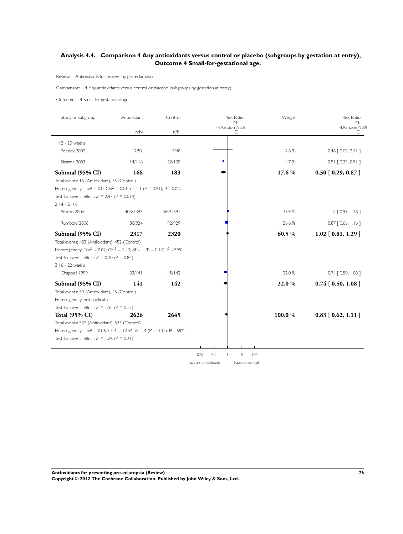#### **Analysis 4.4. Comparison 4 Any antioxidants versus control or placebo (subgroups by gestation at entry), Outcome 4 Small-for-gestational age.**

Review: Antioxidants for preventing pre-eclampsia

Comparison: 4 Any antioxidants versus control or placebo (subgroups by gestation at entry)

Outcome: 4 Small-for-gestational age

| Study or subgroup                                                                                        | Antioxidant | Control  | <b>Risk Ratio</b><br>$M -$           | Weight | <b>Risk Ratio</b><br>$M -$ |
|----------------------------------------------------------------------------------------------------------|-------------|----------|--------------------------------------|--------|----------------------------|
|                                                                                                          | n/N         | n/N      | H,Random,95%<br>CI                   |        | H,Random,95%<br>CI.        |
| 2 - 20 weeks                                                                                             |             |          |                                      |        |                            |
| Beazley 2002                                                                                             | 2/52        | 4/48     |                                      | 2.8 %  | 0.46 [0.09, 2.41]          |
| Sharma 2003                                                                                              | 14/116      | 32/135   |                                      | 14.7%  | $0.51$ $[0.29, 0.91]$      |
| Subtotal (95% CI)                                                                                        | 168         | 183      |                                      | 17.6 % | $0.50$ [ $0.29, 0.87$ ]    |
| Total events: 16 (Antioxidant), 36 (Control)                                                             |             |          |                                      |        |                            |
| Heterogeneity: Tau <sup>2</sup> = 0.0; Chi <sup>2</sup> = 0.01, df = 1 (P = 0.91); l <sup>2</sup> = 0.0% |             |          |                                      |        |                            |
| Test for overall effect: $Z = 2.47$ (P = 0.014)                                                          |             |          |                                      |        |                            |
| $2   4 - 2   + 6$                                                                                        |             |          |                                      |        |                            |
| Poston 2006                                                                                              | 403/1393    | 360/1391 |                                      | 33.9%  | $1.12$ [ 0.99, 1.26 ]      |
| Rumbold 2006                                                                                             | 80/924      | 92/929   |                                      | 26.6%  | $0.87$ [ 0.66, 1.16 ]      |
| Subtotal (95% CI)                                                                                        | 2317        | 2320     |                                      | 60.5 % | $1.02$ [ 0.81, 1.29 ]      |
| Total events: 483 (Antioxidant), 452 (Control)                                                           |             |          |                                      |        |                            |
| Heterogeneity: Tau <sup>2</sup> = 0.02; Chi <sup>2</sup> = 2.43, df = 1 (P = 0.12); $1^2$ =59%           |             |          |                                      |        |                            |
| Test for overall effect: $Z = 0.20$ (P = 0.84)                                                           |             |          |                                      |        |                            |
| 3 16 - 22 weeks                                                                                          |             |          |                                      |        |                            |
| Chappell 1999                                                                                            | 33/141      | 45/142   |                                      | 22.0 % | $0.74$ $[0.50, 1.08]$      |
| Subtotal (95% CI)                                                                                        | 141         | 142      |                                      | 22.0 % | $0.74$ [ 0.50, 1.08 ]      |
| Total events: 33 (Antioxidant), 45 (Control)                                                             |             |          |                                      |        |                            |
| Heterogeneity: not applicable                                                                            |             |          |                                      |        |                            |
| Test for overall effect: $Z = 1.55$ (P = 0.12)                                                           |             |          |                                      |        |                            |
| <b>Total (95% CI)</b>                                                                                    | 2626        | 2645     |                                      | 100.0% | $0.83$ [ $0.62$ , 1.11 ]   |
| Total events: 532 (Antioxidant), 533 (Control)                                                           |             |          |                                      |        |                            |
| Heterogeneity: Tau <sup>2</sup> = 0.06; Chi <sup>2</sup> = 12.54, df = 4 (P = 0.01); l <sup>2</sup> =68% |             |          |                                      |        |                            |
| Test for overall effect: $Z = 1.26$ (P = 0.21)                                                           |             |          |                                      |        |                            |
|                                                                                                          |             |          | 0.01<br>0.1<br>$\overline{0}$<br>100 |        |                            |

Favours antioxidants Favours control

**Antioxidants for preventing pre-eclampsia (Review) 76**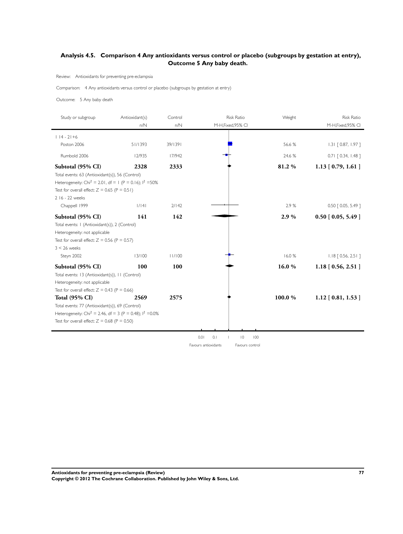## **Analysis 4.5. Comparison 4 Any antioxidants versus control or placebo (subgroups by gestation at entry), Outcome 5 Any baby death.**

Review: Antioxidants for preventing pre-eclampsia

Comparison: 4 Any antioxidants versus control or placebo (subgroups by gestation at entry)

Outcome: 5 Any baby death

| Study or subgroup                                                                                                                                                                                       | Antioxidant(s)<br>n/N | Control<br>n/N | Risk Ratio<br>M-H,Fixed,95% CI                                                  | Weight | Risk Ratio<br>M-H,Fixed,95% CI |
|---------------------------------------------------------------------------------------------------------------------------------------------------------------------------------------------------------|-----------------------|----------------|---------------------------------------------------------------------------------|--------|--------------------------------|
| $114 - 21 + 6$                                                                                                                                                                                          |                       |                |                                                                                 |        |                                |
| Poston 2006                                                                                                                                                                                             | 51/1393               | 39/1391        |                                                                                 | 56.6 % | $1.31$ $[0.87, 1.97]$          |
| Rumbold 2006                                                                                                                                                                                            | 12/935                | 17/942         |                                                                                 | 24.6 % | $0.71$ $[0.34, 1.48]$          |
| Subtotal (95% CI)                                                                                                                                                                                       | 2328                  | 2333           |                                                                                 | 81.2%  | $1.13$ [ 0.79, 1.61 ]          |
| Total events: 63 (Antioxidant(s)), 56 (Control)<br>Heterogeneity: Chi <sup>2</sup> = 2.01, df = 1 (P = 0.16); l <sup>2</sup> = 50%<br>Test for overall effect: $Z = 0.65$ (P = 0.51)<br>2 16 - 22 weeks |                       |                |                                                                                 |        |                                |
| Chappell 1999                                                                                                                                                                                           | 1/141                 | 2/142          |                                                                                 | 2.9%   | 0.50 [ 0.05, 5.49 ]            |
| Subtotal (95% CI)                                                                                                                                                                                       | 141                   | 142            |                                                                                 | 2.9%   | $0.50$ [ $0.05, 5.49$ ]        |
| Total events: I (Antioxidant(s)), 2 (Control)<br>Heterogeneity: not applicable<br>Test for overall effect: $Z = 0.56$ (P = 0.57)<br>$3 < 26$ weeks<br>Steyn 2002                                        | 13/100                | 11/100         |                                                                                 | 16.0%  | $1.18$ $[0.56, 2.51]$          |
| Subtotal (95% CI)                                                                                                                                                                                       | 100                   | 100            |                                                                                 | 16.0%  | $1.18$ [ 0.56, 2.51 ]          |
| Total events: 13 (Antioxidant(s)), 11 (Control)<br>Heterogeneity: not applicable<br>Test for overall effect: $Z = 0.43$ (P = 0.66)                                                                      |                       |                |                                                                                 |        |                                |
| <b>Total (95% CI)</b><br>Total events: 77 (Antioxidant(s)), 69 (Control)<br>Heterogeneity: Chi <sup>2</sup> = 2.46, df = 3 (P = 0.48); $1^2$ = 0.0%<br>Test for overall effect: $Z = 0.68$ (P = 0.50)   | 2569                  | 2575           |                                                                                 | 100.0% | $1.12$ [ 0.81, 1.53 ]          |
|                                                                                                                                                                                                         |                       |                | 0.1<br>0.01<br>$\overline{0}$<br>100<br>Favours antioxidants<br>Favours control |        |                                |

**Antioxidants for preventing pre-eclampsia (Review) 77**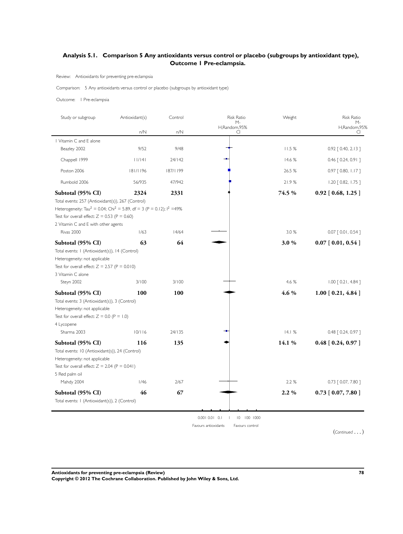# **Analysis 5.1. Comparison 5 Any antioxidants versus control or placebo (subgroups by antioxidant type), Outcome 1 Pre-eclampsia.**

Review: Antioxidants for preventing pre-eclampsia

Comparison: 5 Any antioxidants versus control or placebo (subgroups by antioxidant type)

Outcome: 1 Pre-eclampsia

| Study or subgroup                                                                                                                                                                                                                                      | Antioxidant(s) | Control  | <b>Risk Ratio</b><br>$M -$              | Weight  | Risk Ratio<br>М-           |
|--------------------------------------------------------------------------------------------------------------------------------------------------------------------------------------------------------------------------------------------------------|----------------|----------|-----------------------------------------|---------|----------------------------|
|                                                                                                                                                                                                                                                        | n/N            | n/N      | H,Random,95%<br>CI.                     |         | H,Random,95%<br>CI.        |
| Vitamin C and E alone                                                                                                                                                                                                                                  |                |          |                                         |         |                            |
| Beazley 2002                                                                                                                                                                                                                                           | 9/52           | 9/48     |                                         | 11.5%   | $0.92$ $[0.40, 2.13]$      |
| Chappell 1999                                                                                                                                                                                                                                          | 11/141         | 74/147   |                                         | 14.6 %  | $0.46$ $[0.24, 0.91]$      |
| Poston 2006                                                                                                                                                                                                                                            | 181/1196       | 187/1199 |                                         | 26.5 %  | $0.97$ [ 0.80, 1.17 ]      |
| Rumbold 2006                                                                                                                                                                                                                                           | 56/935         | 47/942   |                                         | 21.9%   | $1.20$ [ 0.82, 1.75 ]      |
| Subtotal (95% CI)                                                                                                                                                                                                                                      | 2324           | 2331     |                                         | 74.5 %  | $0.92$ [ 0.68, 1.25 ]      |
| Total events: 257 (Antioxidant(s)), 267 (Control)<br>Heterogeneity: Tau <sup>2</sup> = 0.04; Chi <sup>2</sup> = 5.89, df = 3 (P = 0.12); l <sup>2</sup> = 49%<br>Test for overall effect: $Z = 0.53$ (P = 0.60)<br>2 Vitamin C and E with other agents |                |          |                                         |         |                            |
| Rivas 2000                                                                                                                                                                                                                                             | 1/63           | 14/64    |                                         | 3.0 %   | $0.07$ $[0.01, 0.54]$      |
| Subtotal (95% CI)                                                                                                                                                                                                                                      | 63             | 64       |                                         | 3.0%    | $0.07$ [ $0.01, 0.54$ ]    |
| Total events: I (Antioxidant(s)), 14 (Control)<br>Heterogeneity: not applicable<br>Test for overall effect: $Z = 2.57$ (P = 0.010)<br>3 Vitamin C alone<br>Steyn 2002                                                                                  | 3/100          | 3/100    |                                         | 4.6 %   | $1.00$ $[0.21, 4.84]$      |
| Subtotal (95% CI)                                                                                                                                                                                                                                      | 100            | 100      |                                         | 4.6%    | 1.00 [0.21, 4.84]          |
| Total events: 3 (Antioxidant(s)), 3 (Control)<br>Heterogeneity: not applicable<br>Test for overall effect: $Z = 0.0$ (P = 1.0)<br>4 Lycopene<br>Sharma 2003                                                                                            | 10/116         | 24/135   |                                         | 14.1%   | 0.48 [ 0.24, 0.97 ]        |
|                                                                                                                                                                                                                                                        |                |          |                                         |         |                            |
| Subtotal (95% CI)<br>Total events: 10 (Antioxidant(s)), 24 (Control)<br>Heterogeneity: not applicable<br>Test for overall effect: $Z = 2.04$ (P = 0.041)<br>5 Red palm oil                                                                             | 116            | 135      |                                         | 14.1 %  | $0.48$ [ $0.24$ , $0.97$ ] |
| Mahdy 2004                                                                                                                                                                                                                                             | 1/46           | 2/67     |                                         | 2.2 %   | $0.73$ $[0.07, 7.80]$      |
| Subtotal (95% CI)<br>Total events: I (Antioxidant(s)), 2 (Control)                                                                                                                                                                                     | 46             | 67       |                                         | $2.2\%$ | $0.73$ [ $0.07, 7.80$ ]    |
|                                                                                                                                                                                                                                                        |                |          |                                         |         |                            |
|                                                                                                                                                                                                                                                        |                |          | 0.0010.010.1<br>10 100 1000             |         |                            |
|                                                                                                                                                                                                                                                        |                |          | Favours antioxidants<br>Favours control |         |                            |

(*Continued* . . . )

**Antioxidants for preventing pre-eclampsia (Review) 78**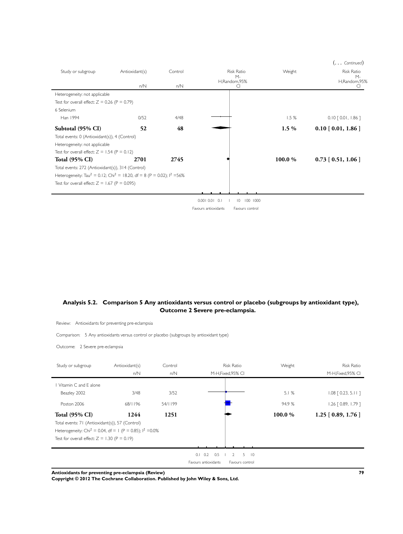|                                                                                                 |                |         |                                            |         | $(\ldots$ Continued)  |
|-------------------------------------------------------------------------------------------------|----------------|---------|--------------------------------------------|---------|-----------------------|
| Study or subgroup                                                                               | Antioxidant(s) | Control | <b>Risk Ratio</b>                          | Weight  | <b>Risk Ratio</b>     |
|                                                                                                 |                |         | $M -$<br>H,Random,95%                      |         | $M -$<br>H,Random,95% |
|                                                                                                 | n/N            | n/N     | CI                                         |         |                       |
| Heterogeneity: not applicable                                                                   |                |         |                                            |         |                       |
| Test for overall effect: $Z = 0.26$ (P = 0.79)                                                  |                |         |                                            |         |                       |
| 6 Selenium                                                                                      |                |         |                                            |         |                       |
| Han 1994                                                                                        | 0/52           | 4/48    |                                            | 1.5%    | $0.10$ [ 0.01, 1.86 ] |
| Subtotal (95% CI)                                                                               | 52             | 48      |                                            | $1.5\%$ | $0.10$ [ 0.01, 1.86 ] |
| Total events: 0 (Antioxidant(s)), 4 (Control)                                                   |                |         |                                            |         |                       |
| Heterogeneity: not applicable                                                                   |                |         |                                            |         |                       |
| Test for overall effect: $Z = 1.54$ (P = 0.12)                                                  |                |         |                                            |         |                       |
| <b>Total (95% CI)</b>                                                                           | 2701           | 2745    |                                            | 100.0%  | $0.73$ [ 0.51, 1.06 ] |
| Total events: 272 (Antioxidant(s)), 314 (Control)                                               |                |         |                                            |         |                       |
| Heterogeneity: Tau <sup>2</sup> = 0.12; Chi <sup>2</sup> = 18.20, df = 8 (P = 0.02); $1^2$ =56% |                |         |                                            |         |                       |
| Test for overall effect: $Z = 1.67$ (P = 0.095)                                                 |                |         |                                            |         |                       |
|                                                                                                 |                |         |                                            |         |                       |
|                                                                                                 |                |         | 0.0010.010.1<br>100 1000<br>$\overline{0}$ |         |                       |

Favours antioxidants Favours control

### **Analysis 5.2. Comparison 5 Any antioxidants versus control or placebo (subgroups by antioxidant type), Outcome 2 Severe pre-eclampsia.**

Review: Antioxidants for preventing pre-eclampsia

Comparison: 5 Any antioxidants versus control or placebo (subgroups by antioxidant type)

Outcome: 2 Severe pre-eclampsia

| Study or subgroup                               | Antioxidant(s)                                                         | Control | <b>Risk Ratio</b>                                              | Weight | <b>Risk Ratio</b>     |
|-------------------------------------------------|------------------------------------------------------------------------|---------|----------------------------------------------------------------|--------|-----------------------|
|                                                 | n/N                                                                    | n/N     | M-H, Fixed, 95% CI                                             |        | M-H, Fixed, 95% CI    |
| Vitamin C and F alone                           |                                                                        |         |                                                                |        |                       |
| Beazley 2002                                    | 3/48                                                                   | 3/52    |                                                                | 5.1%   | $1.08$ $[0.23, 5.11]$ |
| Poston 2006                                     | 68/1196                                                                | 54/1199 |                                                                | 94.9%  | $1.26$ [ 0.89, 1.79 ] |
| <b>Total (95% CI)</b>                           | 1244                                                                   | 1251    |                                                                | 100.0% | $1.25$ [ 0.89, 1.76 ] |
| Total events: 71 (Antioxidant(s)), 57 (Control) |                                                                        |         |                                                                |        |                       |
|                                                 | Heterogeneity: Chi <sup>2</sup> = 0.04, df = 1 (P = 0.85); $1^2$ =0.0% |         |                                                                |        |                       |
| Test for overall effect: $Z = 1.30$ (P = 0.19)  |                                                                        |         |                                                                |        |                       |
|                                                 |                                                                        |         |                                                                |        |                       |
|                                                 |                                                                        |         | $5 -$<br>0.1<br>0.2<br>0.5<br>$\mathcal{L}$<br>$\overline{10}$ |        |                       |
|                                                 |                                                                        |         | Favours antioxidants<br>Favours control                        |        |                       |

**Antioxidants for preventing pre-eclampsia (Review) 79**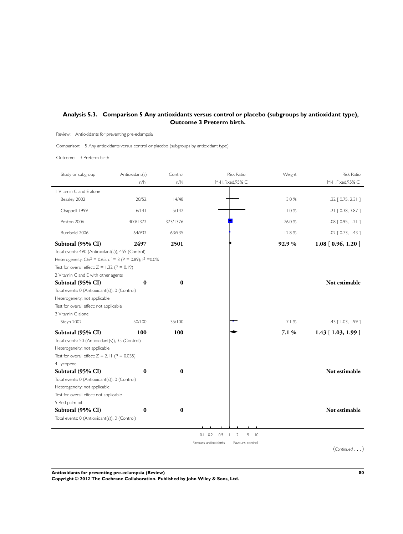## **Analysis 5.3. Comparison 5 Any antioxidants versus control or placebo (subgroups by antioxidant type), Outcome 3 Preterm birth.**

Review: Antioxidants for preventing pre-eclampsia

Comparison: 5 Any antioxidants versus control or placebo (subgroups by antioxidant type)

Outcome: 3 Preterm birth

l.

l.

| Study or subgroup                                                                | Antioxidant(s) | Control  |                        | <b>Risk Ratio</b>                      | Weight | <b>Risk Ratio</b>     |
|----------------------------------------------------------------------------------|----------------|----------|------------------------|----------------------------------------|--------|-----------------------|
|                                                                                  | n/N            | n/N      |                        | M-H, Fixed, 95% CI                     |        | M-H,Fixed,95% Cl      |
| I Vitamin C and E alone                                                          |                |          |                        |                                        |        |                       |
| Beazley 2002                                                                     | 20/52          | 14/48    |                        |                                        | 3.0 %  | $1.32$ $[0.75, 2.31]$ |
| Chappell 1999                                                                    | $6/141$        | 5/142    |                        |                                        | 1.0%   | $1.21$ $[0.38, 3.87]$ |
| Poston 2006                                                                      | 400/1372       | 373/1376 |                        |                                        | 76.0%  | $1.08$ $[0.95, 1.21]$ |
| Rumbold 2006                                                                     | 64/932         | 63/935   |                        |                                        | 12.8%  | $1.02$ $[0.73, 1.43]$ |
| Subtotal (95% CI)                                                                | 2497           | 2501     |                        |                                        | 92.9%  | $1.08$ [ 0.96, 1.20 ] |
| Total events: 490 (Antioxidant(s)), 455 (Control)                                |                |          |                        |                                        |        |                       |
| Heterogeneity: Chi <sup>2</sup> = 0.65, df = 3 (P = 0.89); l <sup>2</sup> = 0.0% |                |          |                        |                                        |        |                       |
| Test for overall effect: $Z = 1.32$ (P = 0.19)                                   |                |          |                        |                                        |        |                       |
| 2 Vitamin C and E with other agents                                              |                |          |                        |                                        |        |                       |
| Subtotal (95% CI)                                                                | $\bf{0}$       | $\bf{0}$ |                        |                                        |        | Not estimable         |
| Total events: 0 (Antioxidant(s)), 0 (Control)                                    |                |          |                        |                                        |        |                       |
| Heterogeneity: not applicable                                                    |                |          |                        |                                        |        |                       |
| Test for overall effect: not applicable                                          |                |          |                        |                                        |        |                       |
| 3 Vitamin C alone                                                                |                |          |                        |                                        |        |                       |
| Steyn 2002                                                                       | 50/100         | 35/100   |                        |                                        | 7.1%   | 1.43 [ 1.03, 1.99 ]   |
| Subtotal (95% CI)                                                                | 100            | 100      |                        |                                        | 7.1 %  | $1.43$ [ 1.03, 1.99 ] |
| Total events: 50 (Antioxidant(s)), 35 (Control)                                  |                |          |                        |                                        |        |                       |
| Heterogeneity: not applicable                                                    |                |          |                        |                                        |        |                       |
| Test for overall effect: $Z = 2.11$ (P = 0.035)                                  |                |          |                        |                                        |        |                       |
| 4 Lycopene                                                                       |                |          |                        |                                        |        |                       |
| Subtotal (95% CI)                                                                | $\bf{0}$       | $\bf{0}$ |                        |                                        |        | Not estimable         |
| Total events: 0 (Antioxidant(s)), 0 (Control)                                    |                |          |                        |                                        |        |                       |
| Heterogeneity: not applicable                                                    |                |          |                        |                                        |        |                       |
| Test for overall effect: not applicable                                          |                |          |                        |                                        |        |                       |
| 5 Red palm oil                                                                   |                |          |                        |                                        |        |                       |
| Subtotal (95% CI)                                                                | $\bf{0}$       | $\bf{0}$ |                        |                                        |        | Not estimable         |
| Total events: 0 (Antioxidant(s)), 0 (Control)                                    |                |          |                        |                                        |        |                       |
|                                                                                  |                |          |                        |                                        |        |                       |
|                                                                                  |                |          | $0.1 \quad 0.2$<br>0.5 | $\overline{2}$<br>5<br>$\overline{10}$ |        |                       |
|                                                                                  |                |          | Favours antioxidants   | Favours control                        |        |                       |
|                                                                                  |                |          |                        |                                        |        | $(Continued \dots$    |

**Antioxidants for preventing pre-eclampsia (Review) 80**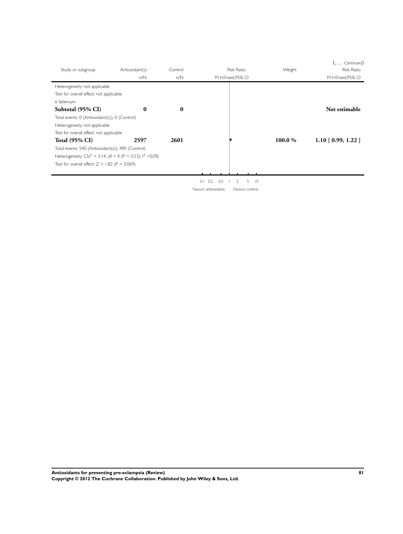| Study or subgroup                                                      | Antioxidant(s) | Control  |                      | <b>Risk Ratio</b>        | Weight  | $(\ldots$ Continued)<br><b>Risk Ratio</b> |
|------------------------------------------------------------------------|----------------|----------|----------------------|--------------------------|---------|-------------------------------------------|
|                                                                        | n/N            | n/N      |                      | M-H, Fixed, 95% CI       |         | M-H, Fixed, 95% CI                        |
| Heterogeneity: not applicable                                          |                |          |                      |                          |         |                                           |
| Test for overall effect: not applicable                                |                |          |                      |                          |         |                                           |
| 6 Selenium                                                             |                |          |                      |                          |         |                                           |
| Subtotal (95% CI)                                                      | $\bf{0}$       | $\bf{0}$ |                      |                          |         | Not estimable                             |
| Total events: 0 (Antioxidant(s)), 0 (Control)                          |                |          |                      |                          |         |                                           |
| Heterogeneity: not applicable                                          |                |          |                      |                          |         |                                           |
| Test for overall effect: not applicable                                |                |          |                      |                          |         |                                           |
| <b>Total (95% CI)</b>                                                  | 2597           | 2601     |                      |                          | 100.0 % | $1.10$ [ 0.99, 1.22 ]                     |
| Total events: 540 (Antioxidant(s)), 490 (Control)                      |                |          |                      |                          |         |                                           |
| Heterogeneity: Chi <sup>2</sup> = 3.14, df = 4 (P = 0.53); $1^2$ =0.0% |                |          |                      |                          |         |                                           |
| Test for overall effect: $Z = 1.82$ (P = 0.069)                        |                |          |                      |                          |         |                                           |
|                                                                        |                |          |                      |                          |         |                                           |
|                                                                        |                |          | 0.2<br>0.5<br>0.1    | 5<br>$\overline{0}$<br>2 |         |                                           |
|                                                                        |                |          | Favours antioxidants | Favours control          |         |                                           |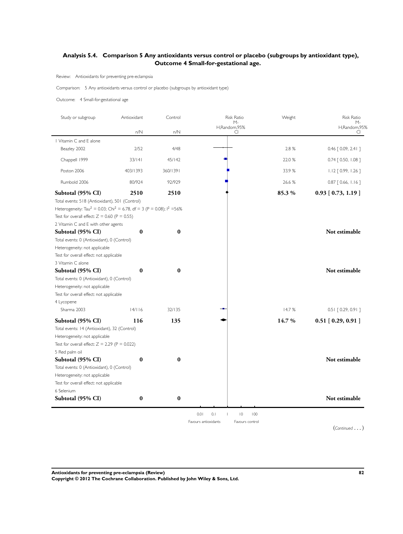#### **Analysis 5.4. Comparison 5 Any antioxidants versus control or placebo (subgroups by antioxidant type), Outcome 4 Small-for-gestational age.**

Review: Antioxidants for preventing pre-eclampsia

Comparison: 5 Any antioxidants versus control or placebo (subgroups by antioxidant type)

Outcome: 4 Small-for-gestational age

| Study or subgroup                                                                                                                                                                                                                                   | Antioxidant | Control  | <b>Risk Ratio</b><br>$M -$                                                | Weight | <b>Risk Ratio</b><br>М-  |
|-----------------------------------------------------------------------------------------------------------------------------------------------------------------------------------------------------------------------------------------------------|-------------|----------|---------------------------------------------------------------------------|--------|--------------------------|
|                                                                                                                                                                                                                                                     | n/N         | n/N      | H,Random,95%<br>CI                                                        |        | H,Random,95%<br>CI       |
| I Vitamin C and E alone                                                                                                                                                                                                                             |             |          |                                                                           |        |                          |
| Beazley 2002                                                                                                                                                                                                                                        | 2/52        | 4/48     |                                                                           | 2.8 %  | $0.46$ $[0.09, 2.41]$    |
| Chappell 1999                                                                                                                                                                                                                                       | 33/141      | 45/142   |                                                                           | 22.0 % | $0.74$ $[0.50, 1.08]$    |
| Poston 2006                                                                                                                                                                                                                                         | 403/1393    | 360/1391 |                                                                           | 33.9%  | $1.12$ [ 0.99, 1.26 ]    |
| Rumbold 2006                                                                                                                                                                                                                                        | 80/924      | 92/929   |                                                                           | 26.6 % | $0.87$ [ 0.66, 1.16 ]    |
| Subtotal (95% CI)                                                                                                                                                                                                                                   | 2510        | 2510     |                                                                           | 85.3 % | $0.93$ [ $0.73$ , 1.19 ] |
| Total events: 518 (Antioxidant), 501 (Control)<br>Heterogeneity: Tau <sup>2</sup> = 0.03; Chi <sup>2</sup> = 6.78, df = 3 (P = 0.08); l <sup>2</sup> = 56%<br>Test for overall effect: $Z = 0.60$ (P = 0.55)<br>2 Vitamin C and E with other agents |             |          |                                                                           |        |                          |
| Subtotal (95% CI)<br>Total events: 0 (Antioxidant), 0 (Control)<br>Heterogeneity: not applicable<br>Test for overall effect: not applicable<br>3 Vitamin C alone                                                                                    | 0           | $\bf{0}$ |                                                                           |        | Not estimable            |
| Subtotal (95% CI)<br>Total events: 0 (Antioxidant), 0 (Control)<br>Heterogeneity: not applicable<br>Test for overall effect: not applicable<br>4 Lycopene                                                                                           | $\bf{0}$    | $\bf{0}$ |                                                                           |        | Not estimable            |
| Sharma 2003                                                                                                                                                                                                                                         | 14/116      | 32/135   |                                                                           | 14.7%  | $0.51$ $[0.29, 0.91]$    |
| Subtotal (95% CI)<br>Total events: 14 (Antioxidant), 32 (Control)<br>Heterogeneity: not applicable<br>Test for overall effect: $Z = 2.29$ (P = 0.022)<br>5 Red palm oil                                                                             | 116         | 135      |                                                                           | 14.7 % | $0.51$ [ $0.29, 0.91$ ]  |
| Subtotal (95% CI)<br>Total events: 0 (Antioxidant), 0 (Control)<br>Heterogeneity: not applicable<br>Test for overall effect: not applicable<br>6 Selenium                                                                                           | $\bf{0}$    | $\bf{0}$ |                                                                           |        | Not estimable            |
| Subtotal (95% CI)                                                                                                                                                                                                                                   | $\bf{0}$    | $\bf{0}$ |                                                                           |        | Not estimable            |
|                                                                                                                                                                                                                                                     |             |          | 0.01<br>0.1<br>$\overline{10}$<br>Favours antioxidants<br>Favours control | 100    | $(Continued \dots)$      |

**Antioxidants for preventing pre-eclampsia (Review) 82**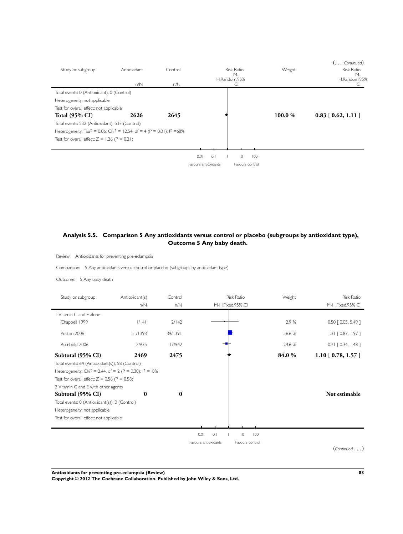| Study or subgroup                                                                               | Antioxidant | Control |                      | <b>Risk Ratio</b><br>$M -$ | Weight | $(\ldots$ Continued)<br><b>Risk Ratio</b><br>$M -$ |
|-------------------------------------------------------------------------------------------------|-------------|---------|----------------------|----------------------------|--------|----------------------------------------------------|
|                                                                                                 | n/N         | n/N     |                      | H,Random,95%               |        | H,Random,95%                                       |
| Total events: 0 (Antioxidant), 0 (Control)                                                      |             |         |                      |                            |        |                                                    |
| Heterogeneity: not applicable                                                                   |             |         |                      |                            |        |                                                    |
| Test for overall effect: not applicable                                                         |             |         |                      |                            |        |                                                    |
| <b>Total (95% CI)</b>                                                                           | 2626        | 2645    |                      |                            | 100.0% | $0.83$ [ 0.62, 1.11 ]                              |
| Total events: 532 (Antioxidant), 533 (Control)                                                  |             |         |                      |                            |        |                                                    |
| Heterogeneity: Tau <sup>2</sup> = 0.06; Chi <sup>2</sup> = 12.54, df = 4 (P = 0.01); $1^2$ =68% |             |         |                      |                            |        |                                                    |
| Test for overall effect: $Z = 1.26$ (P = 0.21)                                                  |             |         |                      |                            |        |                                                    |
|                                                                                                 |             |         |                      |                            |        |                                                    |
|                                                                                                 |             |         | 0.1<br>0.01          | $\overline{10}$<br>100     |        |                                                    |
|                                                                                                 |             |         | Eavours antioxidants | Eavours control            |        |                                                    |

#### **Analysis 5.5. Comparison 5 Any antioxidants versus control or placebo (subgroups by antioxidant type), Outcome 5 Any baby death.**

Review: Antioxidants for preventing pre-eclampsia

Outcome: 5 Any baby death

Comparison: 5 Any antioxidants versus control or placebo (subgroups by antioxidant type)

| Study or subgroup                                                      | Antioxidant(s) | Control  | <b>Risk Ratio</b>    | Weight             | <b>Risk Ratio</b>     |
|------------------------------------------------------------------------|----------------|----------|----------------------|--------------------|-----------------------|
|                                                                        | n/N            | n/N      | M-H, Fixed, 95% CI   |                    | M-H, Fixed, 95% CI    |
| Vitamin C and E alone                                                  |                |          |                      |                    |                       |
| Chappell 1999                                                          | 1/141          | 2/142    |                      | 2.9%               | $0.50$ $[0.05, 5.49]$ |
| Poston 2006                                                            | 51/1393        | 39/1391  |                      | 56.6 %             | $1.31$ $[0.87, 1.97]$ |
| Rumbold 2006                                                           | 12/935         | 17/942   |                      | 24.6 %             | $0.71$ $[0.34, 1.48]$ |
| Subtotal (95% CI)                                                      | 2469           | 2475     |                      | 84.0%              | $1.10$ [ 0.78, 1.57 ] |
| Total events: 64 (Antioxidant(s)), 58 (Control)                        |                |          |                      |                    |                       |
| Heterogeneity: Chi <sup>2</sup> = 2.44, df = 2 (P = 0.30); $1^2$ = 18% |                |          |                      |                    |                       |
| Test for overall effect: $Z = 0.56$ (P = 0.58)                         |                |          |                      |                    |                       |
| 2 Vitamin C and E with other agents                                    |                |          |                      |                    |                       |
| Subtotal (95% CI)                                                      | $\bf{0}$       | $\bf{0}$ |                      |                    | Not estimable         |
| Total events: 0 (Antioxidant(s)), 0 (Control)                          |                |          |                      |                    |                       |
| Heterogeneity: not applicable                                          |                |          |                      |                    |                       |
| Test for overall effect: not applicable                                |                |          |                      |                    |                       |
|                                                                        |                |          |                      |                    |                       |
|                                                                        |                |          | 0.01<br>0.1          | $ 0\rangle$<br>100 |                       |
|                                                                        |                |          | Favours antioxidants | Favours control    |                       |
|                                                                        |                |          |                      |                    | $(Continued \dots)$   |
|                                                                        |                |          |                      |                    |                       |

**Antioxidants for preventing pre-eclampsia (Review) 83**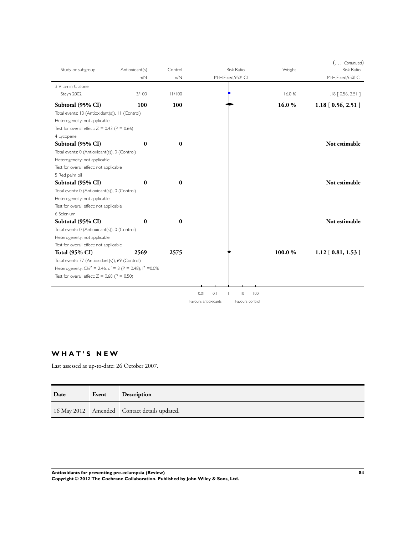| Study or subgroup                                                       | Antioxidant(s)<br>n/N | Control<br>n/N | <b>Risk Ratio</b><br>M-H,Fixed,95% CI   | Weight | $(\ldots$ Continued)<br><b>Risk Ratio</b><br>M-H,Fixed,95% CI |
|-------------------------------------------------------------------------|-----------------------|----------------|-----------------------------------------|--------|---------------------------------------------------------------|
| 3 Vitamin C alone                                                       |                       |                |                                         |        |                                                               |
| Steyn 2002                                                              | 13/100                | 11/100         |                                         | 16.0%  | $1.18$ $[0.56, 2.51]$                                         |
| Subtotal (95% CI)                                                       | 100                   | 100            |                                         | 16.0%  | $1.18$ [ 0.56, 2.51 ]                                         |
| Total events: 13 (Antioxidant(s)), 11 (Control)                         |                       |                |                                         |        |                                                               |
| Heterogeneity: not applicable                                           |                       |                |                                         |        |                                                               |
| Test for overall effect: $Z = 0.43$ (P = 0.66)                          |                       |                |                                         |        |                                                               |
| 4 Lycopene                                                              |                       |                |                                         |        |                                                               |
| Subtotal (95% CI)                                                       | $\bf{0}$              | $\bf{0}$       |                                         |        | Not estimable                                                 |
| Total events: 0 (Antioxidant(s)), 0 (Control)                           |                       |                |                                         |        |                                                               |
| Heterogeneity: not applicable                                           |                       |                |                                         |        |                                                               |
| Test for overall effect: not applicable                                 |                       |                |                                         |        |                                                               |
| 5 Red palm oil                                                          |                       |                |                                         |        |                                                               |
| Subtotal (95% CI)                                                       | $\bf{0}$              | $\bf{0}$       |                                         |        | Not estimable                                                 |
| Total events: 0 (Antioxidant(s)), 0 (Control)                           |                       |                |                                         |        |                                                               |
| Heterogeneity: not applicable                                           |                       |                |                                         |        |                                                               |
| Test for overall effect: not applicable<br>6 Selenium                   |                       |                |                                         |        |                                                               |
| Subtotal (95% CI)                                                       | $\bf{0}$              | $\bf{0}$       |                                         |        | Not estimable                                                 |
| Total events: 0 (Antioxidant(s)), 0 (Control)                           |                       |                |                                         |        |                                                               |
| Heterogeneity: not applicable                                           |                       |                |                                         |        |                                                               |
| Test for overall effect: not applicable                                 |                       |                |                                         |        |                                                               |
| <b>Total (95% CI)</b>                                                   | 2569                  | 2575           |                                         | 100.0% | $1.12$ [ 0.81, 1.53 ]                                         |
| Total events: 77 (Antioxidant(s)), 69 (Control)                         |                       |                |                                         |        |                                                               |
| Heterogeneity: Chi <sup>2</sup> = 2.46, df = 3 (P = 0.48); $1^2$ = 0.0% |                       |                |                                         |        |                                                               |
| Test for overall effect: $Z = 0.68$ (P = 0.50)                          |                       |                |                                         |        |                                                               |
|                                                                         |                       |                |                                         |        |                                                               |
|                                                                         |                       |                | 0.01<br>0.1<br>$ 0\rangle$<br>100       |        |                                                               |
|                                                                         |                       |                | Favours antioxidants<br>Favours control |        |                                                               |
|                                                                         |                       |                |                                         |        |                                                               |
|                                                                         |                       |                |                                         |        |                                                               |
|                                                                         |                       |                |                                         |        |                                                               |
|                                                                         |                       |                |                                         |        |                                                               |
|                                                                         |                       |                |                                         |        |                                                               |
| WHAT'S NEW                                                              |                       |                |                                         |        |                                                               |
| Last assessed as up-to-date: 26 October 2007.                           |                       |                |                                         |        |                                                               |
|                                                                         |                       |                |                                         |        |                                                               |

| Date | Event | <b>Description</b>                           |
|------|-------|----------------------------------------------|
|      |       | 16 May 2012 Amended Contact details updated. |

**Antioxidants for preventing pre-eclampsia (Review) 84**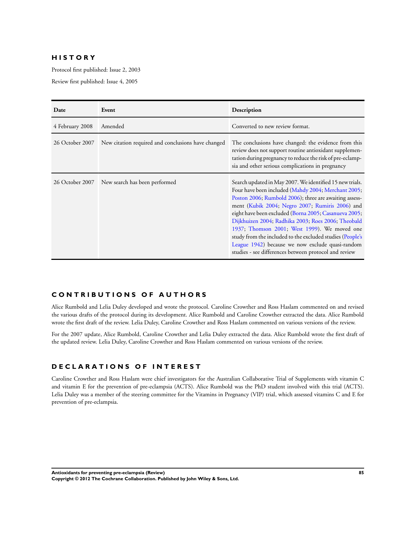# **H I S T O R Y**

Protocol first published: Issue 2, 2003

Review first published: Issue 4, 2005

| Date            | Event                                              | Description                                                                                                                                                                                                                                                                                                                                                                                                                                                                                                                                                           |
|-----------------|----------------------------------------------------|-----------------------------------------------------------------------------------------------------------------------------------------------------------------------------------------------------------------------------------------------------------------------------------------------------------------------------------------------------------------------------------------------------------------------------------------------------------------------------------------------------------------------------------------------------------------------|
| 4 February 2008 | Amended                                            | Converted to new review format.                                                                                                                                                                                                                                                                                                                                                                                                                                                                                                                                       |
| 26 October 2007 | New citation required and conclusions have changed | The conclusions have changed: the evidence from this<br>review does not support routine antioxidant supplemen-<br>tation during pregnancy to reduce the risk of pre-eclamp-<br>sia and other serious complications in pregnancy                                                                                                                                                                                                                                                                                                                                       |
| 26 October 2007 | New search has been performed                      | Search updated in May 2007. We identified 15 new trials.<br>Four have been included (Mahdy 2004; Merchant 2005;<br>Poston 2006; Rumbold 2006); three are awaiting assess-<br>ment (Kubik 2004; Negro 2007; Rumiris 2006) and<br>eight have been excluded (Borna 2005; Casanueva 2005;<br>Dijkhuizen 2004; Radhika 2003; Roes 2006; Theobald<br>1937; Thomson 2001; West 1999). We moved one<br>study from the included to the excluded studies (People's<br>League 1942) because we now exclude quasi-random<br>studies - see differences between protocol and review |

# **C O N T R I B U T I O N S O F A U T H O R S**

Alice Rumbold and Lelia Duley developed and wrote the protocol. Caroline Crowther and Ross Haslam commented on and revised the various drafts of the protocol during its development. Alice Rumbold and Caroline Crowther extracted the data. Alice Rumbold wrote the first draft of the review. Lelia Duley, Caroline Crowther and Ross Haslam commented on various versions of the review.

For the 2007 update, Alice Rumbold, Caroline Crowther and Lelia Duley extracted the data. Alice Rumbold wrote the first draft of the updated review. Lelia Duley, Caroline Crowther and Ross Haslam commented on various versions of the review.

# **D E C L A R A T I O N S O F I N T E R E S T**

Caroline Crowther and Ross Haslam were chief investigators for the Australian Collaborative Trial of Supplements with vitamin C and vitamin E for the prevention of pre-eclampsia (ACTS). Alice Rumbold was the PhD student involved with this trial (ACTS). Lelia Duley was a member of the steering committee for the Vitamins in Pregnancy (VIP) trial, which assessed vitamins C and E for prevention of pre-eclampsia.